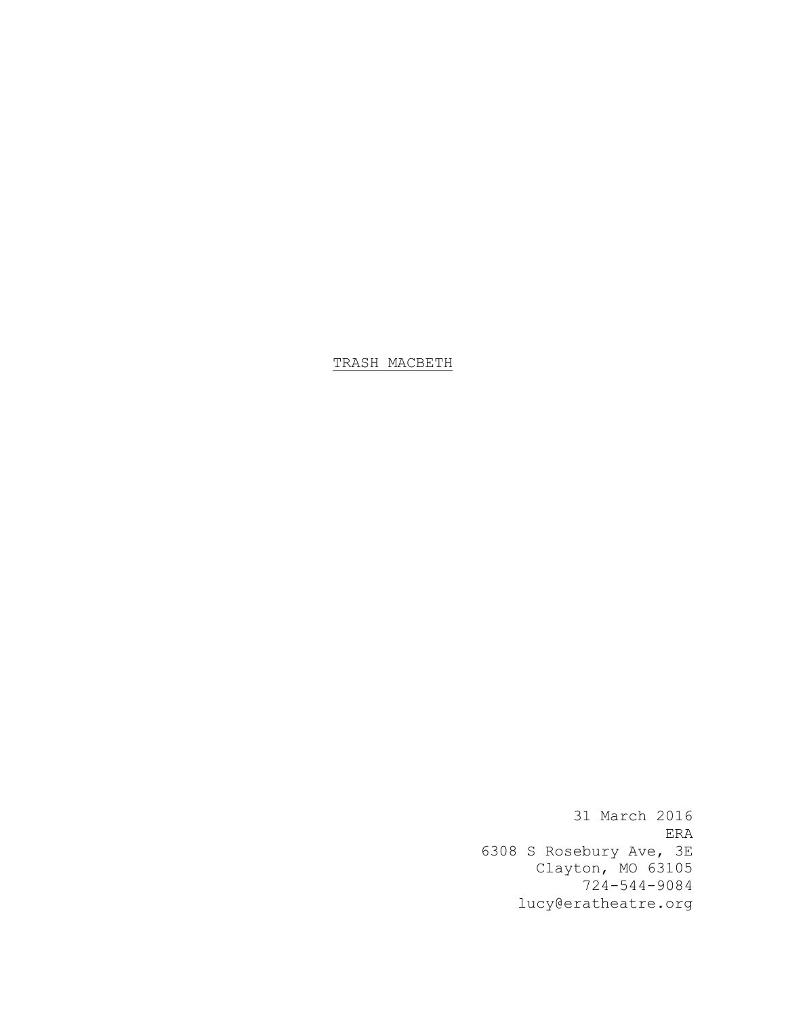TRASH MACBETH

31 March 2016 ERA 6308 S Rosebury Ave, 3E Clayton, MO 63105 724-544-9084 lucy@eratheatre.org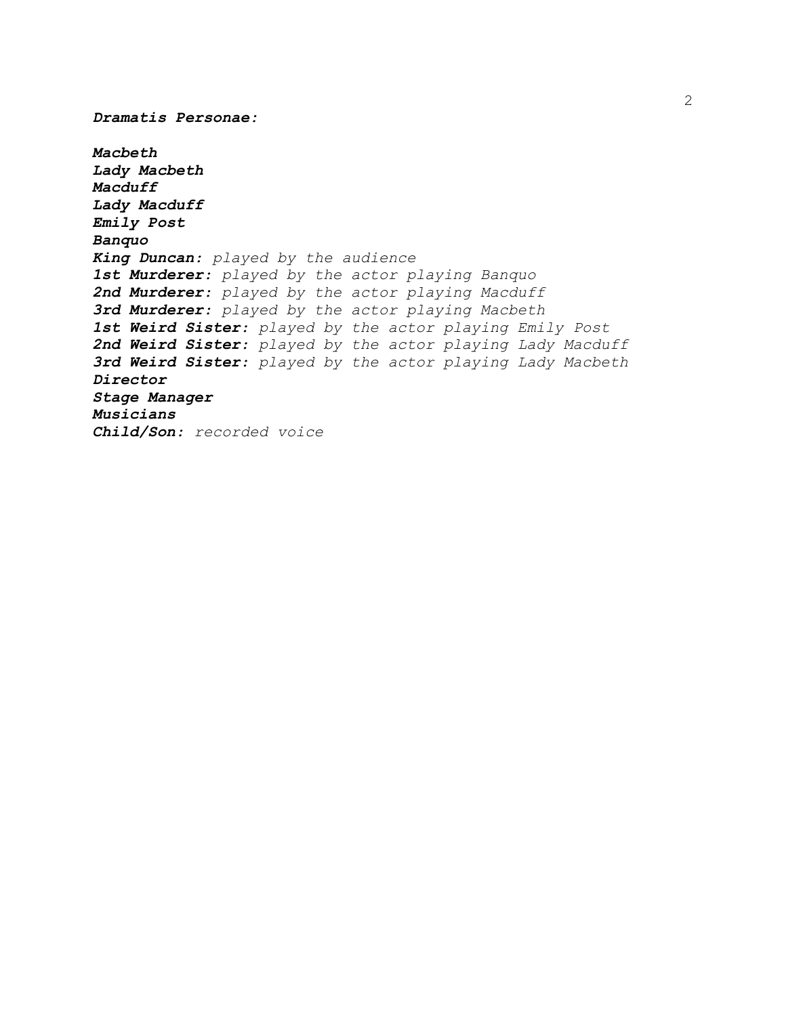*Macbeth Lady Macbeth Macduff Lady Macduff Emily Post Banquo King Duncan: played by the audience 1st Murderer: played by the actor playing Banquo 2nd Murderer: played by the actor playing Macduff 3rd Murderer: played by the actor playing Macbeth 1st Weird Sister: played by the actor playing Emily Post 2nd Weird Sister: played by the actor playing Lady Macduff 3rd Weird Sister: played by the actor playing Lady Macbeth Director Stage Manager Musicians Child/Son: recorded voice*

*Dramatis Personae:*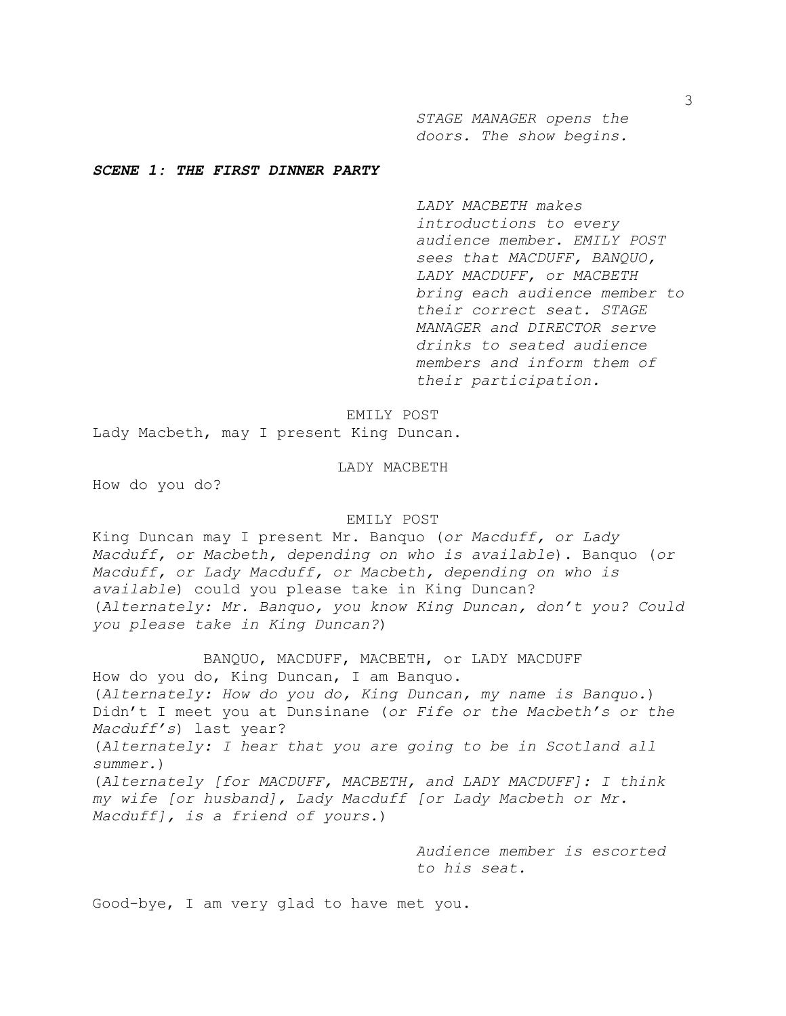*STAGE MANAGER opens the doors. The show begins.* 

# *SCENE 1: THE FIRST DINNER PARTY*

*LADY MACBETH makes introductions to every audience member. EMILY POST sees that MACDUFF, BANQUO, LADY MACDUFF, or MACBETH bring each audience member to their correct seat. STAGE MANAGER and DIRECTOR serve drinks to seated audience members and inform them of their participation.* 

EMILY POST

Lady Macbeth, may I present King Duncan.

# LADY MACBETH

How do you do?

#### EMILY POST

King Duncan may I present Mr. Banquo (*or Macduff, or Lady Macduff, or Macbeth, depending on who is available*). Banquo (*or Macduff, or Lady Macduff, or Macbeth, depending on who is available*) could you please take in King Duncan? (*Alternately: Mr. Banquo, you know King Duncan, don't you? Could you please take in King Duncan?*)

BANQUO, MACDUFF, MACBETH, or LADY MACDUFF How do you do, King Duncan, I am Banquo. (*Alternately: How do you do, King Duncan, my name is Banquo.*) Didn't I meet you at Dunsinane (*or Fife or the Macbeth's or the Macduff's*) last year? (*Alternately: I hear that you are going to be in Scotland all summer.*) (*Alternately [for MACDUFF, MACBETH, and LADY MACDUFF]: I think my wife [or husband], Lady Macduff [or Lady Macbeth or Mr. Macduff], is a friend of yours.*)

> *Audience member is escorted to his seat.*

Good-bye, I am very glad to have met you.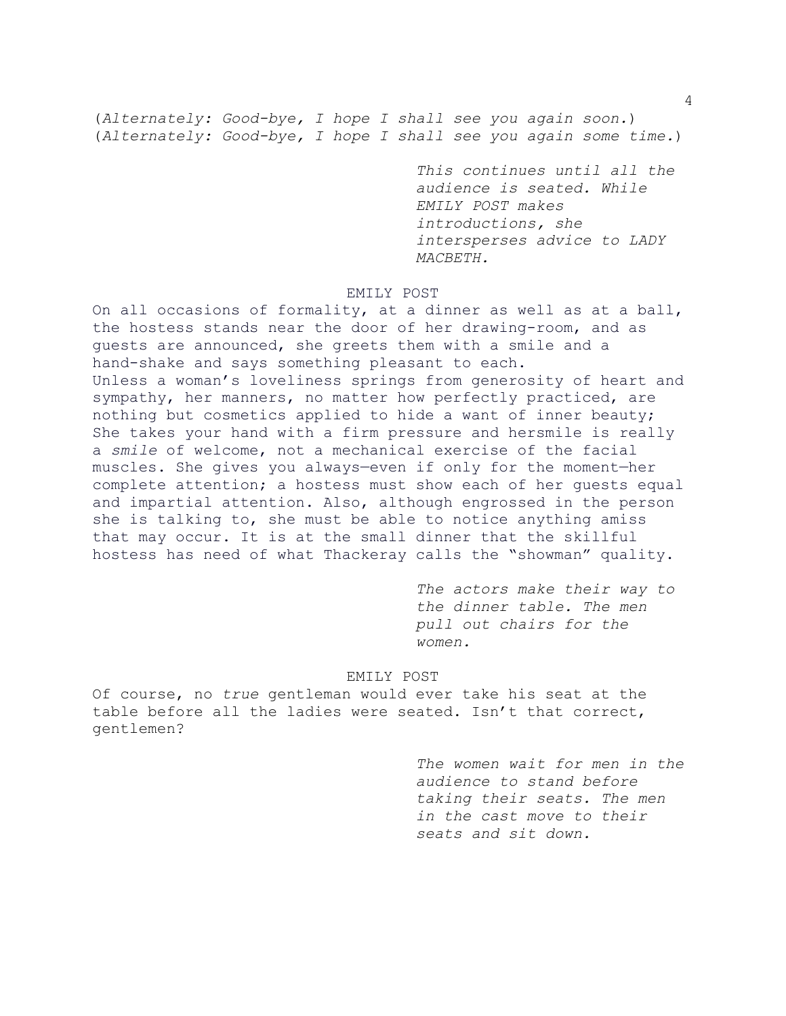(*Alternately: Good-bye, I hope I shall see you again soon.*) (*Alternately: Good-bye, I hope I shall see you again some time.*)

> *This continues until all the audience is seated. While EMILY POST makes introductions, she intersperses advice to LADY MACBETH.*

# EMILY POST

On all occasions of formality, at a dinner as well as at a ball, the hostess stands near the door of her drawing-room, and as guests are announced, she greets them with a smile and a hand-shake and says something pleasant to each. Unless a woman's loveliness springs from generosity of heart and sympathy, her manners, no matter how perfectly practiced, are nothing but cosmetics applied to hide a want of inner beauty; She takes your hand with a firm pressure and hersmile is really a *smile* of welcome, not a mechanical exercise of the facial muscles. She gives you always—even if only for the moment—her complete attention; a hostess must show each of her guests equal and impartial attention. Also, although engrossed in the person she is talking to, she must be able to notice anything amiss that may occur. It is at the small dinner that the skillful hostess has need of what Thackeray calls the "showman" quality.

> *The actors make their way to the dinner table. The men pull out chairs for the women.*

# EMILY POST

Of course, no *true* gentleman would ever take his seat at the table before all the ladies were seated. Isn't that correct, gentlemen?

> *The women wait for men in the audience to stand before taking their seats. The men in the cast move to their seats and sit down.*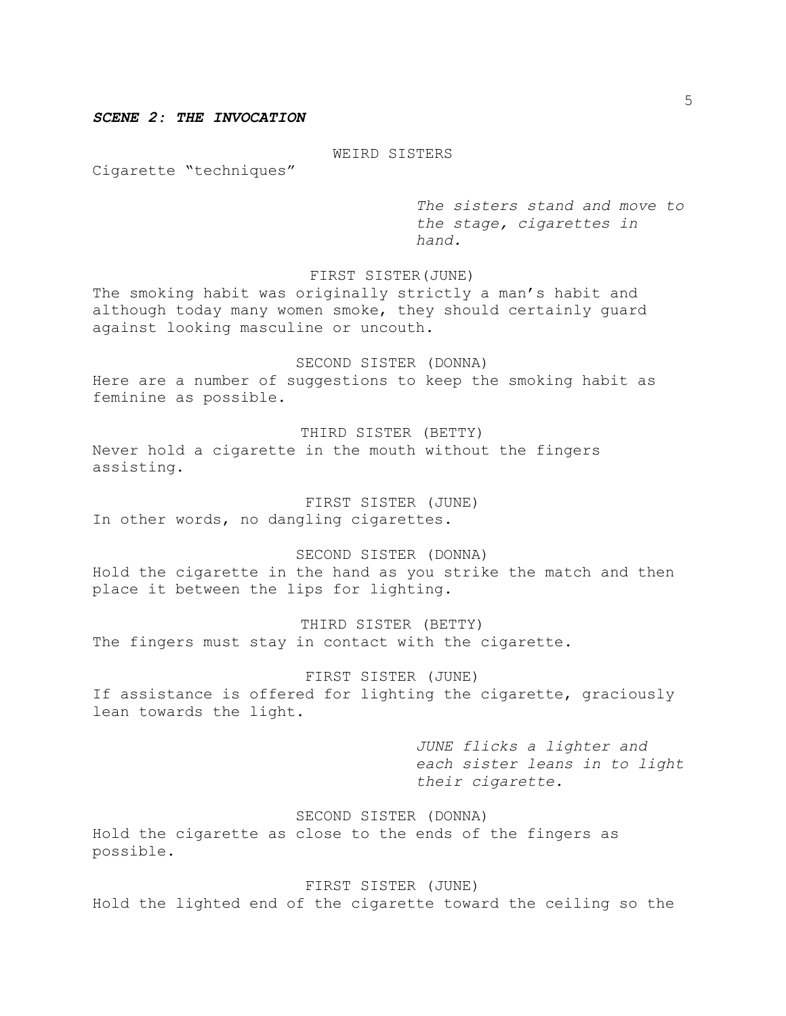# *SCENE 2: THE INVOCATION*

WEIRD SISTERS

Cigarette "techniques"

*The sisters stand and move to the stage, cigarettes in hand.* 

# FIRST SISTER(JUNE)

The smoking habit was originally strictly a man's habit and although today many women smoke, they should certainly guard against looking masculine or uncouth.

SECOND SISTER (DONNA) Here are a number of suggestions to keep the smoking habit as feminine as possible.

THIRD SISTER (BETTY) Never hold a cigarette in the mouth without the fingers assisting.

FIRST SISTER (JUNE) In other words, no dangling cigarettes.

SECOND SISTER (DONNA) Hold the cigarette in the hand as you strike the match and then place it between the lips for lighting.

THIRD SISTER (BETTY) The fingers must stay in contact with the cigarette.

FIRST SISTER (JUNE) If assistance is offered for lighting the cigarette, graciously lean towards the light.

> *JUNE flicks a lighter and each sister leans in to light their cigarette.*

SECOND SISTER (DONNA) Hold the cigarette as close to the ends of the fingers as possible.

FIRST SISTER (JUNE) Hold the lighted end of the cigarette toward the ceiling so the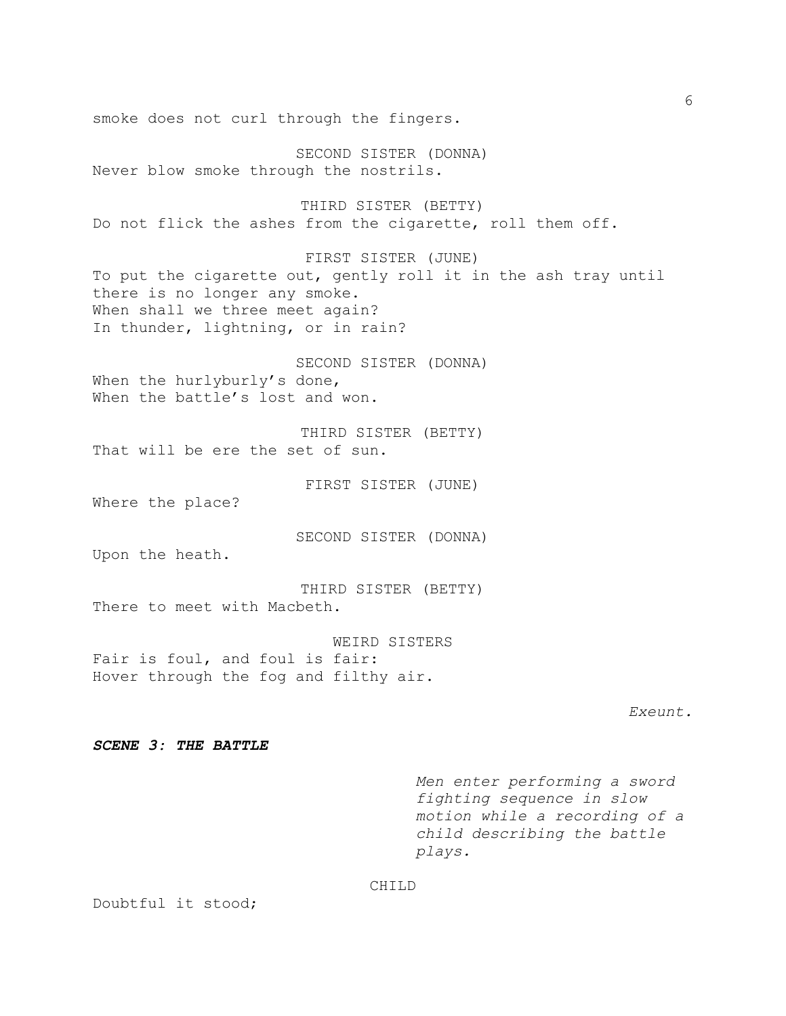smoke does not curl through the fingers. SECOND SISTER (DONNA) Never blow smoke through the nostrils. THIRD SISTER (BETTY) Do not flick the ashes from the cigarette, roll them off. FIRST SISTER (JUNE) To put the cigarette out, gently roll it in the ash tray until there is no longer any smoke. When shall we three meet again? In thunder, lightning, or in rain? SECOND SISTER (DONNA) When the hurlyburly's done, When the battle's lost and won. THIRD SISTER (BETTY) That will be ere the set of sun. FIRST SISTER (JUNE) Where the place? SECOND SISTER (DONNA) Upon the heath. THIRD SISTER (BETTY) There to meet with Macbeth. WEIRD SISTERS Fair is foul, and foul is fair: Hover through the fog and filthy air. *Exeunt. SCENE 3: THE BATTLE Men enter performing a sword fighting sequence in slow motion while a recording of a child describing the battle plays.*

CHILD

Doubtful it stood;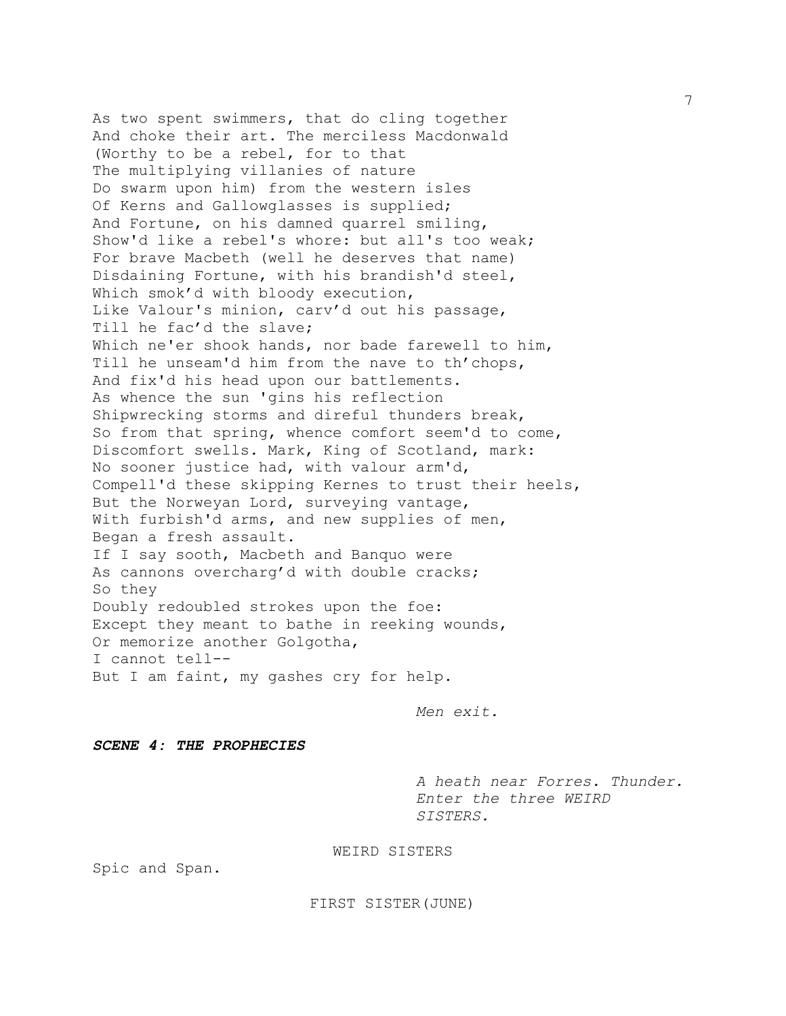As two spent swimmers, that do cling together And choke their art. The merciless Macdonwald (Worthy to be a rebel, for to that The multiplying villanies of nature Do swarm upon him) from the western isles Of Kerns and Gallowglasses is supplied; And Fortune, on his damned quarrel smiling, Show'd like a rebel's whore: but all's too weak; For brave Macbeth (well he deserves that name) Disdaining Fortune, with his brandish'd steel, Which smok'd with bloody execution, Like Valour's minion, carv'd out his passage, Till he fac'd the slave; Which ne'er shook hands, nor bade farewell to him, Till he unseam'd him from the nave to th'chops, And fix'd his head upon our battlements. As whence the sun 'gins his reflection Shipwrecking storms and direful thunders break, So from that spring, whence comfort seem'd to come, Discomfort swells. Mark, King of Scotland, mark: No sooner justice had, with valour arm'd, Compell'd these skipping Kernes to trust their heels, But the Norweyan Lord, surveying vantage, With furbish'd arms, and new supplies of men, Began a fresh assault. If I say sooth, Macbeth and Banquo were As cannons overcharg'd with double cracks; So they Doubly redoubled strokes upon the foe: Except they meant to bathe in reeking wounds, Or memorize another Golgotha, I cannot tell-- But I am faint, my gashes cry for help.

*Men exit.*

*SCENE 4: THE PROPHECIES*

*A heath near Forres. Thunder. Enter the three WEIRD SISTERS.*

WEIRD SISTERS

Spic and Span.

FIRST SISTER(JUNE)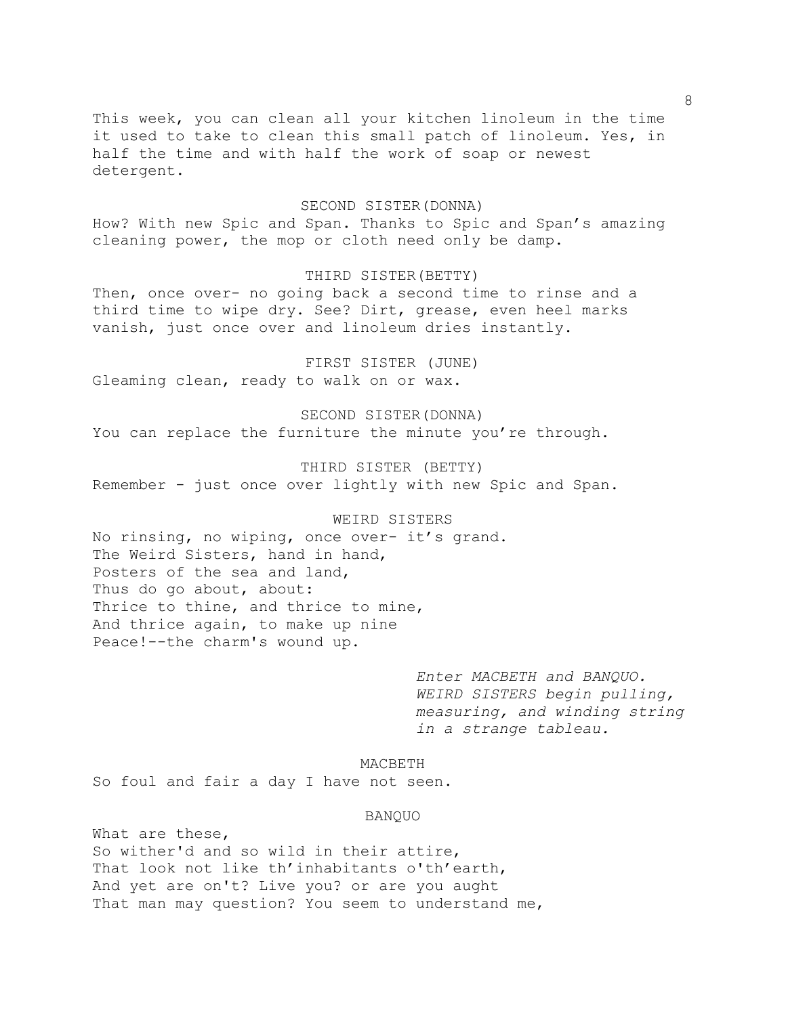This week, you can clean all your kitchen linoleum in the time it used to take to clean this small patch of linoleum. Yes, in half the time and with half the work of soap or newest detergent.

### SECOND SISTER(DONNA)

How? With new Spic and Span. Thanks to Spic and Span's amazing cleaning power, the mop or cloth need only be damp.

# THIRD SISTER(BETTY)

Then, once over- no going back a second time to rinse and a third time to wipe dry. See? Dirt, grease, even heel marks vanish, just once over and linoleum dries instantly.

FIRST SISTER (JUNE) Gleaming clean, ready to walk on or wax.

SECOND SISTER(DONNA) You can replace the furniture the minute you're through.

THIRD SISTER (BETTY) Remember - just once over lightly with new Spic and Span.

WEIRD SISTERS

No rinsing, no wiping, once over- it's grand. The Weird Sisters, hand in hand, Posters of the sea and land, Thus do go about, about: Thrice to thine, and thrice to mine, And thrice again, to make up nine Peace!--the charm's wound up.

> *Enter MACBETH and BANQUO. WEIRD SISTERS begin pulling, measuring, and winding string in a strange tableau.*

MACBETH

So foul and fair a day I have not seen.

#### BANQUO

What are these, So wither'd and so wild in their attire, That look not like th'inhabitants o'th'earth, And yet are on't? Live you? or are you aught That man may question? You seem to understand me,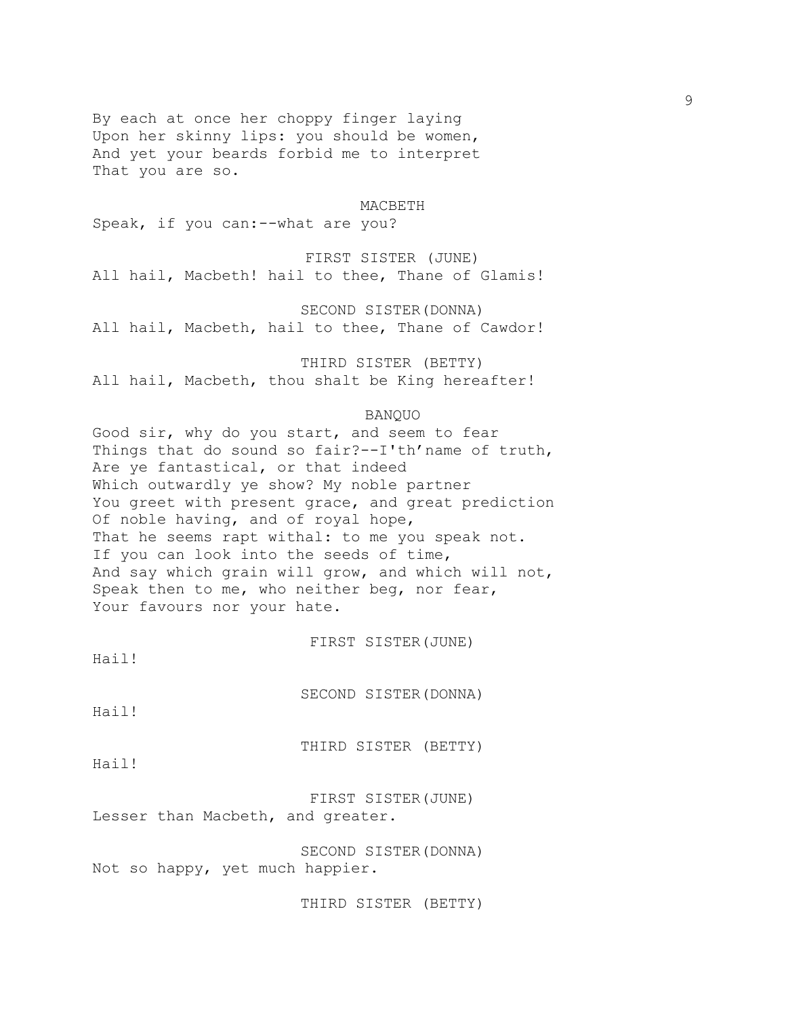By each at once her choppy finger laying Upon her skinny lips: you should be women, And yet your beards forbid me to interpret That you are so.

#### MACBETH

Speak, if you can:--what are you?

FIRST SISTER (JUNE) All hail, Macbeth! hail to thee, Thane of Glamis!

SECOND SISTER(DONNA)

All hail, Macbeth, hail to thee, Thane of Cawdor!

THIRD SISTER (BETTY) All hail, Macbeth, thou shalt be King hereafter!

# BANQUO

Good sir, why do you start, and seem to fear Things that do sound so fair?--I'th'name of truth, Are ye fantastical, or that indeed Which outwardly ye show? My noble partner You greet with present grace, and great prediction Of noble having, and of royal hope, That he seems rapt withal: to me you speak not. If you can look into the seeds of time, And say which grain will grow, and which will not, Speak then to me, who neither beg, nor fear, Your favours nor your hate.

FIRST SISTER(JUNE)

Hail!

SECOND SISTER(DONNA)

Hail!

THIRD SISTER (BETTY)

Hail!

FIRST SISTER(JUNE) Lesser than Macbeth, and greater.

SECOND SISTER(DONNA) Not so happy, yet much happier.

THIRD SISTER (BETTY)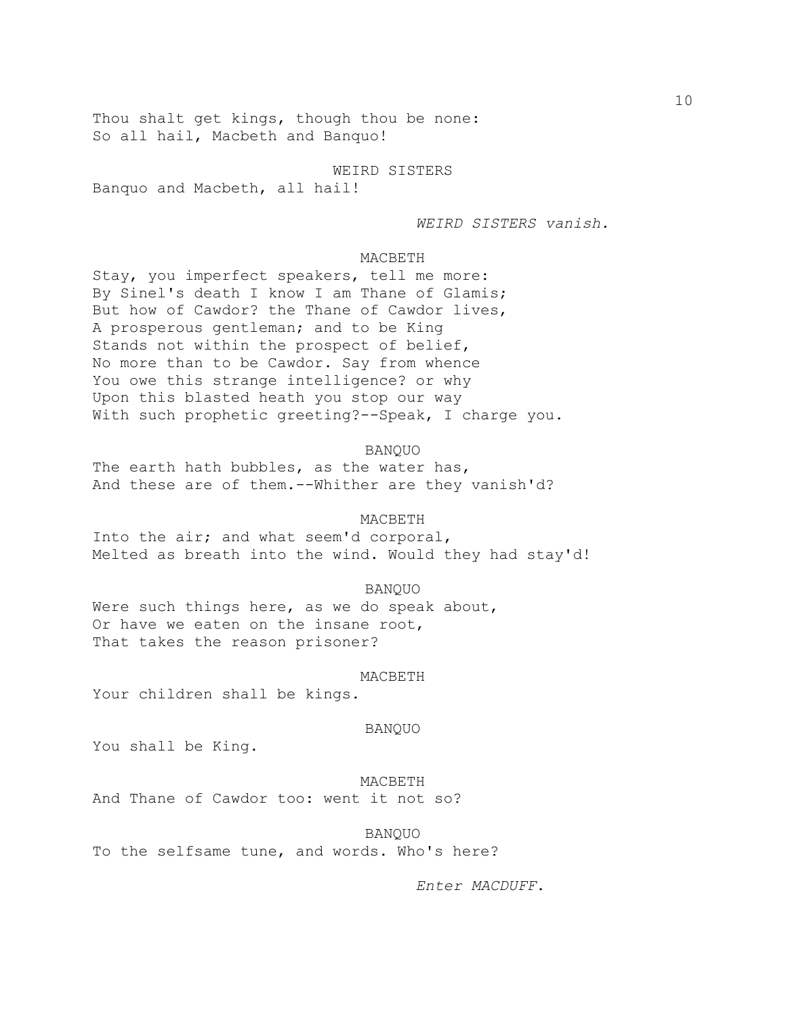Thou shalt get kings, though thou be none: So all hail, Macbeth and Banquo!

WEIRD SISTERS Banquo and Macbeth, all hail!

*WEIRD SISTERS vanish.*

# MACBETH

Stay, you imperfect speakers, tell me more: By Sinel's death I know I am Thane of Glamis; But how of Cawdor? the Thane of Cawdor lives, A prosperous gentleman; and to be King Stands not within the prospect of belief, No more than to be Cawdor. Say from whence You owe this strange intelligence? or why Upon this blasted heath you stop our way With such prophetic greeting?--Speak, I charge you.

BANQUO

The earth hath bubbles, as the water has, And these are of them.--Whither are they vanish'd?

#### MACBETH

Into the air; and what seem'd corporal, Melted as breath into the wind. Would they had stay'd!

### BANQUO

Were such things here, as we do speak about, Or have we eaten on the insane root, That takes the reason prisoner?

#### MACBETH

Your children shall be kings.

# BANQUO

You shall be King.

# MACBETH

And Thane of Cawdor too: went it not so?

BANQUO

To the selfsame tune, and words. Who's here?

*Enter MACDUFF.*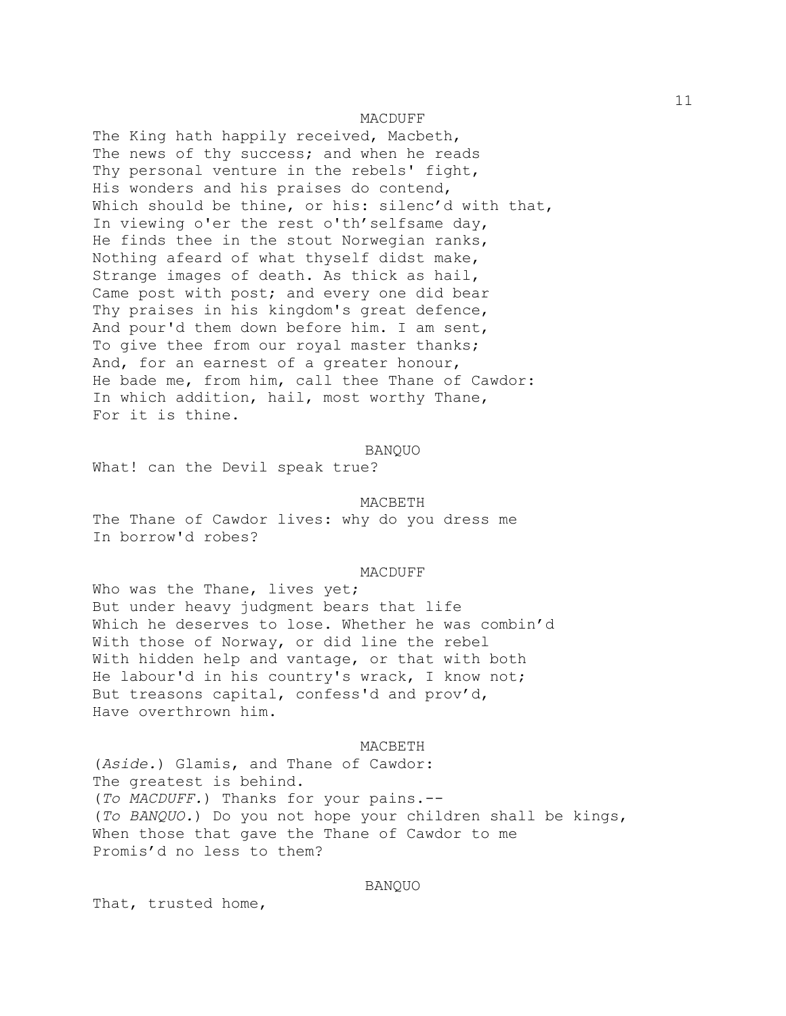### MACDUFF

The King hath happily received, Macbeth, The news of thy success; and when he reads Thy personal venture in the rebels' fight, His wonders and his praises do contend, Which should be thine, or his: silenc'd with that, In viewing o'er the rest o'th' selfsame day, He finds thee in the stout Norwegian ranks, Nothing afeard of what thyself didst make, Strange images of death. As thick as hail, Came post with post; and every one did bear Thy praises in his kingdom's great defence, And pour'd them down before him. I am sent, To give thee from our royal master thanks; And, for an earnest of a greater honour, He bade me, from him, call thee Thane of Cawdor: In which addition, hail, most worthy Thane, For it is thine.

#### BANQUO

What! can the Devil speak true?

#### MACBETH

The Thane of Cawdor lives: why do you dress me In borrow'd robes?

#### MACDUFF

Who was the Thane, lives yet; But under heavy judgment bears that life Which he deserves to lose. Whether he was combin'd With those of Norway, or did line the rebel With hidden help and vantage, or that with both He labour'd in his country's wrack, I know not; But treasons capital, confess'd and prov'd, Have overthrown him.

#### MACBETH

(*Aside.*) Glamis, and Thane of Cawdor: The greatest is behind. (*To MACDUFF.*) Thanks for your pains.-- (*To BANQUO.*) Do you not hope your children shall be kings, When those that gave the Thane of Cawdor to me Promis'd no less to them?

## BANQUO

That, trusted home,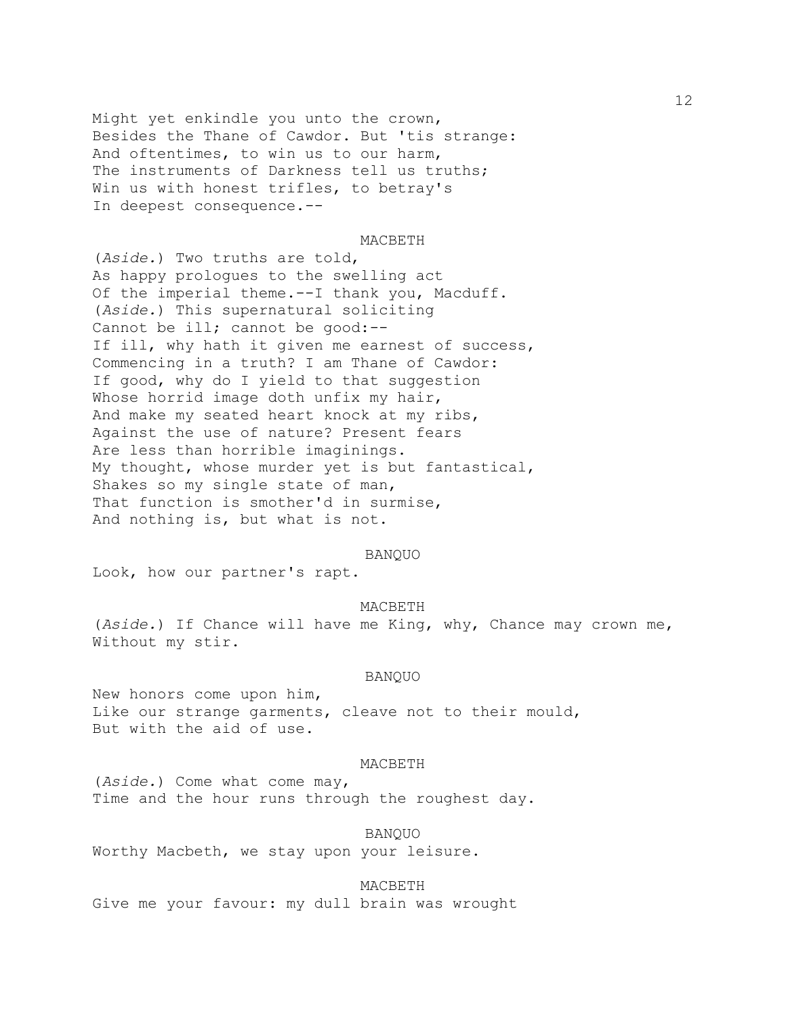Might yet enkindle you unto the crown, Besides the Thane of Cawdor. But 'tis strange: And oftentimes, to win us to our harm, The instruments of Darkness tell us truths; Win us with honest trifles, to betray's In deepest consequence.--

### MACBETH

(*Aside.*) Two truths are told, As happy prologues to the swelling act Of the imperial theme.--I thank you, Macduff. (*Aside.*) This supernatural soliciting Cannot be ill; cannot be good:-- If ill, why hath it given me earnest of success, Commencing in a truth? I am Thane of Cawdor: If good, why do I yield to that suggestion Whose horrid image doth unfix my hair, And make my seated heart knock at my ribs, Against the use of nature? Present fears Are less than horrible imaginings. My thought, whose murder yet is but fantastical, Shakes so my single state of man, That function is smother'd in surmise, And nothing is, but what is not.

#### BANQUO

Look, how our partner's rapt.

### MACBETH

(*Aside.*) If Chance will have me King, why, Chance may crown me, Without my stir.

#### BANQUO

New honors come upon him, Like our strange garments, cleave not to their mould, But with the aid of use.

#### MACBETH

(*Aside.*) Come what come may, Time and the hour runs through the roughest day.

BANQUO

Worthy Macbeth, we stay upon your leisure.

MACBETH

Give me your favour: my dull brain was wrought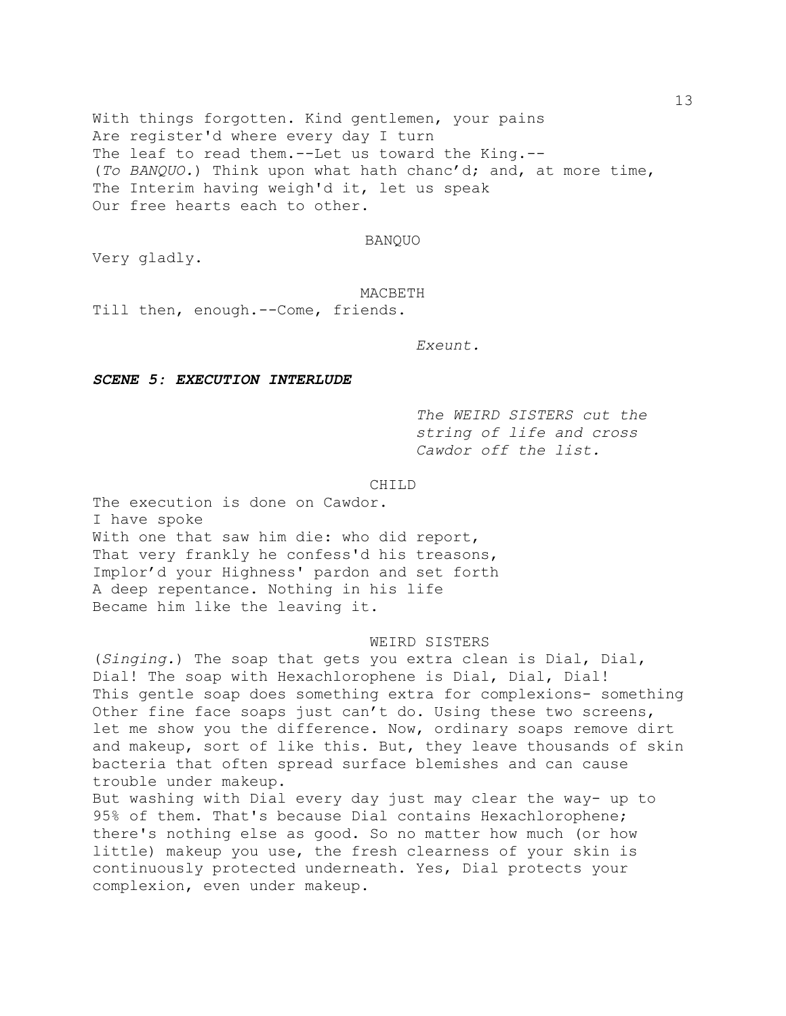With things forgotten. Kind gentlemen, your pains Are register'd where every day I turn The leaf to read them.--Let us toward the King.-- (*To BANQUO.*) Think upon what hath chanc'd; and, at more time, The Interim having weigh'd it, let us speak Our free hearts each to other.

# BANQUO

Very gladly.

### MACBETH

Till then, enough.--Come, friends.

*Exeunt.*

## *SCENE 5: EXECUTION INTERLUDE*

*The WEIRD SISTERS cut the string of life and cross Cawdor off the list.*

CHILD

The execution is done on Cawdor. I have spoke With one that saw him die: who did report, That very frankly he confess'd his treasons, Implor'd your Highness' pardon and set forth A deep repentance. Nothing in his life Became him like the leaving it.

WEIRD SISTERS

(*Singing.*) The soap that gets you extra clean is Dial, Dial, Dial! The soap with Hexachlorophene is Dial, Dial, Dial! This gentle soap does something extra for complexions- something Other fine face soaps just can't do. Using these two screens, let me show you the difference. Now, ordinary soaps remove dirt and makeup, sort of like this. But, they leave thousands of skin bacteria that often spread surface blemishes and can cause trouble under makeup. But washing with Dial every day just may clear the way- up to 95% of them. That's because Dial contains Hexachlorophene; there's nothing else as good. So no matter how much (or how little) makeup you use, the fresh clearness of your skin is continuously protected underneath. Yes, Dial protects your complexion, even under makeup.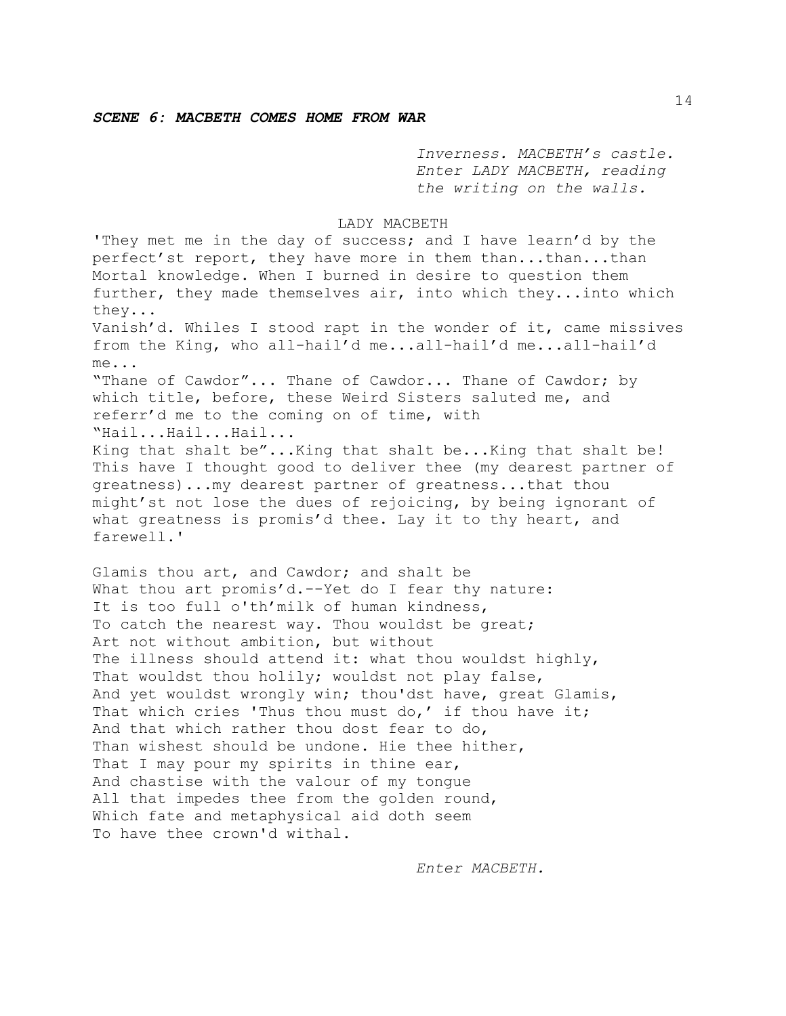*Inverness. MACBETH's castle. Enter LADY MACBETH, reading the writing on the walls.* 

### LADY MACBETH

'They met me in the day of success; and I have learn'd by the perfect'st report, they have more in them than...than...than Mortal knowledge. When I burned in desire to question them further, they made themselves air, into which they...into which they... Vanish'd. Whiles I stood rapt in the wonder of it, came missives from the King, who all-hail'd me...all-hail'd me...all-hail'd me... "Thane of Cawdor"... Thane of Cawdor... Thane of Cawdor; by which title, before, these Weird Sisters saluted me, and referr'd me to the coming on of time, with "Hail...Hail...Hail... King that shalt be"...King that shalt be...King that shalt be! This have I thought good to deliver thee (my dearest partner of greatness)...my dearest partner of greatness...that thou might'st not lose the dues of rejoicing, by being ignorant of what greatness is promis'd thee. Lay it to thy heart, and farewell.'

Glamis thou art, and Cawdor; and shalt be What thou art promis'd.--Yet do I fear thy nature: It is too full o'th'milk of human kindness, To catch the nearest way. Thou wouldst be great; Art not without ambition, but without The illness should attend it: what thou wouldst highly, That wouldst thou holily; wouldst not play false, And yet wouldst wrongly win; thou'dst have, great Glamis, That which cries 'Thus thou must do,' if thou have it; And that which rather thou dost fear to do, Than wishest should be undone. Hie thee hither, That I may pour my spirits in thine ear, And chastise with the valour of my tongue All that impedes thee from the golden round, Which fate and metaphysical aid doth seem To have thee crown'd withal.

*Enter MACBETH.*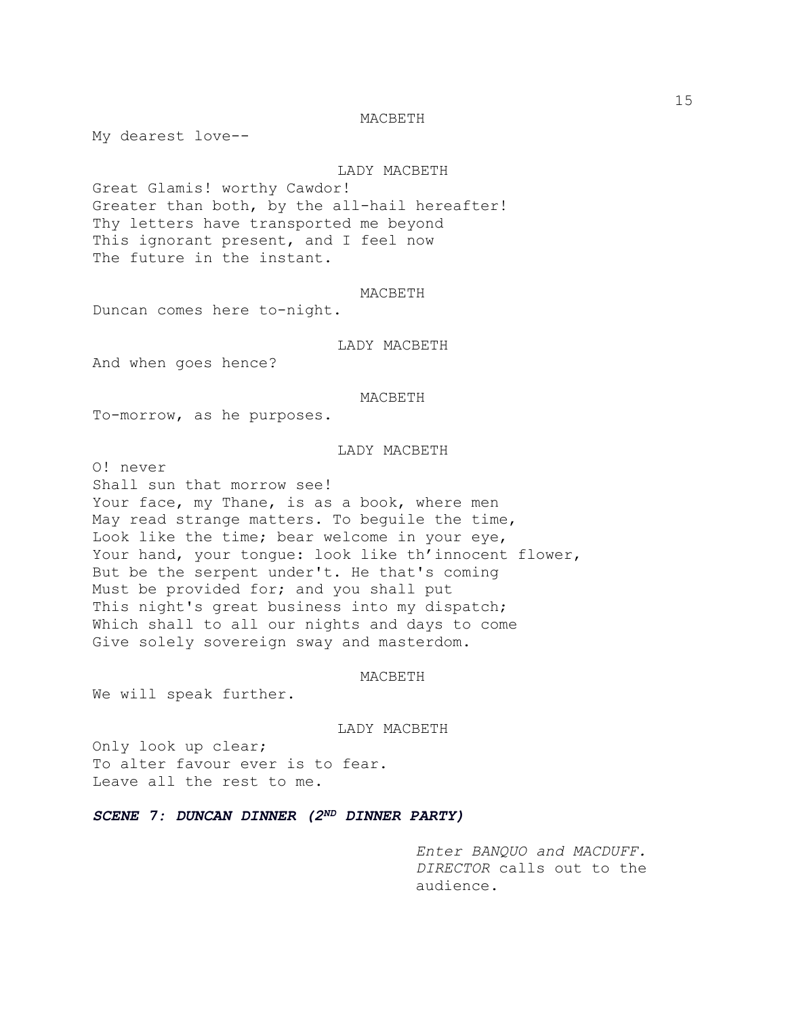## MACBETH

My dearest love--

# LADY MACBETH

Great Glamis! worthy Cawdor! Greater than both, by the all-hail hereafter! Thy letters have transported me beyond This ignorant present, and I feel now The future in the instant.

# MACBETH

Duncan comes here to-night.

# LADY MACBETH

And when goes hence?

#### MACBETH

To-morrow, as he purposes.

# LADY MACBETH

O! never

Shall sun that morrow see! Your face, my Thane, is as a book, where men May read strange matters. To beguile the time, Look like the time; bear welcome in your eye, Your hand, your tongue: look like th'innocent flower, But be the serpent under't. He that's coming Must be provided for; and you shall put This night's great business into my dispatch; Which shall to all our nights and days to come Give solely sovereign sway and masterdom.

### MACBETH

We will speak further.

LADY MACBETH

Only look up clear; To alter favour ever is to fear. Leave all the rest to me.

*SCENE 7: DUNCAN DINNER (2ND DINNER PARTY)*

*Enter BANQUO and MACDUFF. DIRECTOR* calls out to the audience.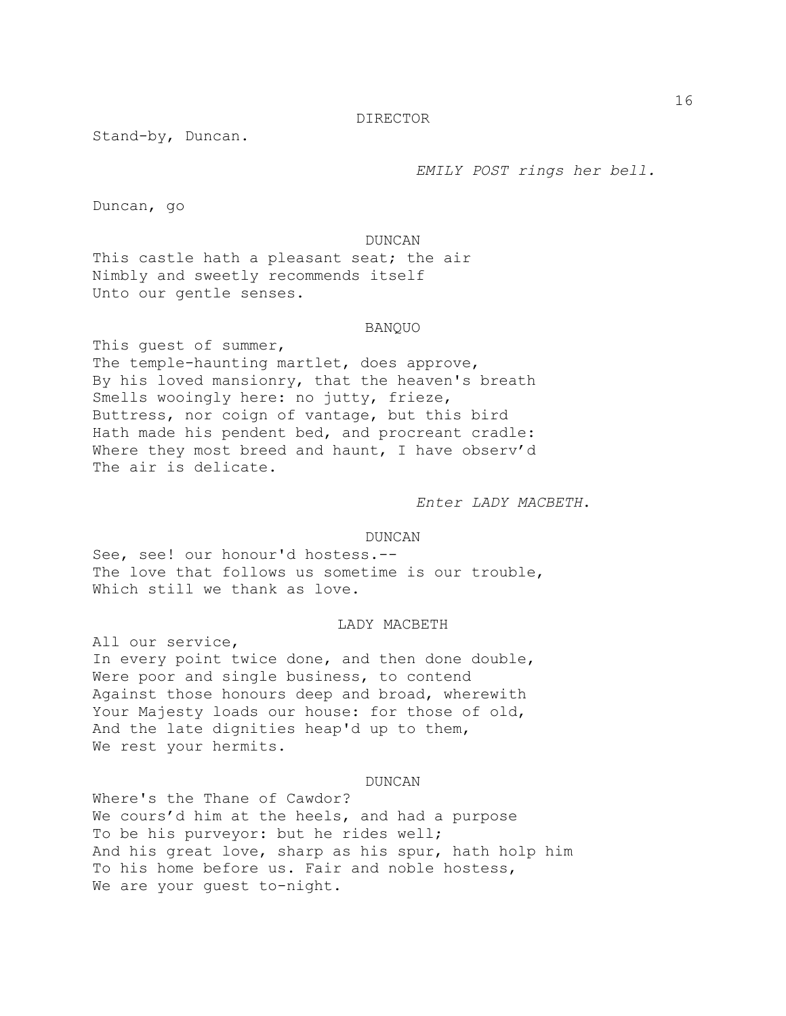### DIRECTOR

Stand-by, Duncan.

*EMILY POST rings her bell.*

Duncan, go

DUNCAN

This castle hath a pleasant seat; the air Nimbly and sweetly recommends itself Unto our gentle senses.

### BANQUO

This guest of summer, The temple-haunting martlet, does approve, By his loved mansionry, that the heaven's breath Smells wooingly here: no jutty, frieze, Buttress, nor coign of vantage, but this bird Hath made his pendent bed, and procreant cradle: Where they most breed and haunt, I have observ'd The air is delicate.

*Enter LADY MACBETH*.

## DUNCAN

See, see! our honour'd hostess.-- The love that follows us sometime is our trouble, Which still we thank as love.

## LADY MACBETH

All our service, In every point twice done, and then done double, Were poor and single business, to contend Against those honours deep and broad, wherewith Your Majesty loads our house: for those of old, And the late dignities heap'd up to them, We rest your hermits.

DUNCAN

Where's the Thane of Cawdor? We cours'd him at the heels, and had a purpose To be his purveyor: but he rides well; And his great love, sharp as his spur, hath holp him To his home before us. Fair and noble hostess, We are your guest to-night.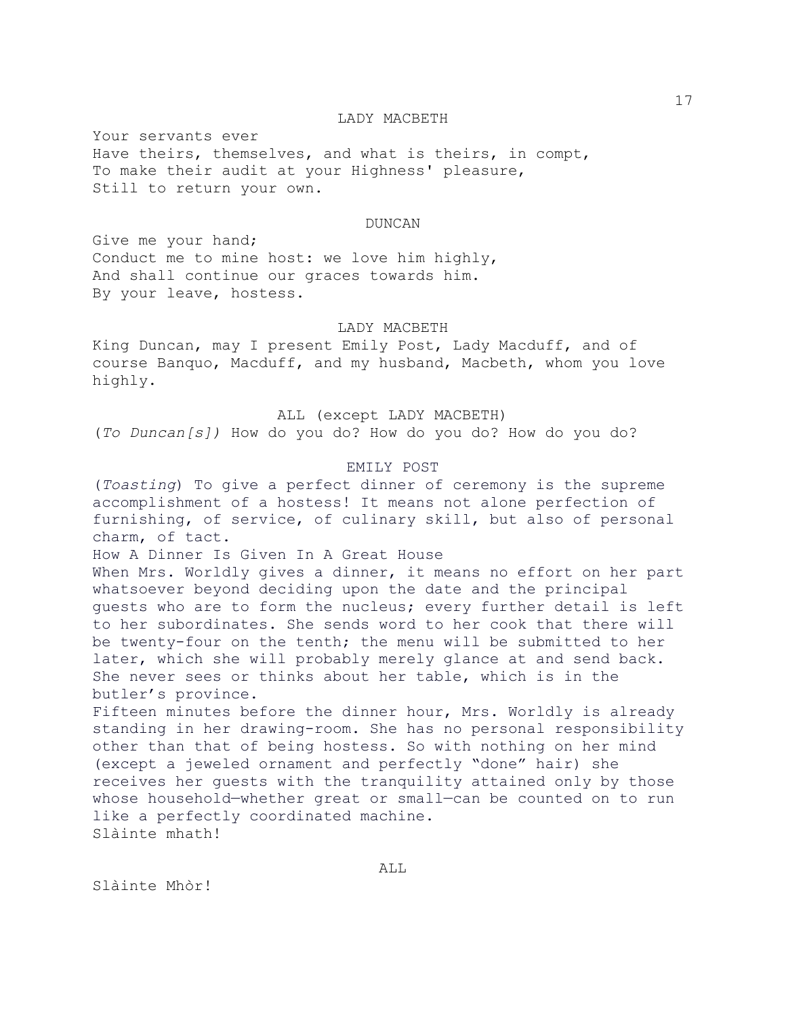### LADY MACBETH

Your servants ever Have theirs, themselves, and what is theirs, in compt, To make their audit at your Highness' pleasure, Still to return your own.

### DUNCAN

Give me your hand; Conduct me to mine host: we love him highly, And shall continue our graces towards him. By your leave, hostess.

#### LADY MACBETH

King Duncan, may I present Emily Post, Lady Macduff, and of course Banquo, Macduff, and my husband, Macbeth, whom you love highly.

ALL (except LADY MACBETH)

(*To Duncan[s])* How do you do? How do you do? How do you do?

## EMILY POST

(*Toasting*) To give a perfect dinner of ceremony is the supreme accomplishment of a hostess! It means not alone perfection of furnishing, of service, of culinary skill, but also of personal charm, of tact.

How A Dinner Is Given In A Great House When Mrs. Worldly gives a dinner, it means no effort on her part whatsoever beyond deciding upon the date and the principal guests who are to form the nucleus; every further detail is left to her subordinates. She sends word to her cook that there will be twenty-four on the tenth; the menu will be submitted to her later, which she will probably merely glance at and send back. She never sees or thinks about her table, which is in the butler's province.

Fifteen minutes before the dinner hour, Mrs. Worldly is already standing in her drawing-room. She has no personal responsibility other than that of being hostess. So with nothing on her mind (except a jeweled ornament and perfectly "done" hair) she receives her guests with the tranquility attained only by those whose household—whether great or small—can be counted on to run like a perfectly coordinated machine. Slàinte mhath!

Slàinte Mhòr!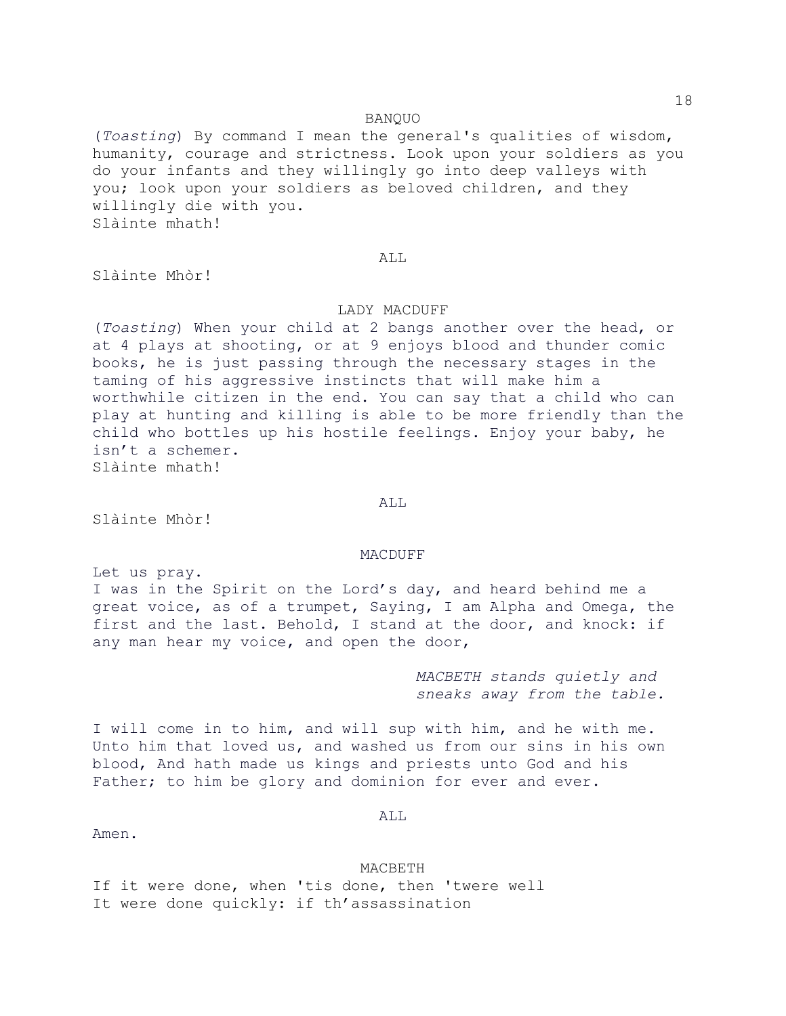(*Toasting*) By command I mean the general's qualities of wisdom, humanity, courage and strictness. Look upon your soldiers as you do your infants and they willingly go into deep valleys with you; look upon your soldiers as beloved children, and they willingly die with you. Slàinte mhath!

### ALL.

Slàinte Mhòr!

# LADY MACDUFF

(*Toasting*) When your child at 2 bangs another over the head, or at 4 plays at shooting, or at 9 enjoys blood and thunder comic books, he is just passing through the necessary stages in the taming of his aggressive instincts that will make him a worthwhile citizen in the end. You can say that a child who can play at hunting and killing is able to be more friendly than the child who bottles up his hostile feelings. Enjoy your baby, he isn't a schemer. Slàinte mhath!

Slàinte Mhòr!

# MACDUFF

ALL

Let us pray. I was in the Spirit on the Lord's day, and heard behind me a great voice, as of a trumpet, Saying, I am Alpha and Omega, the first and the last. Behold, I stand at the door, and knock: if any man hear my voice, and open the door,

> *MACBETH stands quietly and sneaks away from the table.*

I will come in to him, and will sup with him, and he with me. Unto him that loved us, and washed us from our sins in his own blood, And hath made us kings and priests unto God and his Father; to him be glory and dominion for ever and ever.

ALL

Amen.

#### MACBETH

If it were done, when 'tis done, then 'twere well It were done quickly: if th'assassination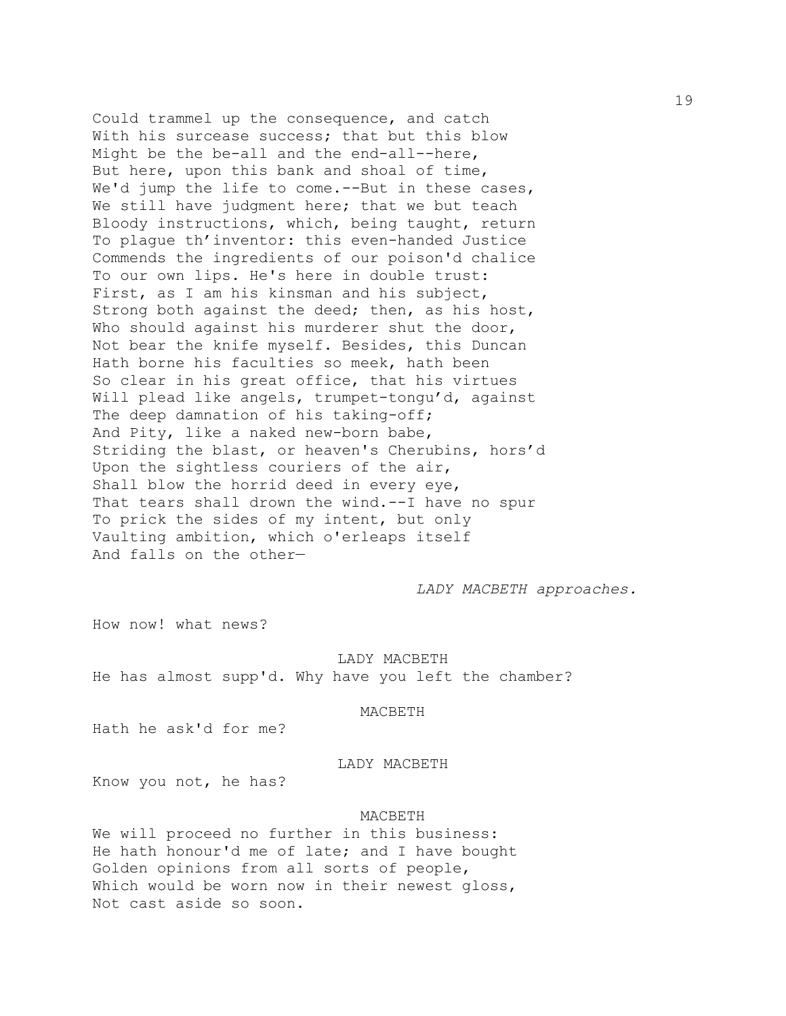Could trammel up the consequence, and catch With his surcease success; that but this blow Might be the be-all and the end-all--here, But here, upon this bank and shoal of time, We'd jump the life to come.--But in these cases, We still have judgment here; that we but teach Bloody instructions, which, being taught, return To plague th'inventor: this even-handed Justice Commends the ingredients of our poison'd chalice To our own lips. He's here in double trust: First, as I am his kinsman and his subject, Strong both against the deed; then, as his host, Who should against his murderer shut the door, Not bear the knife myself. Besides, this Duncan Hath borne his faculties so meek, hath been So clear in his great office, that his virtues Will plead like angels, trumpet-tongu'd, against The deep damnation of his taking-off; And Pity, like a naked new-born babe, Striding the blast, or heaven's Cherubins, hors'd Upon the sightless couriers of the air, Shall blow the horrid deed in every eye, That tears shall drown the wind.--I have no spur To prick the sides of my intent, but only Vaulting ambition, which o'erleaps itself And falls on the other—

*LADY MACBETH approaches.*

How now! what news?

LADY MACBETH He has almost supp'd. Why have you left the chamber?

## MACBETH

Hath he ask'd for me?

## LADY MACBETH

Know you not, he has?

### MACBETH

We will proceed no further in this business: He hath honour'd me of late; and I have bought Golden opinions from all sorts of people, Which would be worn now in their newest gloss, Not cast aside so soon.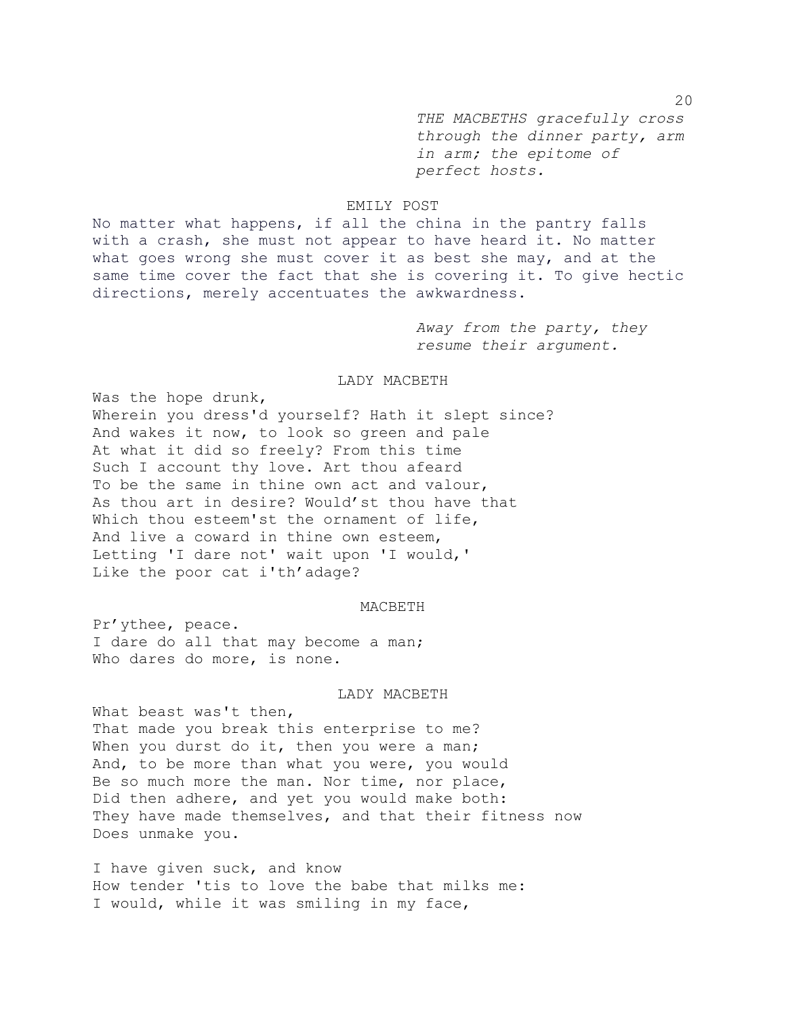*THE MACBETHS gracefully cross through the dinner party, arm in arm; the epitome of perfect hosts.*

# EMILY POST

No matter what happens, if all the china in the pantry falls with a crash, she must not appear to have heard it. No matter what goes wrong she must cover it as best she may, and at the same time cover the fact that she is covering it. To give hectic directions, merely accentuates the awkwardness.

> *Away from the party, they resume their argument.*

# LADY MACBETH

Was the hope drunk, Wherein you dress'd yourself? Hath it slept since? And wakes it now, to look so green and pale At what it did so freely? From this time Such I account thy love. Art thou afeard To be the same in thine own act and valour, As thou art in desire? Would'st thou have that Which thou esteem'st the ornament of life, And live a coward in thine own esteem, Letting 'I dare not' wait upon 'I would,' Like the poor cat i'th'adage?

## MACBETH

Pr'ythee, peace. I dare do all that may become a man; Who dares do more, is none.

### LADY MACBETH

What beast was't then, That made you break this enterprise to me? When you durst do it, then you were a man; And, to be more than what you were, you would Be so much more the man. Nor time, nor place, Did then adhere, and yet you would make both: They have made themselves, and that their fitness now Does unmake you.

I have given suck, and know How tender 'tis to love the babe that milks me: I would, while it was smiling in my face,

20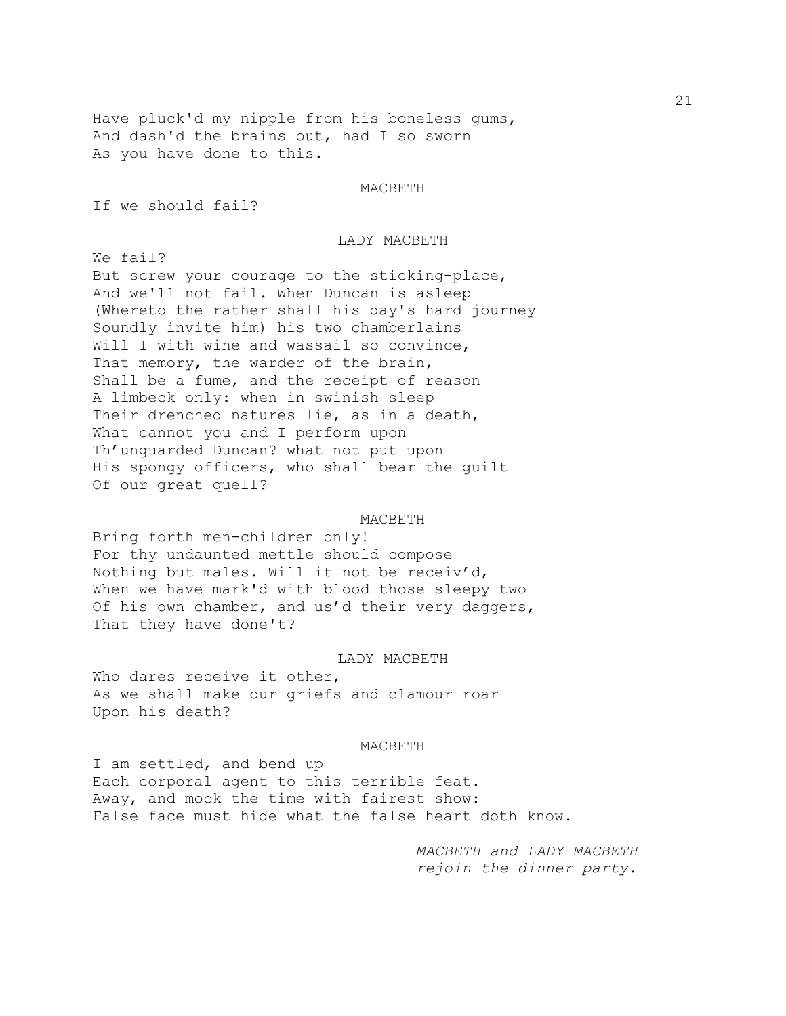Have pluck'd my nipple from his boneless gums, And dash'd the brains out, had I so sworn As you have done to this.

#### MACBETH

If we should fail?

# LADY MACBETH

We fail? But screw your courage to the sticking-place, And we'll not fail. When Duncan is asleep (Whereto the rather shall his day's hard journey Soundly invite him) his two chamberlains Will I with wine and wassail so convince, That memory, the warder of the brain, Shall be a fume, and the receipt of reason A limbeck only: when in swinish sleep Their drenched natures lie, as in a death, What cannot you and I perform upon Th'unguarded Duncan? what not put upon His spongy officers, who shall bear the guilt Of our great quell?

#### MACBETH

Bring forth men-children only! For thy undaunted mettle should compose Nothing but males. Will it not be receiv'd, When we have mark'd with blood those sleepy two Of his own chamber, and us'd their very daggers, That they have done't?

### LADY MACBETH

Who dares receive it other, As we shall make our griefs and clamour roar Upon his death?

#### MACBETH

I am settled, and bend up Each corporal agent to this terrible feat. Away, and mock the time with fairest show: False face must hide what the false heart doth know.

> *MACBETH and LADY MACBETH rejoin the dinner party.*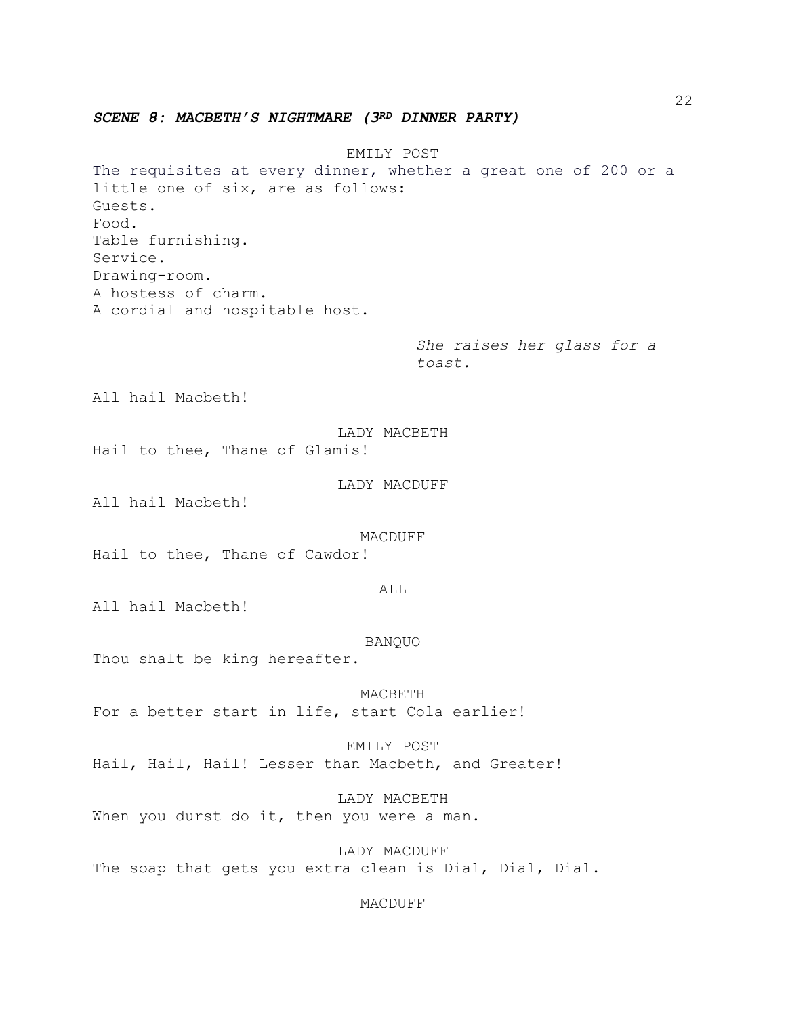*SCENE 8: MACBETH'S NIGHTMARE (3RD DINNER PARTY)*

EMILY POST The requisites at every dinner, whether a great one of 200 or a little one of six, are as follows: Guests. Food. Table furnishing. Service. Drawing-room. A hostess of charm. A cordial and hospitable host.

> *She raises her glass for a toast.*

All hail Macbeth!

LADY MACBETH Hail to thee, Thane of Glamis!

LADY MACDUFF

All hail Macbeth!

MACDUFF

Hail to thee, Thane of Cawdor!

ALL

All hail Macbeth!

BANQUO

Thou shalt be king hereafter.

MACBETH For a better start in life, start Cola earlier!

EMILY POST Hail, Hail, Hail! Lesser than Macbeth, and Greater!

LADY MACBETH When you durst do it, then you were a man.

LADY MACDUFF The soap that gets you extra clean is Dial, Dial, Dial.

MACDUFF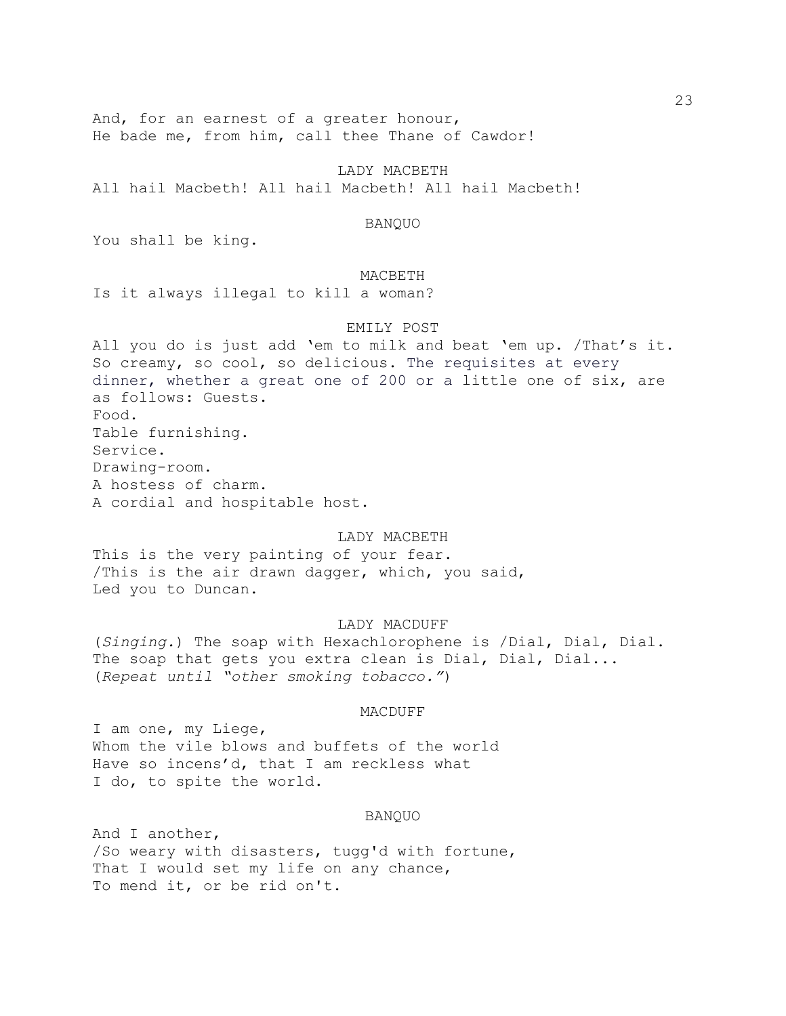And, for an earnest of a greater honour, He bade me, from him, call thee Thane of Cawdor!

LADY MACBETH All hail Macbeth! All hail Macbeth! All hail Macbeth!

### BANQUO

You shall be king.

# MACBETH

Is it always illegal to kill a woman?

### EMILY POST

All you do is just add 'em to milk and beat 'em up. /That's it. So creamy, so cool, so delicious. The requisites at every dinner, whether a great one of 200 or a little one of six, are as follows: Guests. Food. Table furnishing. Service. Drawing-room. A hostess of charm. A cordial and hospitable host.

## LADY MACBETH

This is the very painting of your fear. /This is the air drawn dagger, which, you said, Led you to Duncan.

### LADY MACDUFF

(*Singing.*) The soap with Hexachlorophene is /Dial, Dial, Dial. The soap that gets you extra clean is Dial, Dial, Dial... (*Repeat until "other smoking tobacco."*)

### MACDUFF

I am one, my Liege, Whom the vile blows and buffets of the world Have so incens'd, that I am reckless what I do, to spite the world.

#### BANQUO

And I another, /So weary with disasters, tugg'd with fortune, That I would set my life on any chance, To mend it, or be rid on't.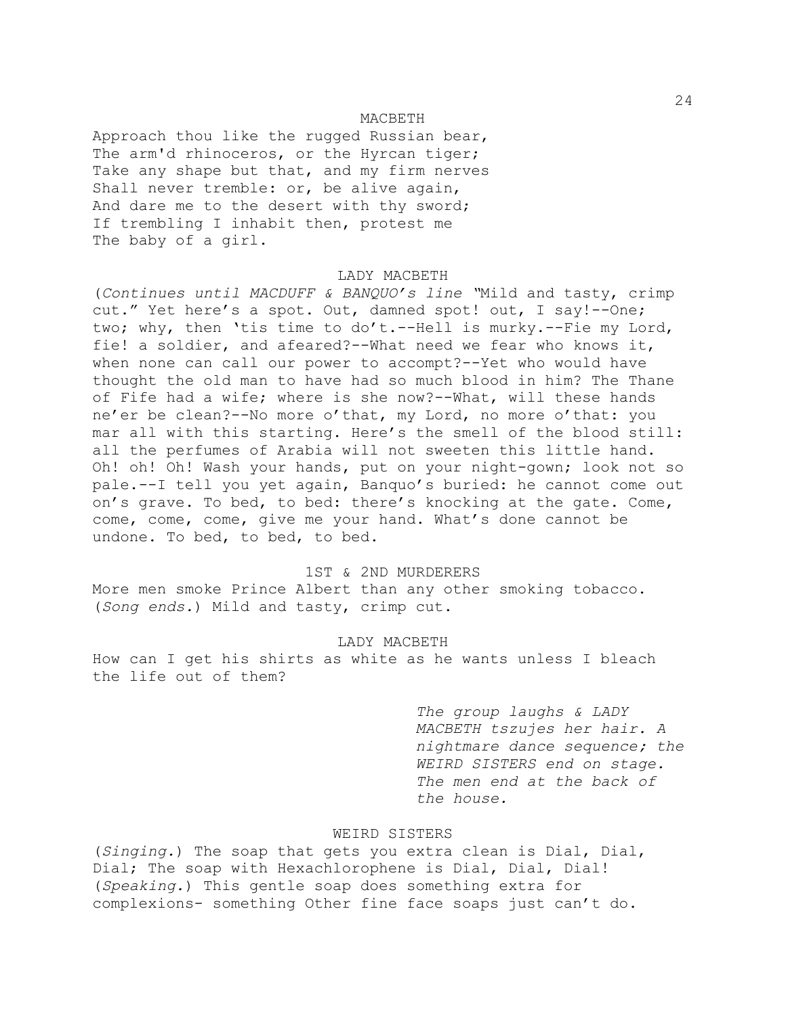### MACBETH

Approach thou like the rugged Russian bear, The arm'd rhinoceros, or the Hyrcan tiger; Take any shape but that, and my firm nerves Shall never tremble: or, be alive again, And dare me to the desert with thy sword; If trembling I inhabit then, protest me The baby of a girl.

# LADY MACBETH

(*Continues until MACDUFF & BANQUO's line "*Mild and tasty, crimp cut." Yet here's a spot. Out, damned spot! out, I say!--One; two; why, then 'tis time to do't.--Hell is murky.--Fie my Lord, fie! a soldier, and afeared?--What need we fear who knows it, when none can call our power to accompt?--Yet who would have thought the old man to have had so much blood in him? The Thane of Fife had a wife; where is she now?--What, will these hands ne'er be clean?--No more o'that, my Lord, no more o'that: you mar all with this starting. Here's the smell of the blood still: all the perfumes of Arabia will not sweeten this little hand. Oh! oh! Oh! Wash your hands, put on your night-gown; look not so pale.--I tell you yet again, Banquo's buried: he cannot come out on's grave. To bed, to bed: there's knocking at the gate. Come, come, come, come, give me your hand. What's done cannot be undone. To bed, to bed, to bed.

# 1ST & 2ND MURDERERS

More men smoke Prince Albert than any other smoking tobacco. (*Song ends.*) Mild and tasty, crimp cut.

# LADY MACBETH

How can I get his shirts as white as he wants unless I bleach the life out of them?

> *The group laughs & LADY MACBETH tszujes her hair. A nightmare dance sequence; the WEIRD SISTERS end on stage. The men end at the back of the house.*

# WEIRD SISTERS

(*Singing.*) The soap that gets you extra clean is Dial, Dial, Dial; The soap with Hexachlorophene is Dial, Dial, Dial! (*Speaking.*) This gentle soap does something extra for complexions- something Other fine face soaps just can't do.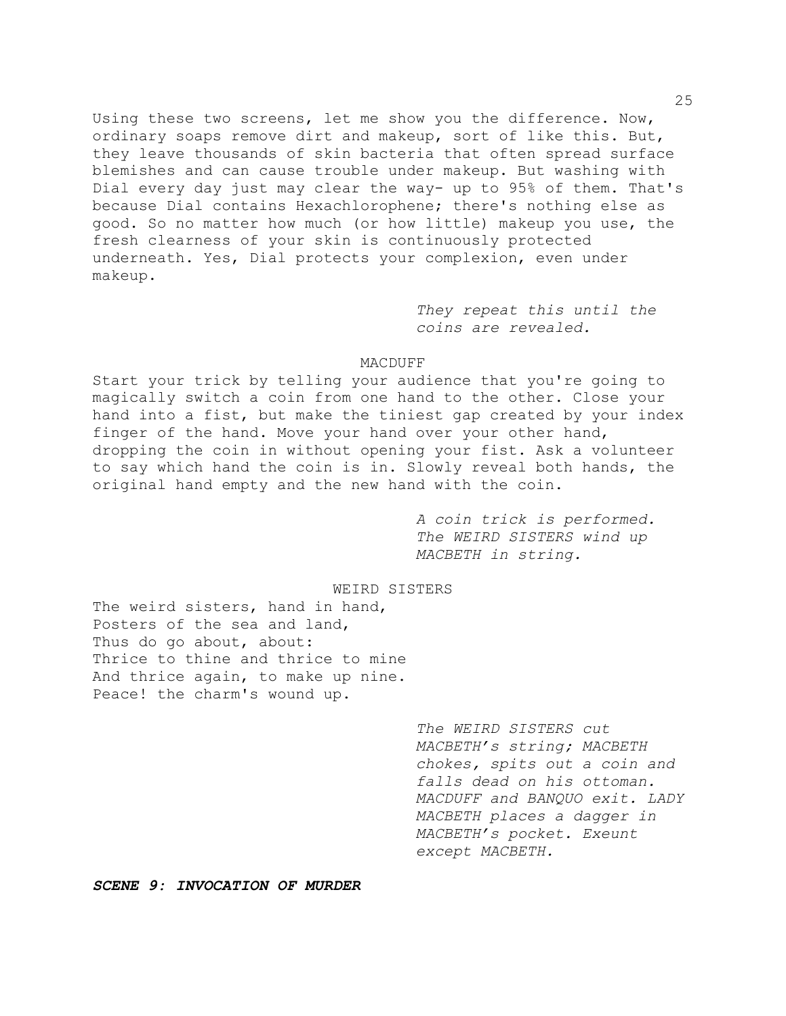Using these two screens, let me show you the difference. Now, ordinary soaps remove dirt and makeup, sort of like this. But, they leave thousands of skin bacteria that often spread surface blemishes and can cause trouble under makeup. But washing with Dial every day just may clear the way- up to 95% of them. That's because Dial contains Hexachlorophene; there's nothing else as good. So no matter how much (or how little) makeup you use, the fresh clearness of your skin is continuously protected underneath. Yes, Dial protects your complexion, even under makeup.

> *They repeat this until the coins are revealed.*

# MACDUFF

Start your trick by telling your audience that you're going to magically switch a coin from one hand to the other. Close your hand into a fist, but make the tiniest gap created by your index finger of the hand. Move your hand over your other hand, dropping the coin in without opening your fist. Ask a volunteer to say which hand the coin is in. Slowly reveal both hands, the original hand empty and the new hand with the coin.

> *A coin trick is performed. The WEIRD SISTERS wind up MACBETH in string.*

## WEIRD SISTERS

The weird sisters, hand in hand, Posters of the sea and land, Thus do go about, about: Thrice to thine and thrice to mine And thrice again, to make up nine. Peace! the charm's wound up.

> *The WEIRD SISTERS cut MACBETH's string; MACBETH chokes, spits out a coin and falls dead on his ottoman. MACDUFF and BANQUO exit. LADY MACBETH places a dagger in MACBETH's pocket. Exeunt except MACBETH.*

*SCENE 9: INVOCATION OF MURDER*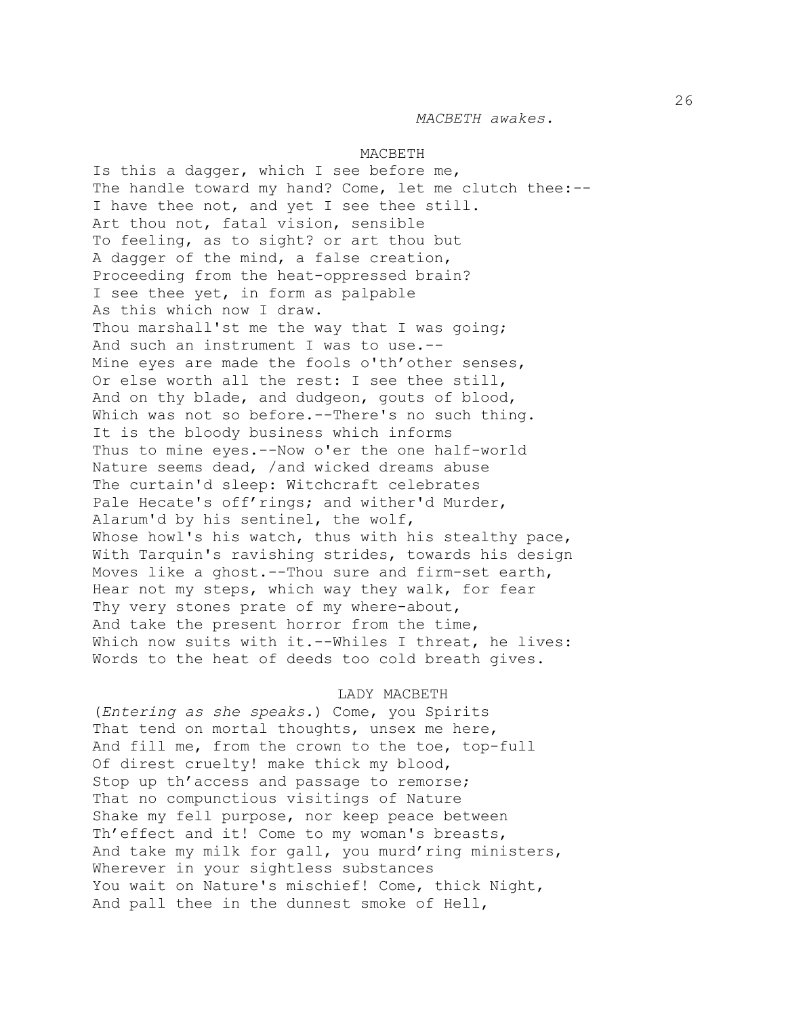#### MACBETH

Is this a dagger, which I see before me, The handle toward my hand? Come, let me clutch thee:-- I have thee not, and yet I see thee still. Art thou not, fatal vision, sensible To feeling, as to sight? or art thou but A dagger of the mind, a false creation, Proceeding from the heat-oppressed brain? I see thee yet, in form as palpable As this which now I draw. Thou marshall'st me the way that I was going; And such an instrument I was to use.-- Mine eyes are made the fools o'th'other senses, Or else worth all the rest: I see thee still, And on thy blade, and dudgeon, gouts of blood, Which was not so before.--There's no such thing. It is the bloody business which informs Thus to mine eyes.--Now o'er the one half-world Nature seems dead, /and wicked dreams abuse The curtain'd sleep: Witchcraft celebrates Pale Hecate's off'rings; and wither'd Murder, Alarum'd by his sentinel, the wolf, Whose howl's his watch, thus with his stealthy pace, With Tarquin's ravishing strides, towards his design Moves like a ghost.--Thou sure and firm-set earth, Hear not my steps, which way they walk, for fear Thy very stones prate of my where-about, And take the present horror from the time, Which now suits with it.--Whiles I threat, he lives: Words to the heat of deeds too cold breath gives.

#### LADY MACBETH

(*Entering as she speaks.*) Come, you Spirits That tend on mortal thoughts, unsex me here, And fill me, from the crown to the toe, top-full Of direst cruelty! make thick my blood, Stop up th'access and passage to remorse; That no compunctious visitings of Nature Shake my fell purpose, nor keep peace between Th'effect and it! Come to my woman's breasts, And take my milk for gall, you murd'ring ministers, Wherever in your sightless substances You wait on Nature's mischief! Come, thick Night, And pall thee in the dunnest smoke of Hell,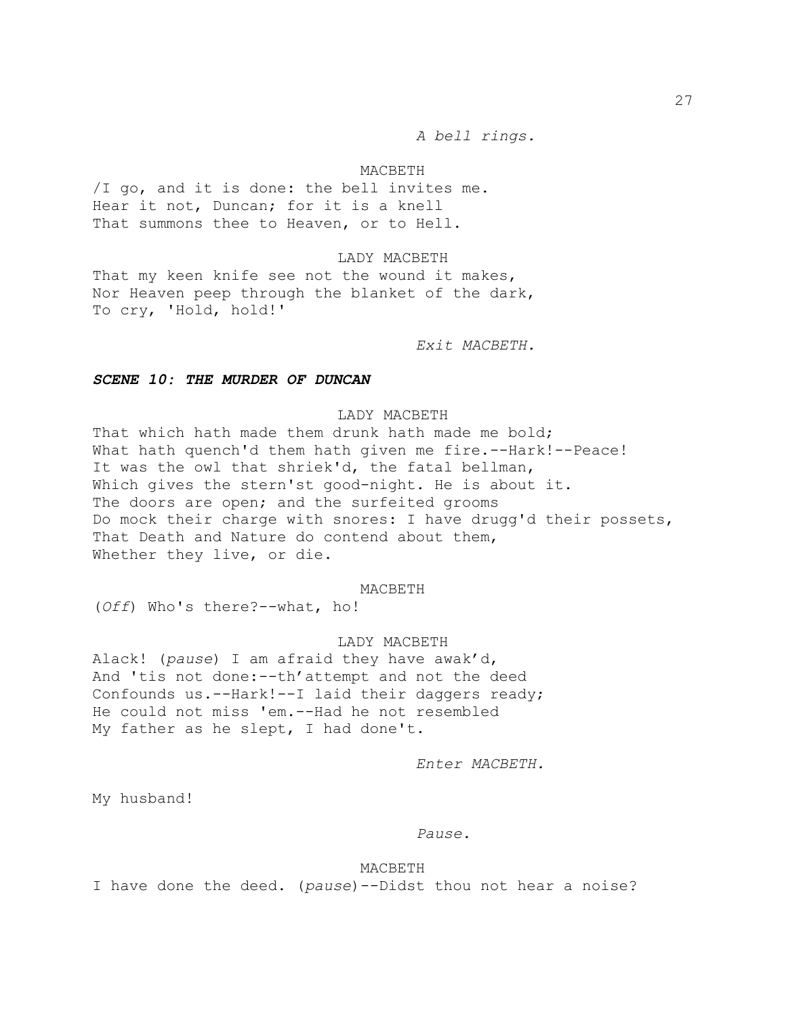*A bell rings.*

# MACBETH

/I go, and it is done: the bell invites me. Hear it not, Duncan; for it is a knell That summons thee to Heaven, or to Hell.

# LADY MACBETH

That my keen knife see not the wound it makes, Nor Heaven peep through the blanket of the dark, To cry, 'Hold, hold!'

*Exit MACBETH.*

# *SCENE 10: THE MURDER OF DUNCAN*

# LADY MACBETH

That which hath made them drunk hath made me bold; What hath quench'd them hath given me fire.--Hark!--Peace! It was the owl that shriek'd, the fatal bellman, Which gives the stern'st good-night. He is about it. The doors are open; and the surfeited grooms Do mock their charge with snores: I have drugg'd their possets, That Death and Nature do contend about them, Whether they live, or die.

#### MACBETH

(*Off*) Who's there?--what, ho!

# LADY MACBETH

Alack! (*pause*) I am afraid they have awak'd, And 'tis not done:--th'attempt and not the deed Confounds us.--Hark!--I laid their daggers ready; He could not miss 'em.--Had he not resembled My father as he slept, I had done't.

*Enter MACBETH.*

My husband!

# *Pause.*

MACBETH I have done the deed. (*pause*)--Didst thou not hear a noise?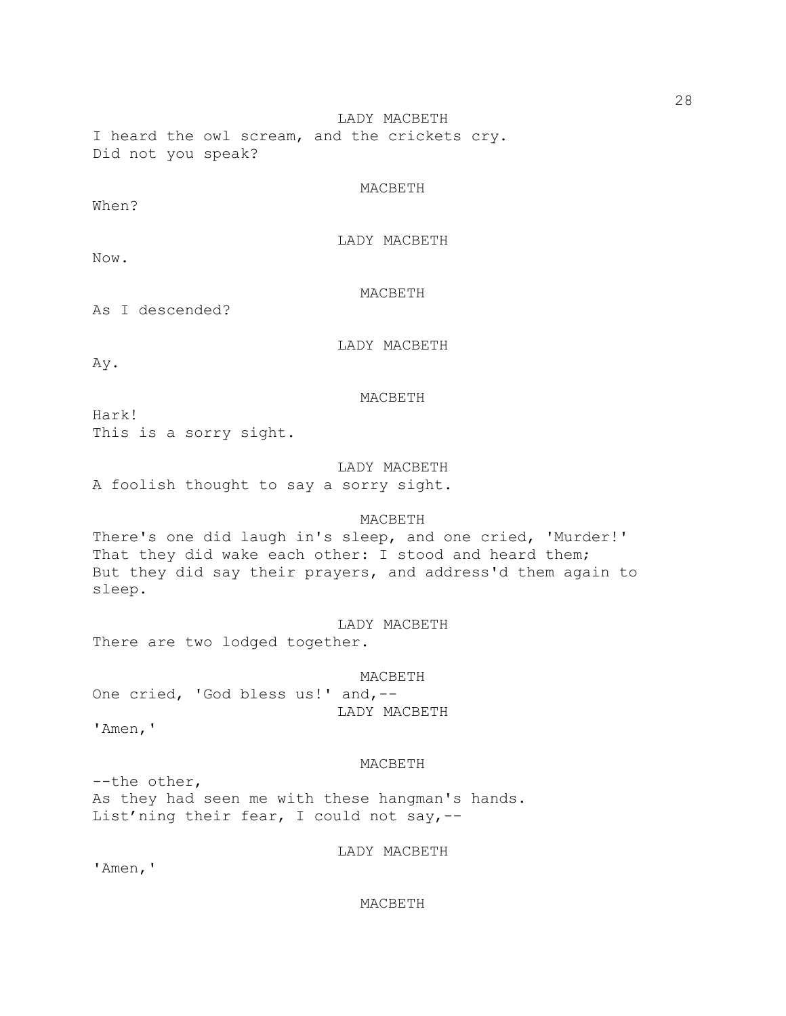LADY MACBETH I heard the owl scream, and the crickets cry. Did not you speak?

# MACBETH

When?

LADY MACBETH

Now.

MACBETH

As I descended?

LADY MACBETH

Ay.

# MACBETH

Hark! This is a sorry sight.

LADY MACBETH A foolish thought to say a sorry sight.

# MACBETH

There's one did laugh in's sleep, and one cried, 'Murder!' That they did wake each other: I stood and heard them; But they did say their prayers, and address'd them again to sleep.

LADY MACBETH

There are two lodged together.

MACBETH One cried, 'God bless us!' and,-- LADY MACBETH

'Amen,'

# MACBETH

--the other, As they had seen me with these hangman's hands. List'ning their fear, I could not say,--

LADY MACBETH

'Amen,'

MACBETH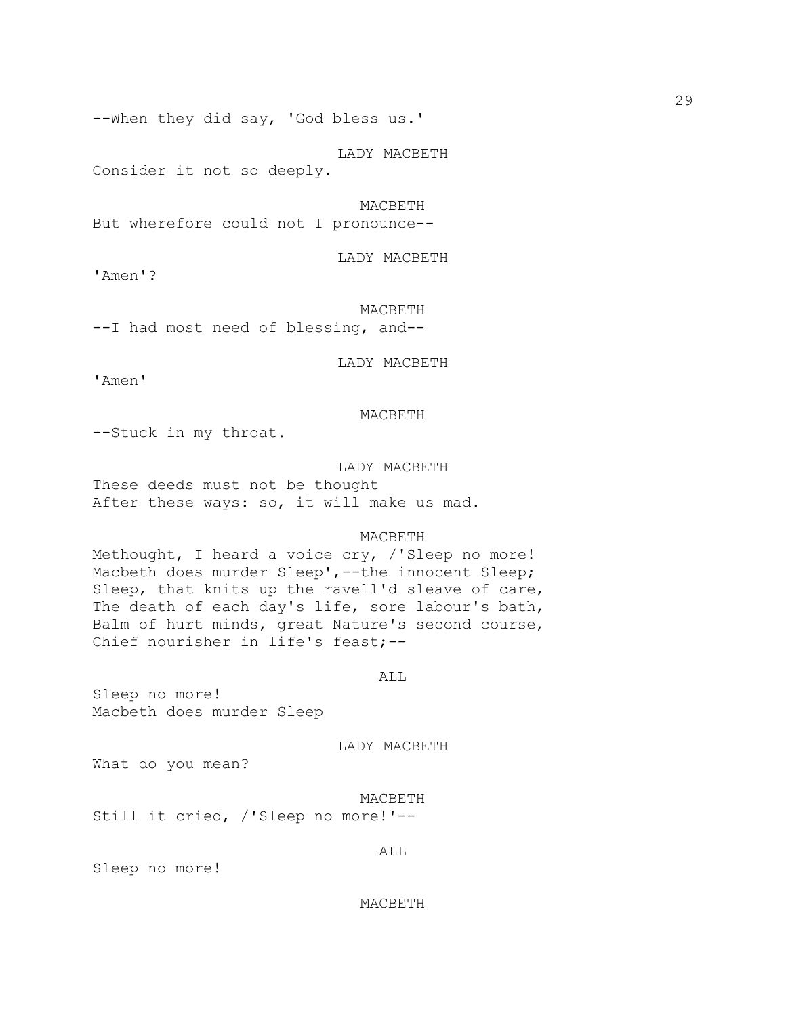--When they did say, 'God bless us.'

LADY MACBETH Consider it not so deeply.

MACBETH

But wherefore could not I pronounce--

LADY MACBETH

'Amen'?

MACBETH

--I had most need of blessing, and--

LADY MACBETH

'Amen'

# MACBETH

--Stuck in my throat.

### LADY MACBETH

These deeds must not be thought After these ways: so, it will make us mad.

## MACBETH

Methought, I heard a voice cry, /'Sleep no more! Macbeth does murder Sleep',--the innocent Sleep; Sleep, that knits up the ravell'd sleave of care, The death of each day's life, sore labour's bath, Balm of hurt minds, great Nature's second course, Chief nourisher in life's feast;--

## ALL

Sleep no more! Macbeth does murder Sleep

LADY MACBETH

What do you mean?

MACBETH

Still it cried, /'Sleep no more!'--

Sleep no more!

### MACBETH

ALL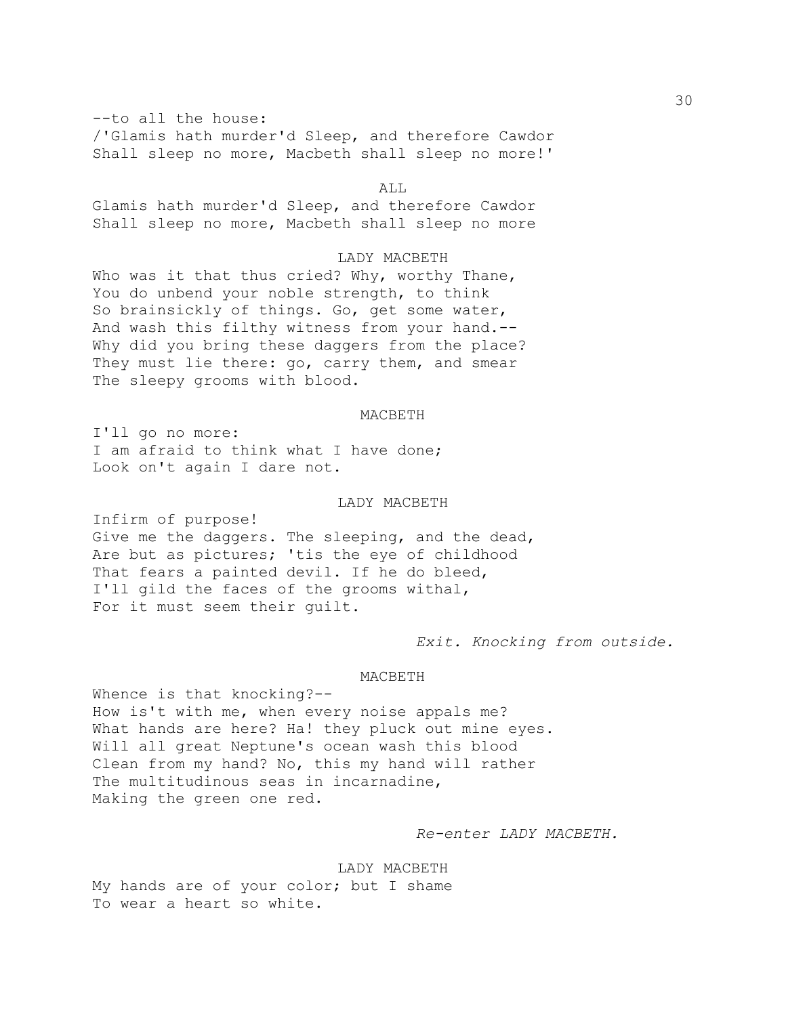--to all the house: /'Glamis hath murder'd Sleep, and therefore Cawdor Shall sleep no more, Macbeth shall sleep no more!'

### ALL

Glamis hath murder'd Sleep, and therefore Cawdor Shall sleep no more, Macbeth shall sleep no more

# LADY MACBETH

Who was it that thus cried? Why, worthy Thane, You do unbend your noble strength, to think So brainsickly of things. Go, get some water, And wash this filthy witness from your hand.-- Why did you bring these daggers from the place? They must lie there: go, carry them, and smear The sleepy grooms with blood.

## MACBETH

I'll go no more: I am afraid to think what I have done; Look on't again I dare not.

# LADY MACBETH

Infirm of purpose! Give me the daggers. The sleeping, and the dead, Are but as pictures; 'tis the eye of childhood That fears a painted devil. If he do bleed, I'll gild the faces of the grooms withal, For it must seem their guilt.

*Exit. Knocking from outside.*

# MACBETH

Whence is that knocking?-- How is't with me, when every noise appals me? What hands are here? Ha! they pluck out mine eyes. Will all great Neptune's ocean wash this blood Clean from my hand? No, this my hand will rather The multitudinous seas in incarnadine, Making the green one red.

# *Re-enter LADY MACBETH.*

LADY MACBETH My hands are of your color; but I shame To wear a heart so white.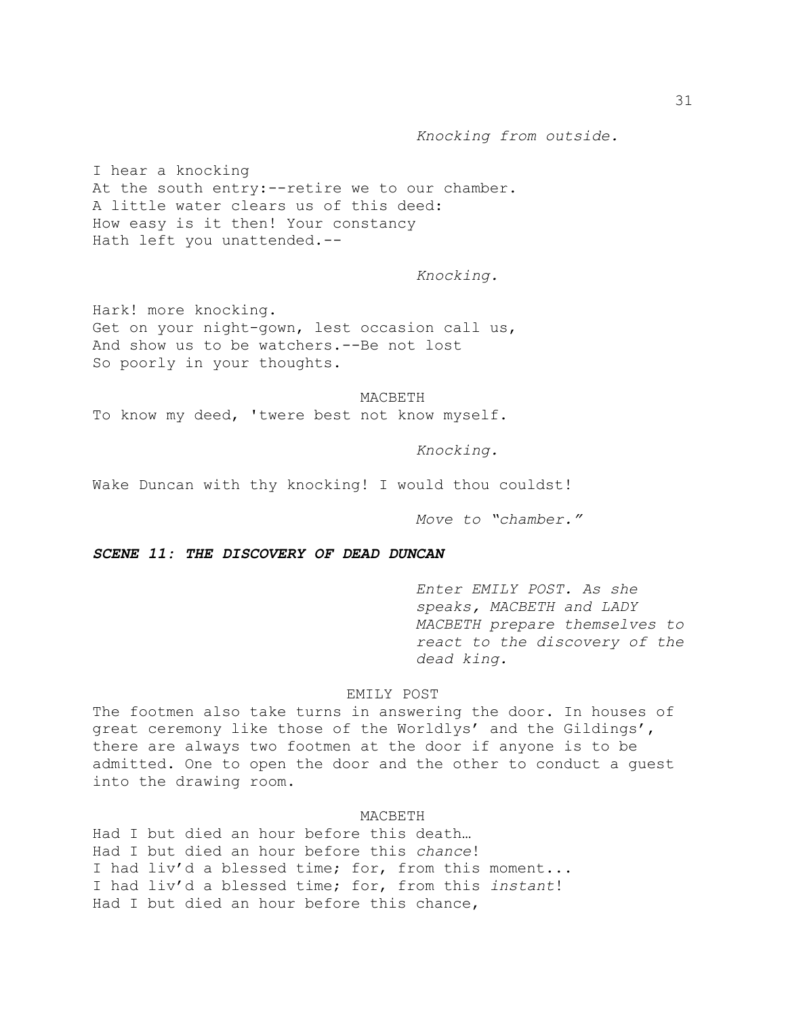*Knocking from outside.*

I hear a knocking At the south entry:--retire we to our chamber. A little water clears us of this deed: How easy is it then! Your constancy Hath left you unattended.--

*Knocking.*

Hark! more knocking. Get on your night-gown, lest occasion call us, And show us to be watchers.--Be not lost So poorly in your thoughts.

#### MACBETH

To know my deed, 'twere best not know myself.

*Knocking.*

Wake Duncan with thy knocking! I would thou couldst!

*Move to "chamber."*

*SCENE 11: THE DISCOVERY OF DEAD DUNCAN*

*Enter EMILY POST. As she speaks, MACBETH and LADY MACBETH prepare themselves to react to the discovery of the dead king.*

## EMILY POST

The footmen also take turns in answering the door. In houses of great ceremony like those of the Worldlys' and the Gildings', there are always two footmen at the door if anyone is to be admitted. One to open the door and the other to conduct a guest into the drawing room.

#### MACBETH

Had I but died an hour before this death… Had I but died an hour before this *chance*! I had liv'd a blessed time; for, from this moment... I had liv'd a blessed time; for, from this *instant*! Had I but died an hour before this chance,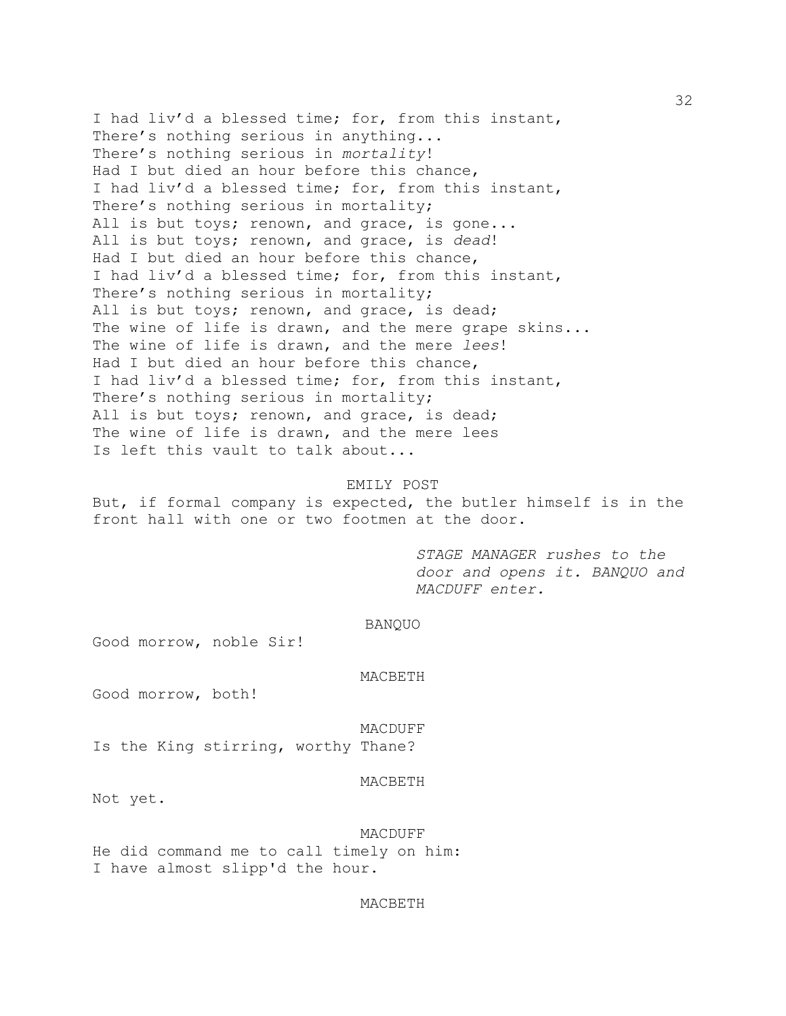I had liv'd a blessed time; for, from this instant, There's nothing serious in anything... There's nothing serious in *mortality*! Had I but died an hour before this chance, I had liv'd a blessed time; for, from this instant, There's nothing serious in mortality; All is but toys; renown, and grace, is gone... All is but toys; renown, and grace, is *dead*! Had I but died an hour before this chance, I had liv'd a blessed time; for, from this instant, There's nothing serious in mortality; All is but toys; renown, and grace, is dead; The wine of life is drawn, and the mere grape skins... The wine of life is drawn, and the mere *lees*! Had I but died an hour before this chance, I had liv'd a blessed time; for, from this instant, There's nothing serious in mortality; All is but toys; renown, and grace, is dead; The wine of life is drawn, and the mere lees Is left this vault to talk about...

## EMILY POST

But, if formal company is expected, the butler himself is in the front hall with one or two footmen at the door.

> *STAGE MANAGER rushes to the door and opens it. BANQUO and MACDUFF enter.*

### BANQUO

Good morrow, noble Sir!

#### MACBETH

Good morrow, both!

#### MACDUFF

Is the King stirring, worthy Thane?

#### MACBETH

Not yet.

# MACDUFF

He did command me to call timely on him: I have almost slipp'd the hour.

### MACBETH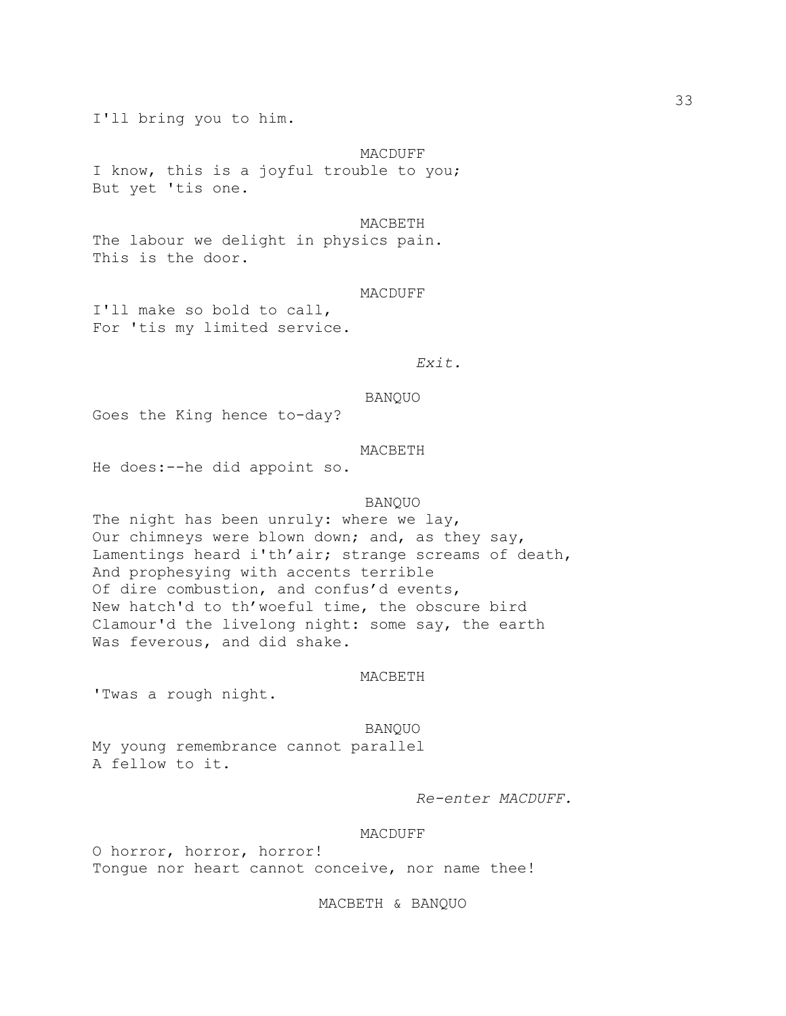I'll bring you to him.

MACDUFF

I know, this is a joyful trouble to you; But yet 'tis one.

#### MACBETH

The labour we delight in physics pain. This is the door.

### MACDUFF

I'll make so bold to call, For 'tis my limited service.

# *Exit.*

#### BANQUO

Goes the King hence to-day?

### MACBETH

He does:--he did appoint so.

# BANQUO

The night has been unruly: where we lay, Our chimneys were blown down; and, as they say, Lamentings heard i'th'air; strange screams of death, And prophesying with accents terrible Of dire combustion, and confus'd events, New hatch'd to th'woeful time, the obscure bird Clamour'd the livelong night: some say, the earth Was feverous, and did shake.

#### MACBETH

'Twas a rough night.

#### BANQUO

My young remembrance cannot parallel A fellow to it.

*Re-enter MACDUFF.*

### MACDUFF

O horror, horror, horror! Tongue nor heart cannot conceive, nor name thee!

MACBETH & BANQUO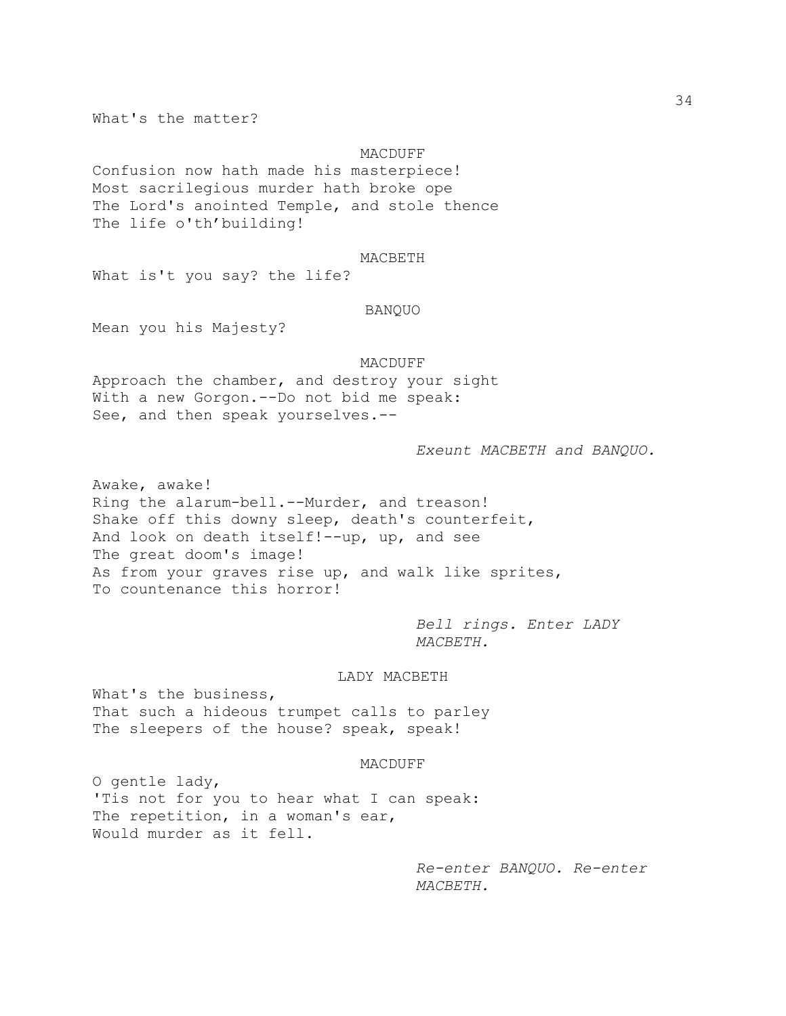What's the matter?

## MACDUFF

Confusion now hath made his masterpiece! Most sacrilegious murder hath broke ope The Lord's anointed Temple, and stole thence The life o'th'building!

### MACBETH

What is't you say? the life?

### BANQUO

Mean you his Majesty?

## MACDUFF

Approach the chamber, and destroy your sight With a new Gorgon.--Do not bid me speak: See, and then speak yourselves.--

### *Exeunt MACBETH and BANQUO.*

Awake, awake! Ring the alarum-bell.--Murder, and treason! Shake off this downy sleep, death's counterfeit, And look on death itself!--up, up, and see The great doom's image! As from your graves rise up, and walk like sprites, To countenance this horror!

> *Bell rings. Enter LADY MACBETH.*

## LADY MACBETH

What's the business, That such a hideous trumpet calls to parley The sleepers of the house? speak, speak!

### MACDUFF

O gentle lady, 'Tis not for you to hear what I can speak: The repetition, in a woman's ear, Would murder as it fell.

> *Re-enter BANQUO. Re-enter MACBETH.*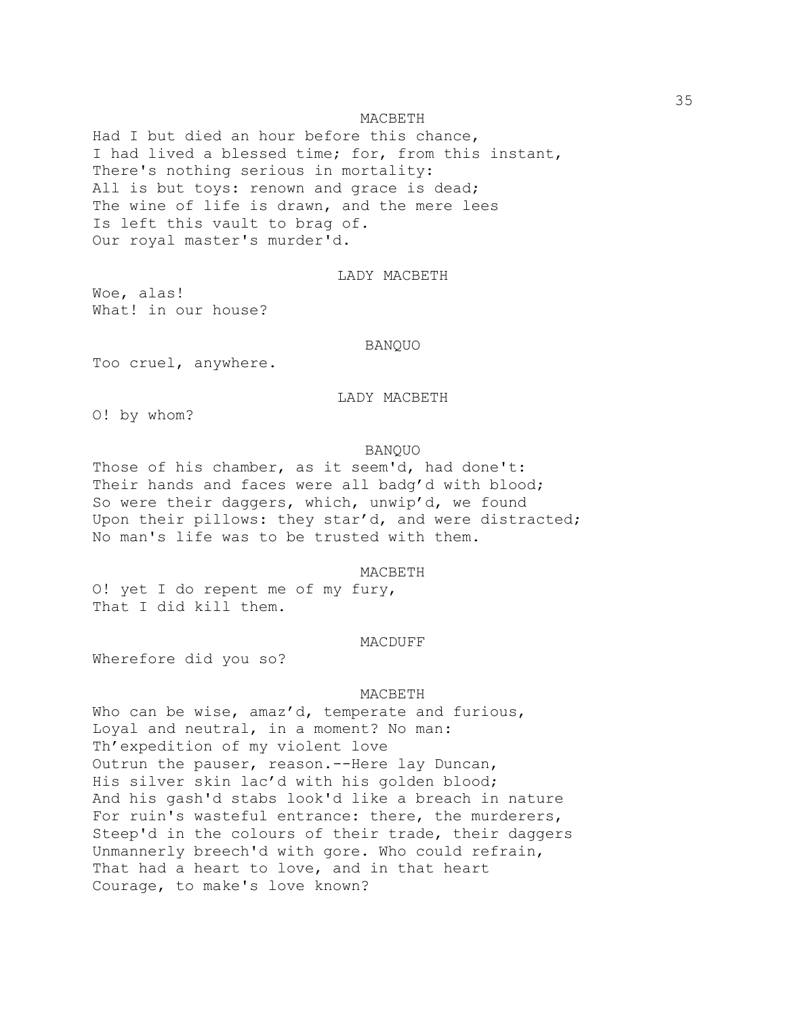### MACBETH

Had I but died an hour before this chance, I had lived a blessed time; for, from this instant, There's nothing serious in mortality: All is but toys: renown and grace is dead; The wine of life is drawn, and the mere lees Is left this vault to brag of. Our royal master's murder'd.

LADY MACBETH

Woe, alas! What! in our house?

## BANQUO

Too cruel, anywhere.

# LADY MACBETH

O! by whom?

### BANQUO

Those of his chamber, as it seem'd, had done't: Their hands and faces were all badg'd with blood; So were their daggers, which, unwip'd, we found Upon their pillows: they star'd, and were distracted; No man's life was to be trusted with them.

## MACBETH

O! yet I do repent me of my fury, That I did kill them.

#### MACDUFF

Wherefore did you so?

#### MACBETH

Who can be wise, amaz'd, temperate and furious, Loyal and neutral, in a moment? No man: Th'expedition of my violent love Outrun the pauser, reason.--Here lay Duncan, His silver skin lac'd with his golden blood; And his gash'd stabs look'd like a breach in nature For ruin's wasteful entrance: there, the murderers, Steep'd in the colours of their trade, their daggers Unmannerly breech'd with gore. Who could refrain, That had a heart to love, and in that heart Courage, to make's love known?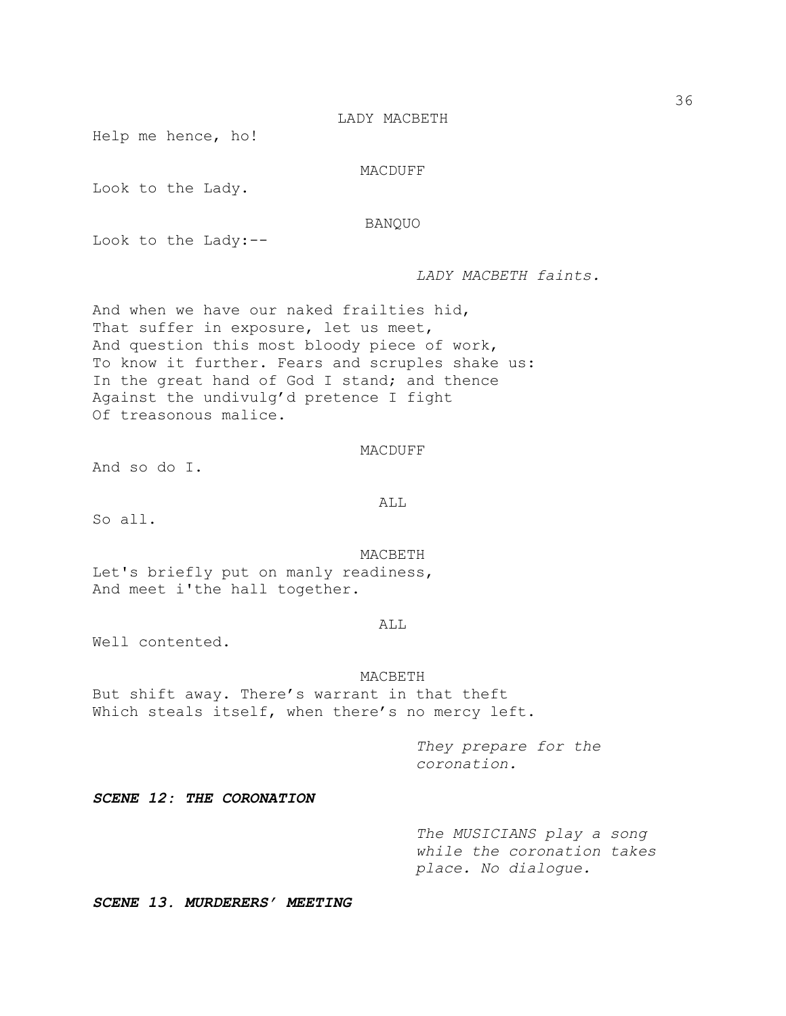Help me hence, ho!

MACDUFF

Look to the Lady.

BANQUO

Look to the Lady:--

*LADY MACBETH faints.*

And when we have our naked frailties hid, That suffer in exposure, let us meet, And question this most bloody piece of work, To know it further. Fears and scruples shake us: In the great hand of God I stand; and thence Against the undivulg'd pretence I fight Of treasonous malice.

MACDUFF

And so do I.

ALL

So all.

MACBETH Let's briefly put on manly readiness, And meet i'the hall together.

### ALL

Well contented.

#### MACBETH

But shift away. There's warrant in that theft Which steals itself, when there's no mercy left.

> *They prepare for the coronation.*

*SCENE 12: THE CORONATION*

*The MUSICIANS play a song while the coronation takes place. No dialogue.*

*SCENE 13. MURDERERS' MEETING*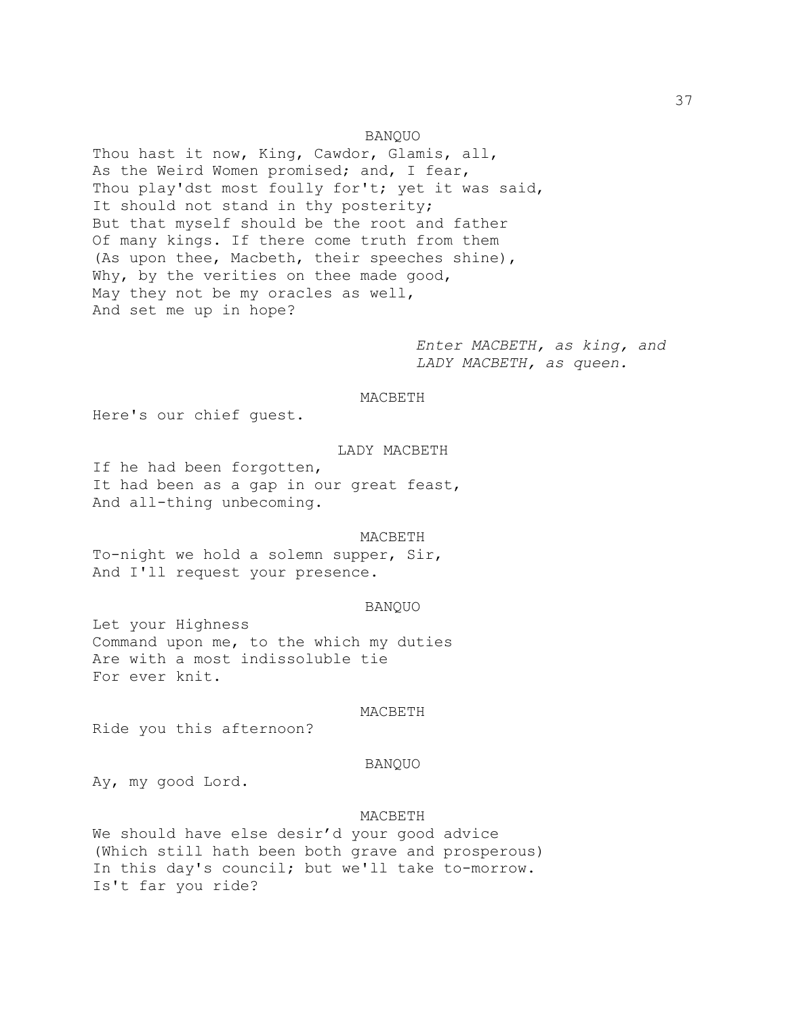Thou hast it now, King, Cawdor, Glamis, all, As the Weird Women promised; and, I fear, Thou play'dst most foully for't; yet it was said, It should not stand in thy posterity; But that myself should be the root and father Of many kings. If there come truth from them (As upon thee, Macbeth, their speeches shine), Why, by the verities on thee made good, May they not be my oracles as well, And set me up in hope?

> *Enter MACBETH, as king, and LADY MACBETH, as queen.*

#### MACBETH

BANQUO

Here's our chief guest.

### LADY MACBETH

If he had been forgotten, It had been as a gap in our great feast, And all-thing unbecoming.

#### MACBETH

To-night we hold a solemn supper, Sir, And I'll request your presence.

### BANQUO

Let your Highness Command upon me, to the which my duties Are with a most indissoluble tie For ever knit.

### MACBETH

Ride you this afternoon?

#### BANQUO

Ay, my good Lord.

#### MACBETH

We should have else desir'd your good advice (Which still hath been both grave and prosperous) In this day's council; but we'll take to-morrow. Is't far you ride?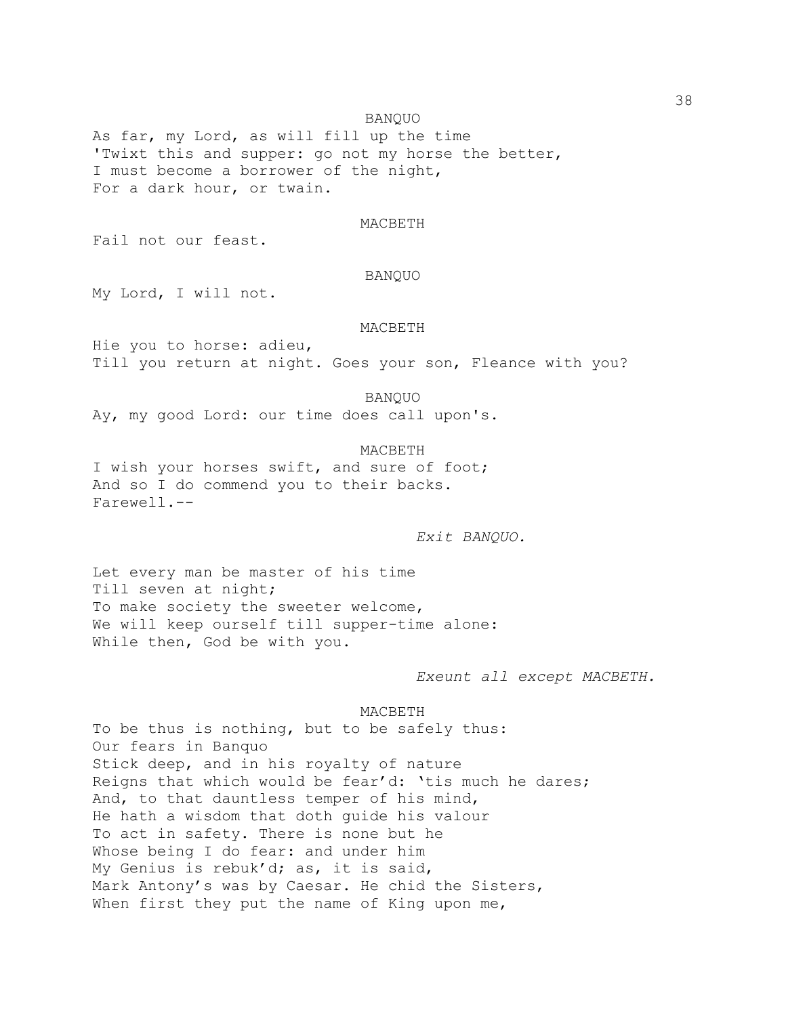BANQUO

As far, my Lord, as will fill up the time 'Twixt this and supper: go not my horse the better, I must become a borrower of the night, For a dark hour, or twain.

#### MACBETH

Fail not our feast.

# BANQUO

My Lord, I will not.

#### MACBETH

Hie you to horse: adieu, Till you return at night. Goes your son, Fleance with you?

BANQUO

Ay, my good Lord: our time does call upon's.

MACBETH I wish your horses swift, and sure of foot; And so I do commend you to their backs. Farewell.--

*Exit BANQUO.*

Let every man be master of his time Till seven at night; To make society the sweeter welcome, We will keep ourself till supper-time alone: While then, God be with you.

*Exeunt all except MACBETH.*

MACBETH

To be thus is nothing, but to be safely thus: Our fears in Banquo Stick deep, and in his royalty of nature Reigns that which would be fear'd: 'tis much he dares; And, to that dauntless temper of his mind, He hath a wisdom that doth guide his valour To act in safety. There is none but he Whose being I do fear: and under him My Genius is rebuk'd; as, it is said, Mark Antony's was by Caesar. He chid the Sisters, When first they put the name of King upon me,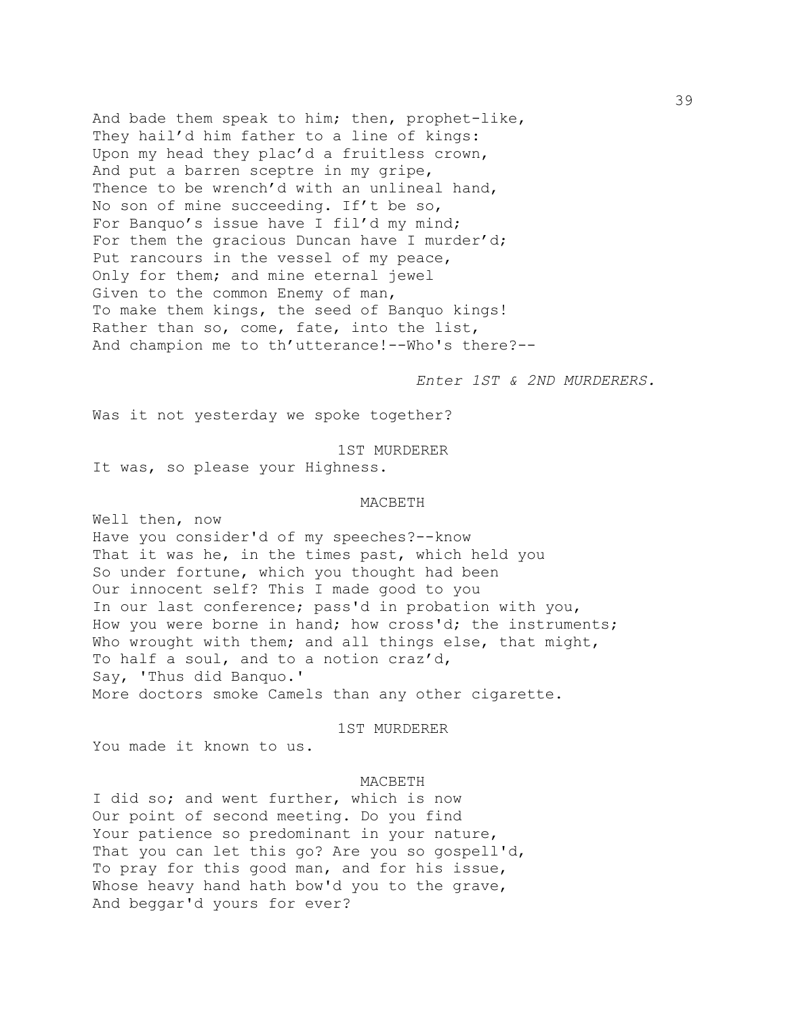And bade them speak to him; then, prophet-like, They hail'd him father to a line of kings: Upon my head they plac'd a fruitless crown, And put a barren sceptre in my gripe, Thence to be wrench'd with an unlineal hand, No son of mine succeeding. If't be so, For Banquo's issue have I fil'd my mind; For them the gracious Duncan have I murder'd; Put rancours in the vessel of my peace, Only for them; and mine eternal jewel Given to the common Enemy of man, To make them kings, the seed of Banquo kings! Rather than so, come, fate, into the list, And champion me to th'utterance!--Who's there?--

*Enter 1ST & 2ND MURDERERS.*

Was it not yesterday we spoke together?

1ST MURDERER It was, so please your Highness.

# MACBETH

Well then, now Have you consider'd of my speeches?--know That it was he, in the times past, which held you So under fortune, which you thought had been Our innocent self? This I made good to you In our last conference; pass'd in probation with you, How you were borne in hand; how cross'd; the instruments; Who wrought with them; and all things else, that might, To half a soul, and to a notion craz'd, Say, 'Thus did Banquo.' More doctors smoke Camels than any other cigarette.

1ST MURDERER

You made it known to us.

# MACBETH

I did so; and went further, which is now Our point of second meeting. Do you find Your patience so predominant in your nature, That you can let this go? Are you so gospell'd, To pray for this good man, and for his issue, Whose heavy hand hath bow'd you to the grave, And beggar'd yours for ever?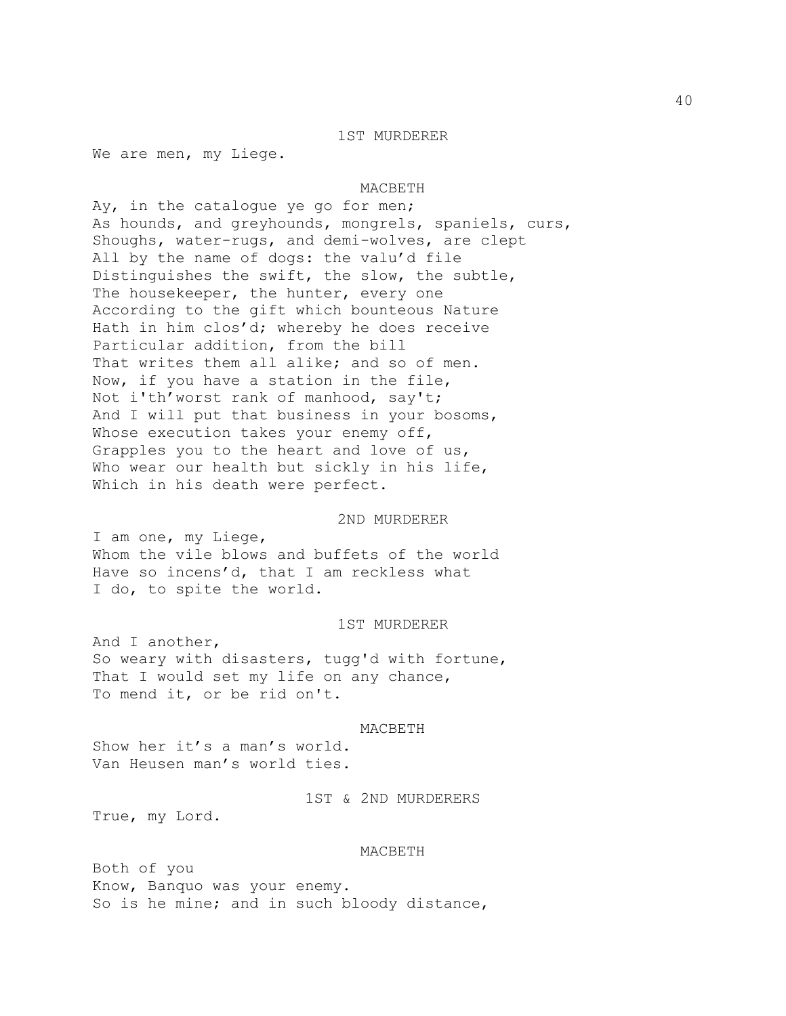#### 1ST MURDERER

We are men, my Liege.

#### MACBETH

Ay, in the catalogue ye go for men; As hounds, and greyhounds, mongrels, spaniels, curs, Shoughs, water-rugs, and demi-wolves, are clept All by the name of dogs: the valu'd file Distinguishes the swift, the slow, the subtle, The housekeeper, the hunter, every one According to the gift which bounteous Nature Hath in him clos'd; whereby he does receive Particular addition, from the bill That writes them all alike; and so of men. Now, if you have a station in the file, Not i'th'worst rank of manhood, say't; And I will put that business in your bosoms, Whose execution takes your enemy off, Grapples you to the heart and love of us, Who wear our health but sickly in his life, Which in his death were perfect.

#### 2ND MURDERER

I am one, my Liege, Whom the vile blows and buffets of the world Have so incens'd, that I am reckless what I do, to spite the world.

#### 1ST MURDERER

And I another, So weary with disasters, tugg'd with fortune, That I would set my life on any chance, To mend it, or be rid on't.

#### MACBETH

Show her it's a man's world. Van Heusen man's world ties.

1ST & 2ND MURDERERS

True, my Lord.

#### MACBETH

Both of you Know, Banquo was your enemy. So is he mine; and in such bloody distance,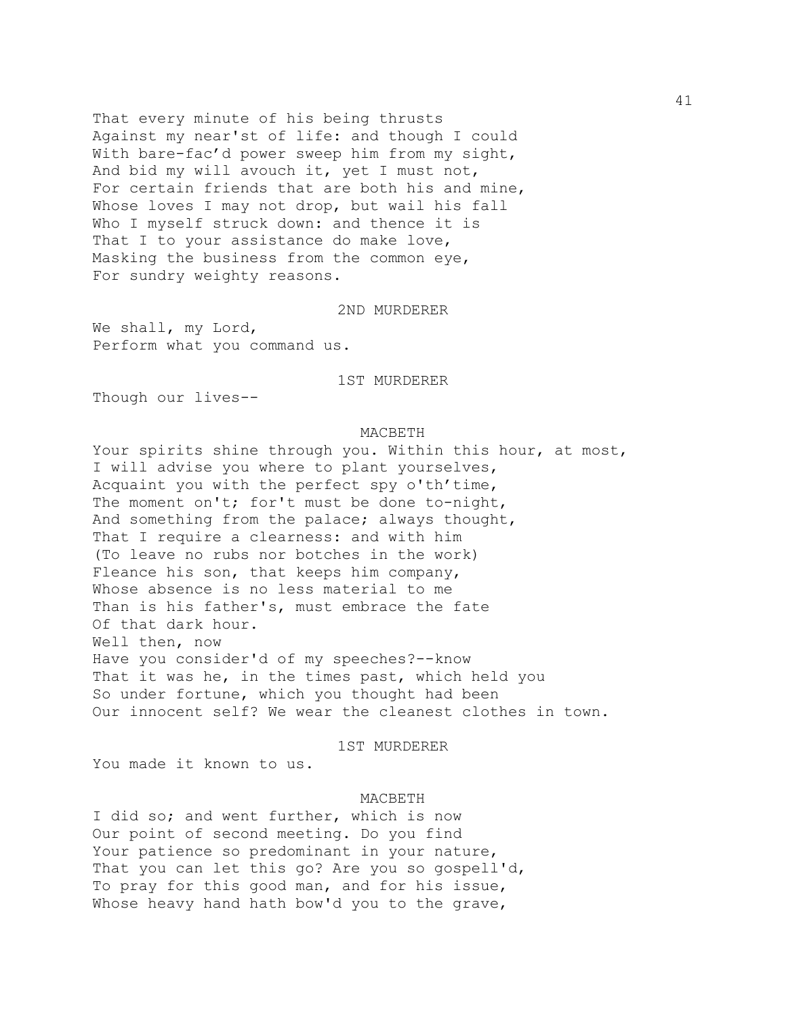That every minute of his being thrusts Against my near'st of life: and though I could With bare-fac'd power sweep him from my sight, And bid my will avouch it, yet I must not, For certain friends that are both his and mine, Whose loves I may not drop, but wail his fall Who I myself struck down: and thence it is That I to your assistance do make love, Masking the business from the common eye, For sundry weighty reasons.

# 2ND MURDERER

We shall, my Lord, Perform what you command us.

1ST MURDERER

Though our lives--

#### MACBETH

Your spirits shine through you. Within this hour, at most, I will advise you where to plant yourselves, Acquaint you with the perfect spy o'th'time, The moment on't; for't must be done to-night, And something from the palace; always thought, That I require a clearness: and with him (To leave no rubs nor botches in the work) Fleance his son, that keeps him company, Whose absence is no less material to me Than is his father's, must embrace the fate Of that dark hour. Well then, now Have you consider'd of my speeches?--know That it was he, in the times past, which held you So under fortune, which you thought had been Our innocent self? We wear the cleanest clothes in town.

#### 1ST MURDERER

You made it known to us.

#### MACBETH

I did so; and went further, which is now Our point of second meeting. Do you find Your patience so predominant in your nature, That you can let this go? Are you so gospell'd, To pray for this good man, and for his issue, Whose heavy hand hath bow'd you to the grave,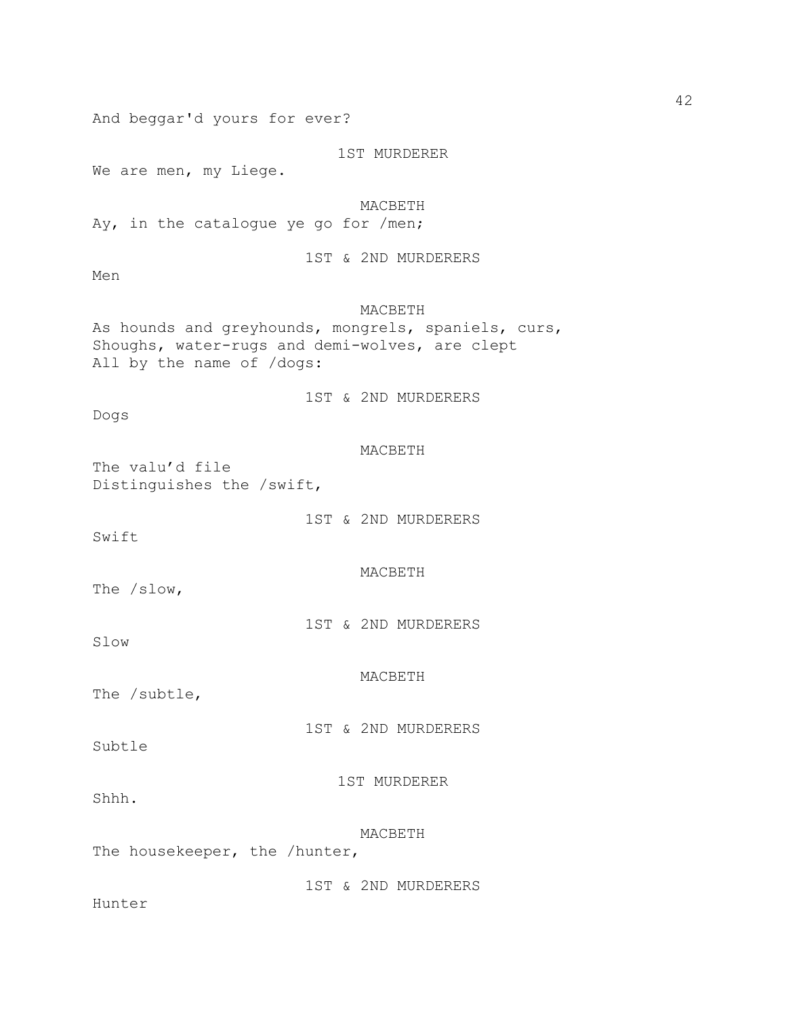And beggar'd yours for ever? 1ST MURDERER We are men, my Liege. MACBETH Ay, in the catalogue ye go for /men; 1ST & 2ND MURDERERS Men MACBETH As hounds and greyhounds, mongrels, spaniels, curs, Shoughs, water-rugs and demi-wolves, are clept All by the name of /dogs: 1ST & 2ND MURDERERS Dogs MACBETH The valu'd file Distinguishes the /swift, 1ST & 2ND MURDERERS Swift MACBETH The /slow, 1ST & 2ND MURDERERS Slow MACBETH The /subtle, 1ST & 2ND MURDERERS Subtle 1ST MURDERER Shhh. MACBETH The housekeeper, the /hunter, 1ST & 2ND MURDERERS Hunter

42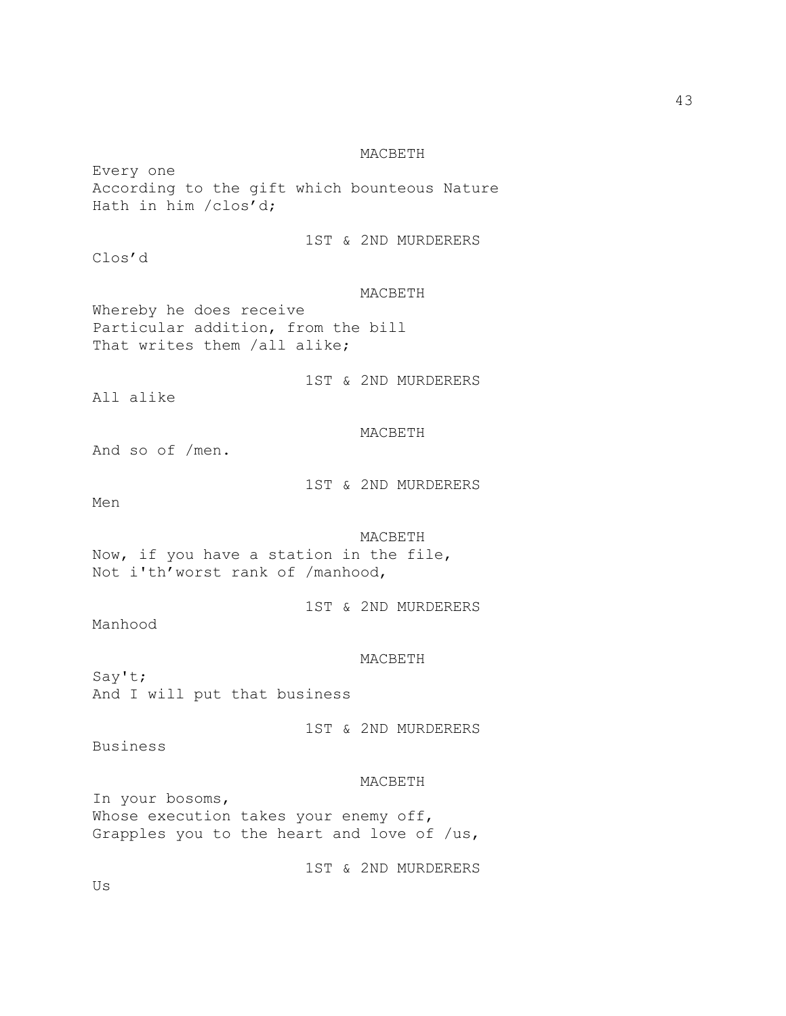Every one According to the gift which bounteous Nature Hath in him /clos'd;

Clos'd

# 1ST & 2ND MURDERERS

### MACBETH

Whereby he does receive Particular addition, from the bill That writes them /all alike;

1ST & 2ND MURDERERS

All alike

# MACBETH

And so of /men.

1ST & 2ND MURDERERS

Men

# MACBETH Now, if you have a station in the file, Not i'th'worst rank of /manhood,

1ST & 2ND MURDERERS

Manhood

#### MACBETH

Say't; And I will put that business

1ST & 2ND MURDERERS

Business

#### MACBETH

In your bosoms, Whose execution takes your enemy off, Grapples you to the heart and love of /us,

1ST & 2ND MURDERERS

Us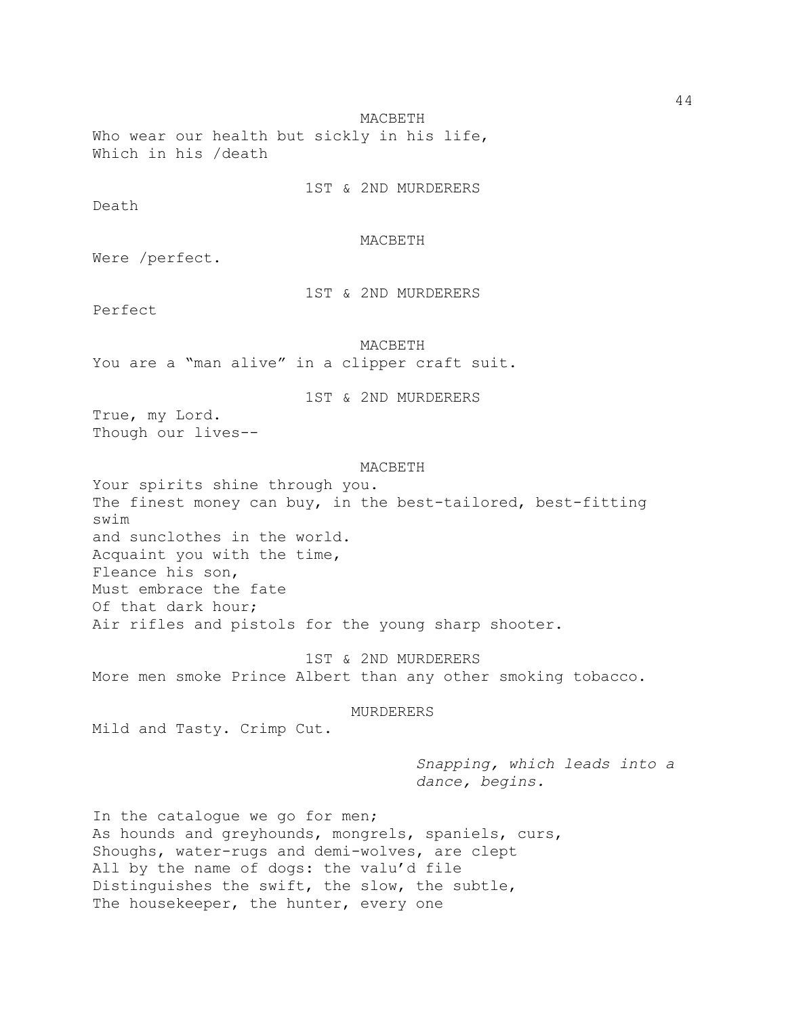Who wear our health but sickly in his life, Which in his /death

1ST & 2ND MURDERERS

Death

# MACBETH

Were /perfect.

1ST & 2ND MURDERERS

Perfect

MACBETH

You are a "man alive" in a clipper craft suit.

1ST & 2ND MURDERERS

True, my Lord. Though our lives--

### MACBETH

Your spirits shine through you. The finest money can buy, in the best-tailored, best-fitting swim and sunclothes in the world. Acquaint you with the time, Fleance his son, Must embrace the fate Of that dark hour; Air rifles and pistols for the young sharp shooter.

1ST & 2ND MURDERERS More men smoke Prince Albert than any other smoking tobacco.

#### MURDERERS

Mild and Tasty. Crimp Cut.

*Snapping, which leads into a dance, begins.*

In the catalogue we go for men; As hounds and greyhounds, mongrels, spaniels, curs, Shoughs, water-rugs and demi-wolves, are clept All by the name of dogs: the valu'd file Distinguishes the swift, the slow, the subtle, The housekeeper, the hunter, every one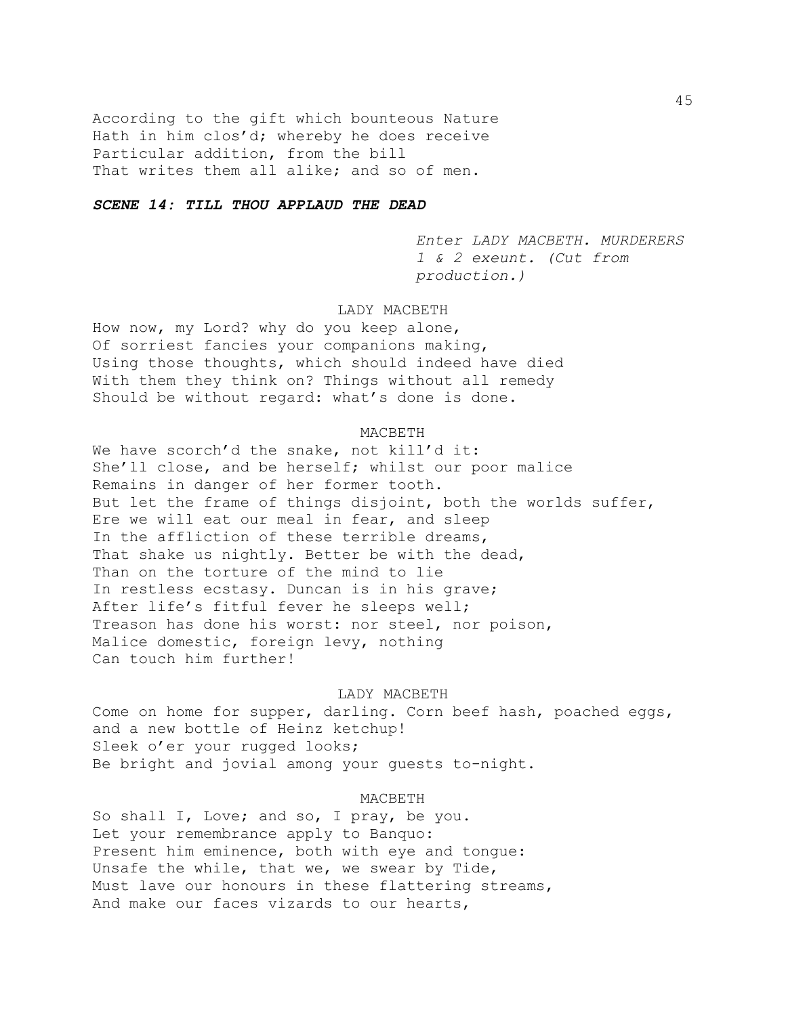According to the gift which bounteous Nature Hath in him clos'd; whereby he does receive Particular addition, from the bill That writes them all alike; and so of men.

# *SCENE 14: TILL THOU APPLAUD THE DEAD*

*Enter LADY MACBETH. MURDERERS 1 & 2 exeunt. (Cut from production.)*

# LADY MACBETH

How now, my Lord? why do you keep alone, Of sorriest fancies your companions making, Using those thoughts, which should indeed have died With them they think on? Things without all remedy Should be without regard: what's done is done.

#### MACBETH

We have scorch'd the snake, not kill'd it: She'll close, and be herself; whilst our poor malice Remains in danger of her former tooth. But let the frame of things disjoint, both the worlds suffer, Ere we will eat our meal in fear, and sleep In the affliction of these terrible dreams, That shake us nightly. Better be with the dead, Than on the torture of the mind to lie In restless ecstasy. Duncan is in his grave; After life's fitful fever he sleeps well; Treason has done his worst: nor steel, nor poison, Malice domestic, foreign levy, nothing Can touch him further!

#### LADY MACBETH

Come on home for supper, darling. Corn beef hash, poached eggs, and a new bottle of Heinz ketchup! Sleek o'er your rugged looks; Be bright and jovial among your guests to-night.

#### MACBETH

So shall I, Love; and so, I pray, be you. Let your remembrance apply to Banquo: Present him eminence, both with eye and tongue: Unsafe the while, that we, we swear by Tide, Must lave our honours in these flattering streams, And make our faces vizards to our hearts,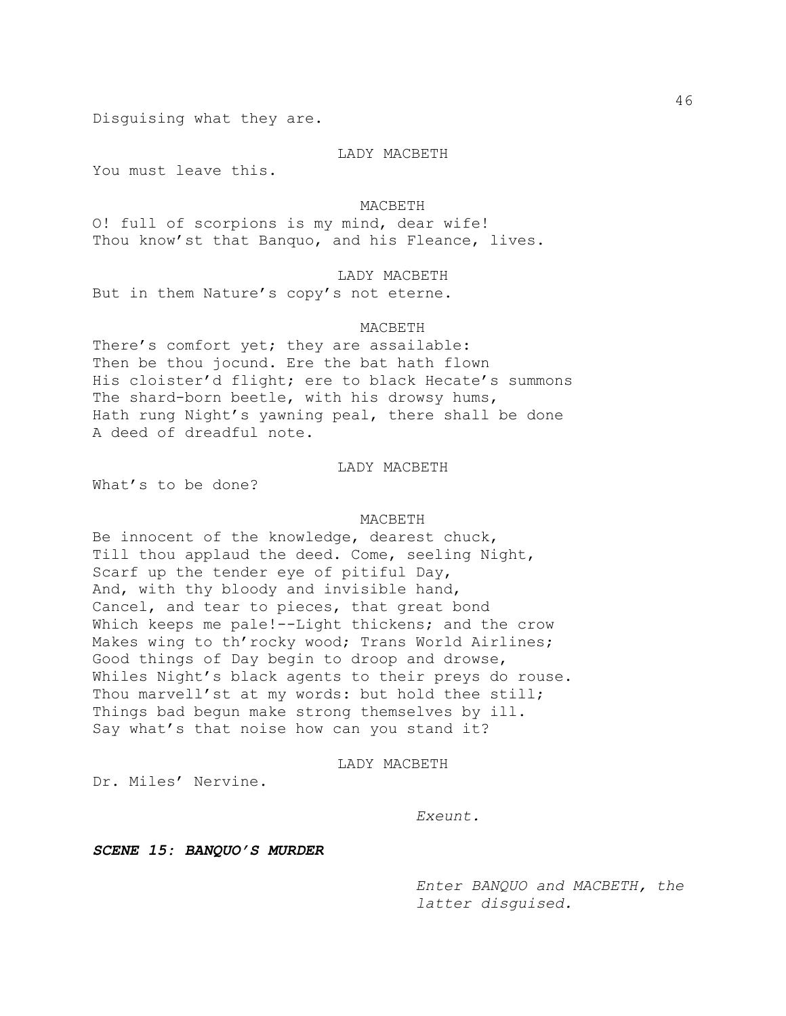Disguising what they are.

### LADY MACBETH

You must leave this.

#### MACBETH

O! full of scorpions is my mind, dear wife! Thou know'st that Banquo, and his Fleance, lives.

### LADY MACBETH

But in them Nature's copy's not eterne.

#### MACBETH

There's comfort yet; they are assailable: Then be thou jocund. Ere the bat hath flown His cloister'd flight; ere to black Hecate's summons The shard-born beetle, with his drowsy hums, Hath rung Night's yawning peal, there shall be done A deed of dreadful note.

# LADY MACBETH

What's to be done?

#### MACBETH

Be innocent of the knowledge, dearest chuck, Till thou applaud the deed. Come, seeling Night, Scarf up the tender eye of pitiful Day, And, with thy bloody and invisible hand, Cancel, and tear to pieces, that great bond Which keeps me pale!--Light thickens; and the crow Makes wing to th'rocky wood; Trans World Airlines; Good things of Day begin to droop and drowse, Whiles Night's black agents to their preys do rouse. Thou marvell'st at my words: but hold thee still; Things bad begun make strong themselves by ill. Say what's that noise how can you stand it?

### LADY MACBETH

Dr. Miles' Nervine.

#### *Exeunt.*

*SCENE 15: BANQUO'S MURDER*

*Enter BANQUO and MACBETH, the latter disguised.*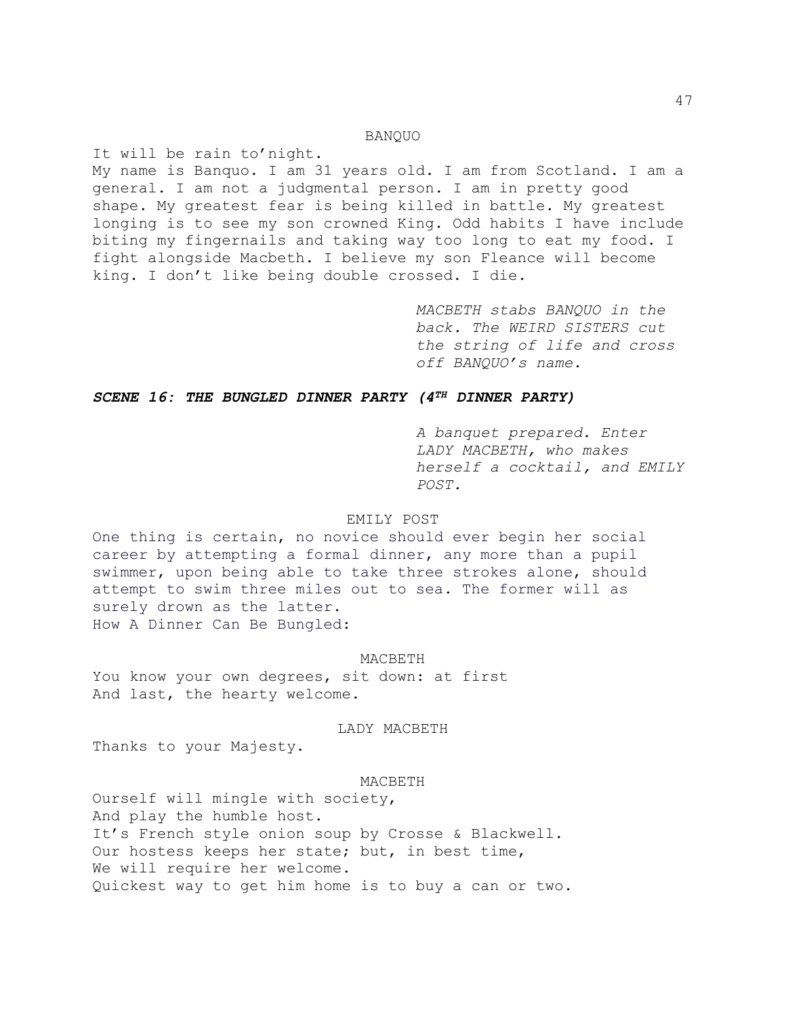# BANQUO

It will be rain to'night. My name is Banquo. I am 31 years old. I am from Scotland. I am a general. I am not a judgmental person. I am in pretty good shape. My greatest fear is being killed in battle. My greatest longing is to see my son crowned King. Odd habits I have include biting my fingernails and taking way too long to eat my food. I fight alongside Macbeth. I believe my son Fleance will become king. I don't like being double crossed. I die.

> *MACBETH stabs BANQUO in the back. The WEIRD SISTERS cut the string of life and cross off BANQUO's name.*

# *SCENE 16: THE BUNGLED DINNER PARTY (4TH DINNER PARTY)*

*A banquet prepared. Enter LADY MACBETH, who makes herself a cocktail, and EMILY POST.*

# EMILY POST

One thing is certain, no novice should ever begin her social career by attempting a formal dinner, any more than a pupil swimmer, upon being able to take three strokes alone, should attempt to swim three miles out to sea. The former will as surely drown as the latter. How A Dinner Can Be Bungled:

### MACBETH

You know your own degrees, sit down: at first And last, the hearty welcome.

LADY MACBETH

Thanks to your Majesty.

#### MACBETH

Ourself will mingle with society, And play the humble host. It's French style onion soup by Crosse & Blackwell. Our hostess keeps her state; but, in best time, We will require her welcome. Quickest way to get him home is to buy a can or two.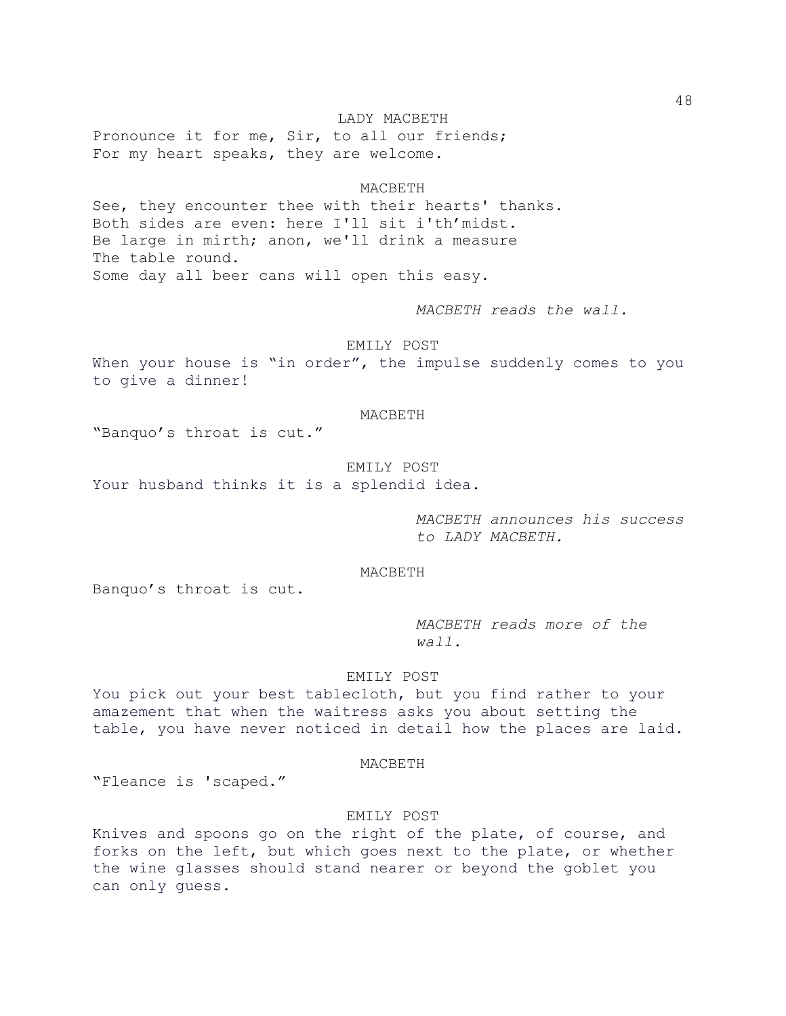LADY MACBETH Pronounce it for me, Sir, to all our friends; For my heart speaks, they are welcome.

#### MACBETH

See, they encounter thee with their hearts' thanks. Both sides are even: here I'll sit i'th'midst. Be large in mirth; anon, we'll drink a measure The table round. Some day all beer cans will open this easy.

*MACBETH reads the wall.*

EMILY POST

When your house is "in order", the impulse suddenly comes to you to give a dinner!

### MACBETH

"Banquo's throat is cut."

### EMILY POST

Your husband thinks it is a splendid idea.

*MACBETH announces his success to LADY MACBETH.*

# MACBETH

Banquo's throat is cut.

*MACBETH reads more of the wall.*

# EMILY POST

You pick out your best tablecloth, but you find rather to your amazement that when the waitress asks you about setting the table, you have never noticed in detail how the places are laid.

#### MACBETH

"Fleance is 'scaped."

# EMILY POST

Knives and spoons go on the right of the plate, of course, and forks on the left, but which goes next to the plate, or whether the wine glasses should stand nearer or beyond the goblet you can only guess.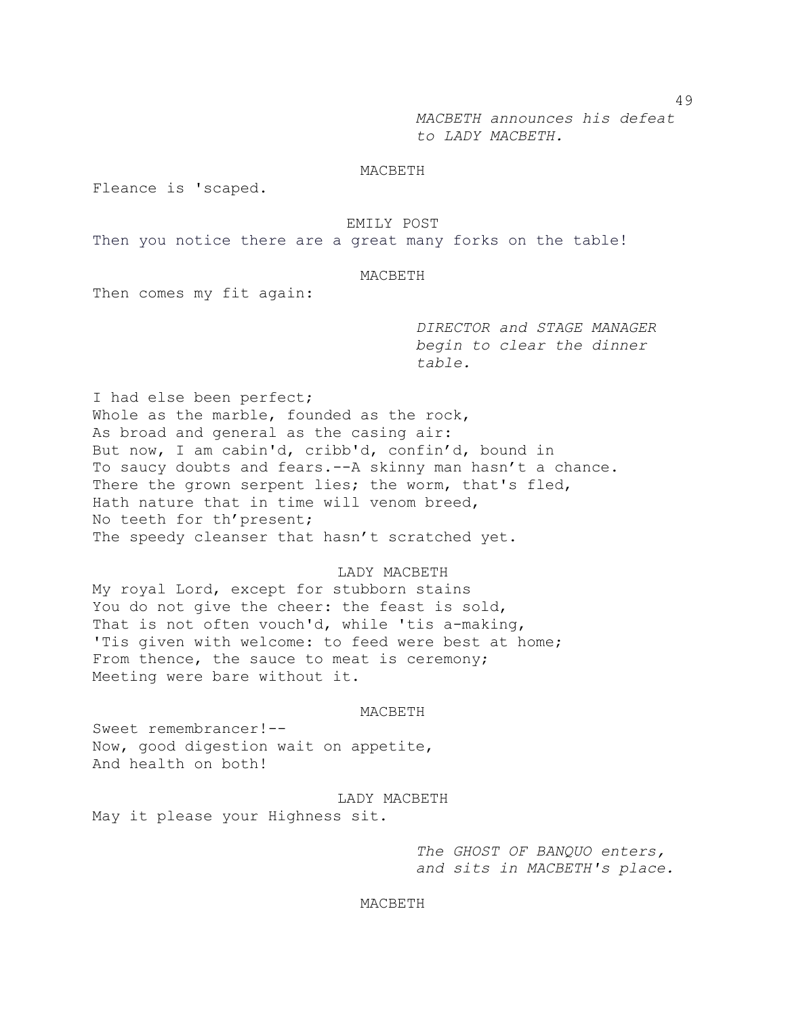*MACBETH announces his defeat to LADY MACBETH.*

# MACBETH

Fleance is 'scaped.

# EMILY POST

Then you notice there are a great many forks on the table!

# MACBETH

Then comes my fit again:

*DIRECTOR and STAGE MANAGER begin to clear the dinner table.*

I had else been perfect; Whole as the marble, founded as the rock, As broad and general as the casing air: But now, I am cabin'd, cribb'd, confin'd, bound in To saucy doubts and fears.--A skinny man hasn't a chance. There the grown serpent lies; the worm, that's fled, Hath nature that in time will venom breed, No teeth for th'present; The speedy cleanser that hasn't scratched yet.

### LADY MACBETH

My royal Lord, except for stubborn stains You do not give the cheer: the feast is sold, That is not often vouch'd, while 'tis a-making, 'Tis given with welcome: to feed were best at home; From thence, the sauce to meat is ceremony; Meeting were bare without it.

### MACBETH

Sweet remembrancer!-- Now, good digestion wait on appetite, And health on both!

# LADY MACBETH

May it please your Highness sit.

*The GHOST OF BANQUO enters, and sits in MACBETH's place.*

### MACBETH

49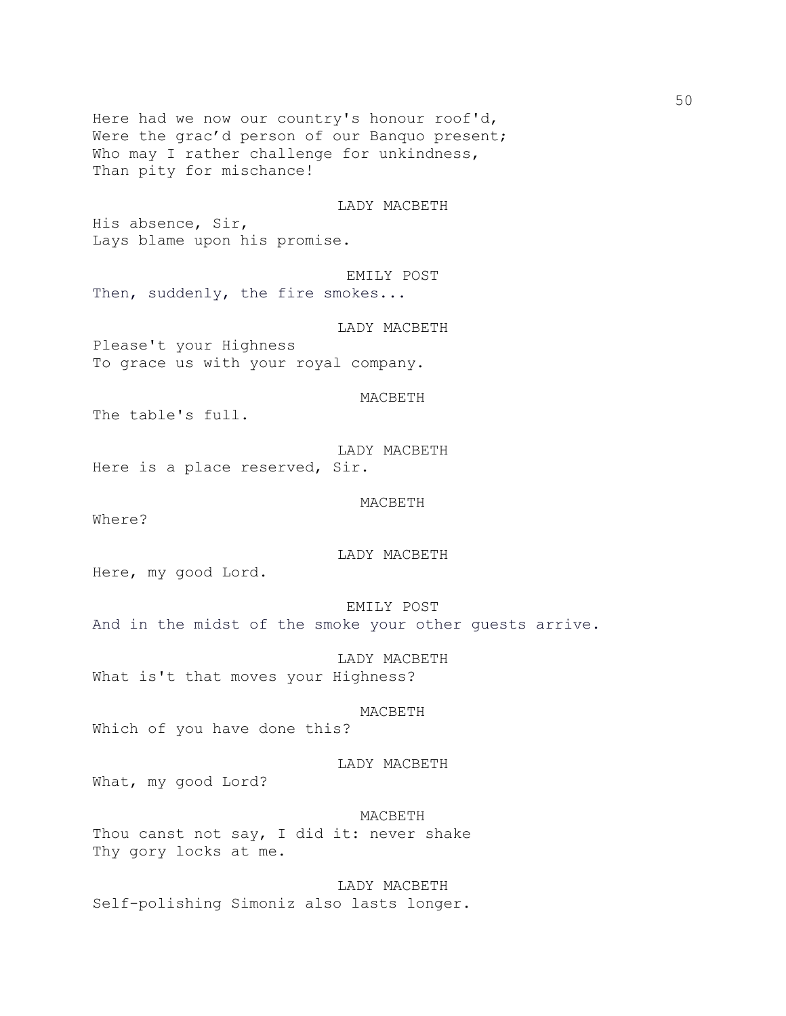Here had we now our country's honour roof'd, Were the grac'd person of our Banquo present; Who may I rather challenge for unkindness, Than pity for mischance!

### LADY MACBETH

His absence, Sir, Lays blame upon his promise.

EMILY POST

Then, suddenly, the fire smokes...

LADY MACBETH

Please't your Highness To grace us with your royal company.

MACBETH

The table's full.

LADY MACBETH Here is a place reserved, Sir.

MACBETH

Where?

LADY MACBETH

Here, my good Lord.

EMILY POST

And in the midst of the smoke your other guests arrive.

LADY MACBETH What is't that moves your Highness?

#### MACBETH

Which of you have done this?

### LADY MACBETH

What, my good Lord?

MACBETH Thou canst not say, I did it: never shake Thy gory locks at me.

LADY MACBETH Self-polishing Simoniz also lasts longer.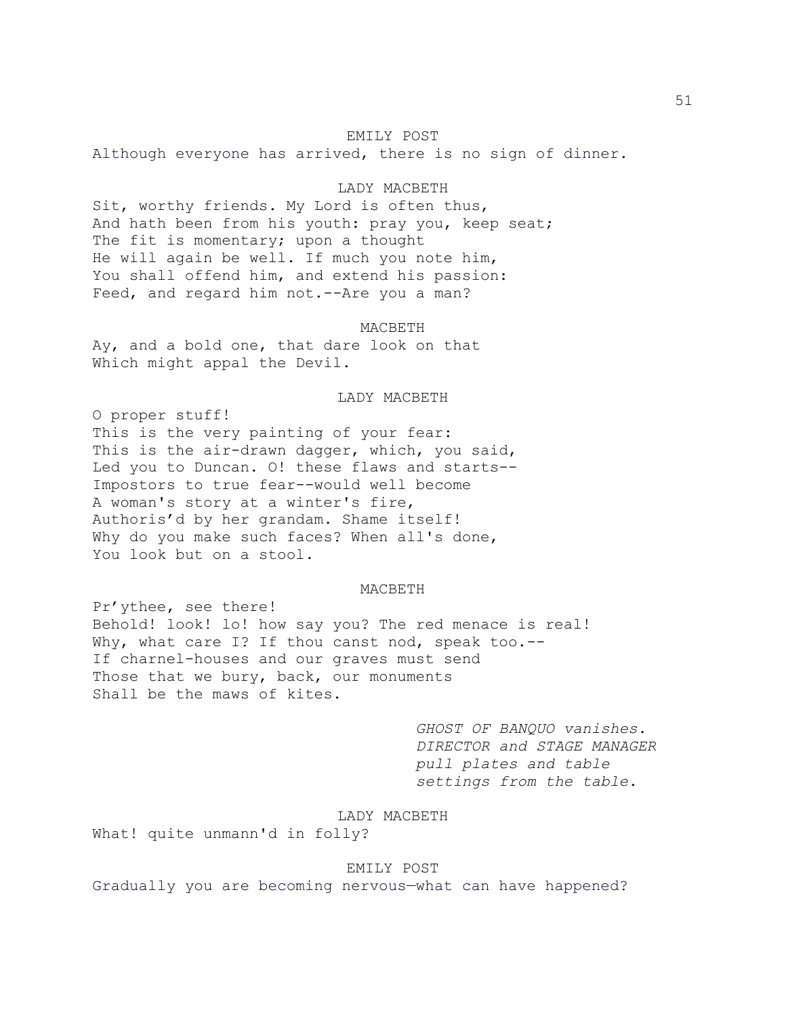#### EMILY POST

Although everyone has arrived, there is no sign of dinner.

# LADY MACBETH

Sit, worthy friends. My Lord is often thus, And hath been from his youth: pray you, keep seat; The fit is momentary; upon a thought He will again be well. If much you note him, You shall offend him, and extend his passion: Feed, and regard him not. -- Are you a man?

MACBETH

Ay, and a bold one, that dare look on that Which might appal the Devil.

LADY MACBETH

O proper stuff! This is the very painting of your fear: This is the air-drawn dagger, which, you said, Led you to Duncan. O! these flaws and starts-- Impostors to true fear--would well become A woman's story at a winter's fire, Authoris'd by her grandam. Shame itself! Why do you make such faces? When all's done, You look but on a stool.

#### MACBETH

Pr'ythee, see there! Behold! look! lo! how say you? The red menace is real! Why, what care I? If thou canst nod, speak too.--If charnel-houses and our graves must send Those that we bury, back, our monuments Shall be the maws of kites.

> *GHOST OF BANQUO vanishes. DIRECTOR and STAGE MANAGER pull plates and table settings from the table.*

### LADY MACBETH

What! quite unmann'd in folly?

# EMILY POST

Gradually you are becoming nervous—what can have happened?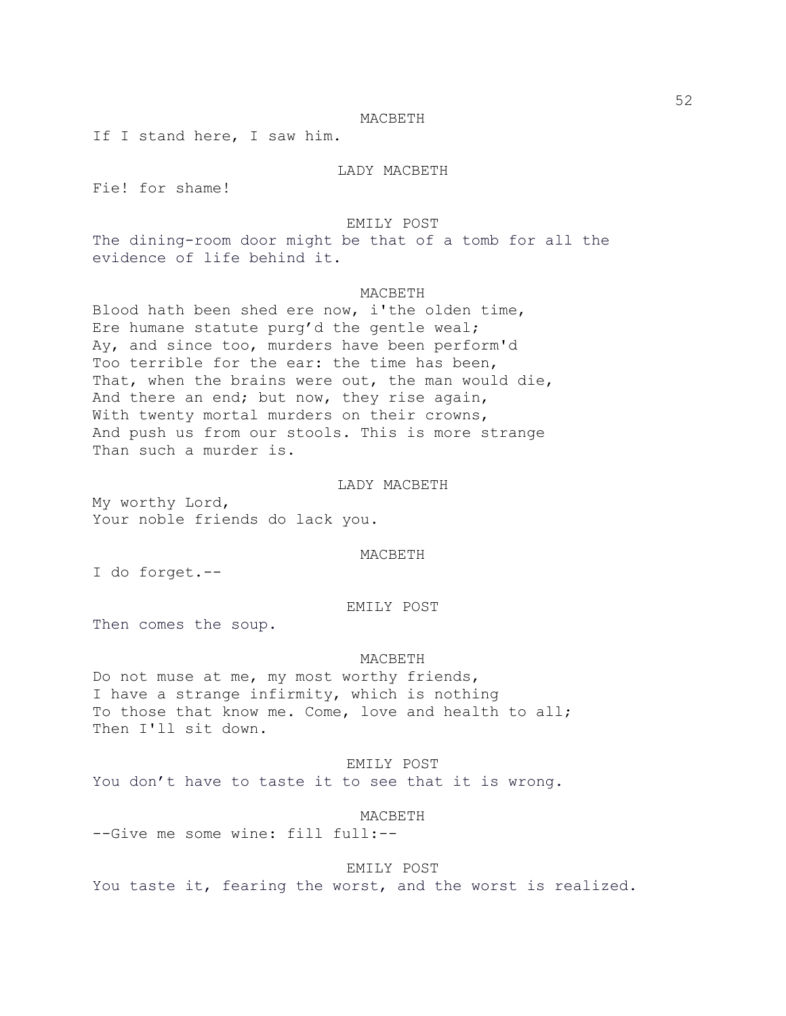If I stand here, I saw him.

LADY MACBETH

Fie! for shame!

#### EMILY POST

The dining-room door might be that of a tomb for all the evidence of life behind it.

### MACBETH

Blood hath been shed ere now, i'the olden time, Ere humane statute purg'd the gentle weal; Ay, and since too, murders have been perform'd Too terrible for the ear: the time has been, That, when the brains were out, the man would die, And there an end; but now, they rise again, With twenty mortal murders on their crowns, And push us from our stools. This is more strange Than such a murder is.

#### LADY MACBETH

My worthy Lord, Your noble friends do lack you.

#### MACBETH

I do forget.--

#### EMILY POST

Then comes the soup.

#### MACBETH

Do not muse at me, my most worthy friends, I have a strange infirmity, which is nothing To those that know me. Come, love and health to all; Then I'll sit down.

# EMILY POST

You don't have to taste it to see that it is wrong.

#### MACBETH

--Give me some wine: fill full:--

### EMILY POST

You taste it, fearing the worst, and the worst is realized.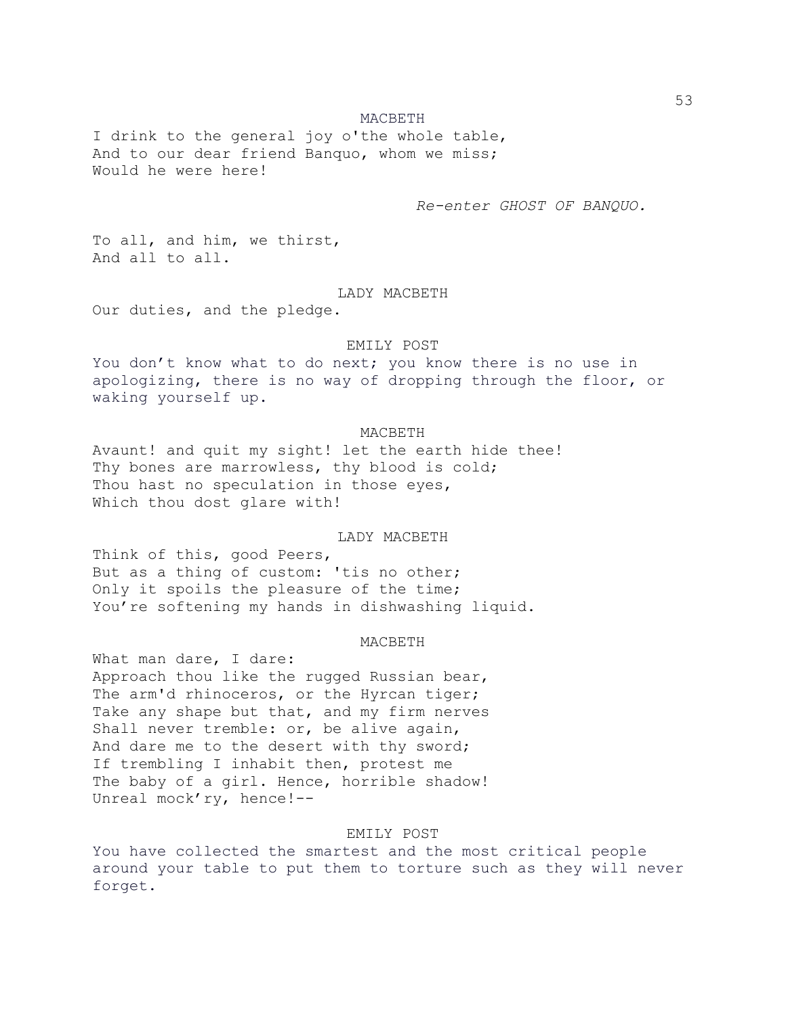I drink to the general joy o'the whole table, And to our dear friend Banquo, whom we miss; Would he were here!

*Re-enter GHOST OF BANQUO.*

To all, and him, we thirst, And all to all.

# LADY MACBETH

Our duties, and the pledge.

#### EMILY POST

You don't know what to do next; you know there is no use in apologizing, there is no way of dropping through the floor, or waking yourself up.

### MACBETH

Avaunt! and quit my sight! let the earth hide thee! Thy bones are marrowless, thy blood is cold; Thou hast no speculation in those eyes, Which thou dost glare with!

# LADY MACBETH

Think of this, good Peers, But as a thing of custom: 'tis no other; Only it spoils the pleasure of the time; You're softening my hands in dishwashing liquid.

### MACBETH

What man dare, I dare: Approach thou like the rugged Russian bear, The arm'd rhinoceros, or the Hyrcan tiger; Take any shape but that, and my firm nerves Shall never tremble: or, be alive again, And dare me to the desert with thy sword; If trembling I inhabit then, protest me The baby of a girl. Hence, horrible shadow! Unreal mock'ry, hence!--

### EMILY POST

You have collected the smartest and the most critical people around your table to put them to torture such as they will never forget.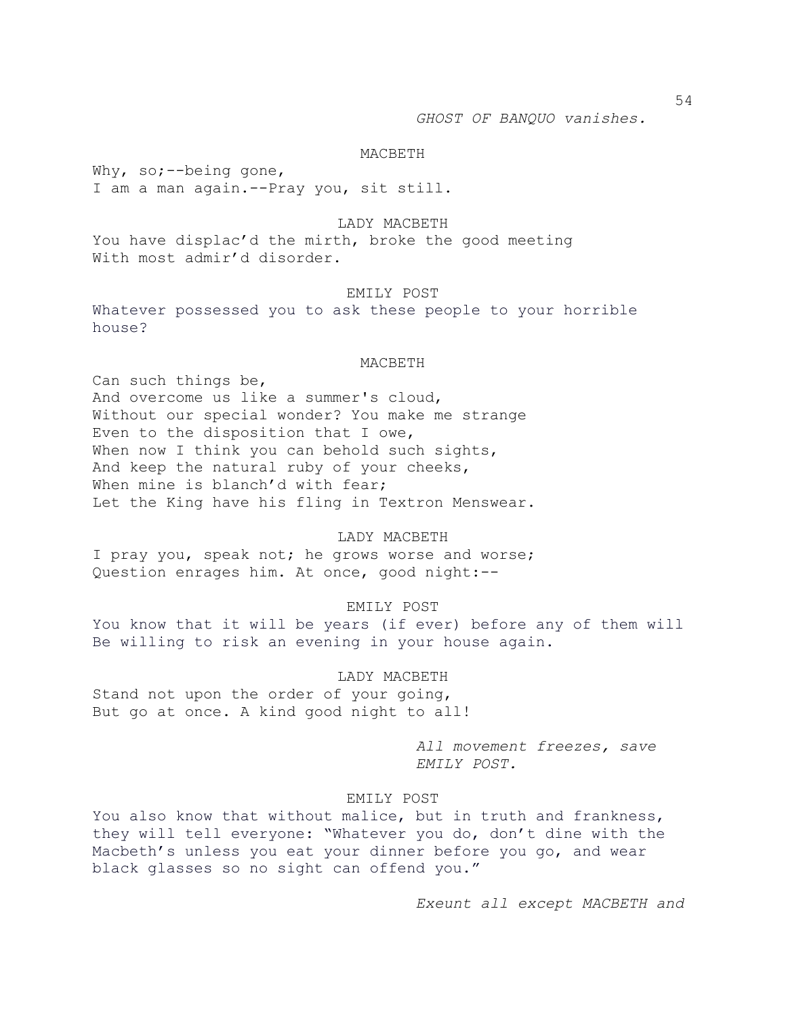Why, so;--being gone, I am a man again.--Pray you, sit still.

#### LADY MACBETH

You have displac'd the mirth, broke the good meeting With most admir'd disorder.

### EMILY POST

Whatever possessed you to ask these people to your horrible house?

#### MACBETH

Can such things be, And overcome us like a summer's cloud, Without our special wonder? You make me strange Even to the disposition that I owe, When now I think you can behold such sights, And keep the natural ruby of your cheeks, When mine is blanch'd with fear; Let the King have his fling in Textron Menswear.

### LADY MACBETH

I pray you, speak not; he grows worse and worse; Question enrages him. At once, good night:--

# EMILY POST

You know that it will be years (if ever) before any of them will Be willing to risk an evening in your house again.

#### LADY MACBETH

Stand not upon the order of your going, But go at once. A kind good night to all!

> *All movement freezes, save EMILY POST.*

# EMILY POST

You also know that without malice, but in truth and frankness, they will tell everyone: "Whatever you do, don't dine with the Macbeth's unless you eat your dinner before you go, and wear black glasses so no sight can offend you."

*Exeunt all except MACBETH and*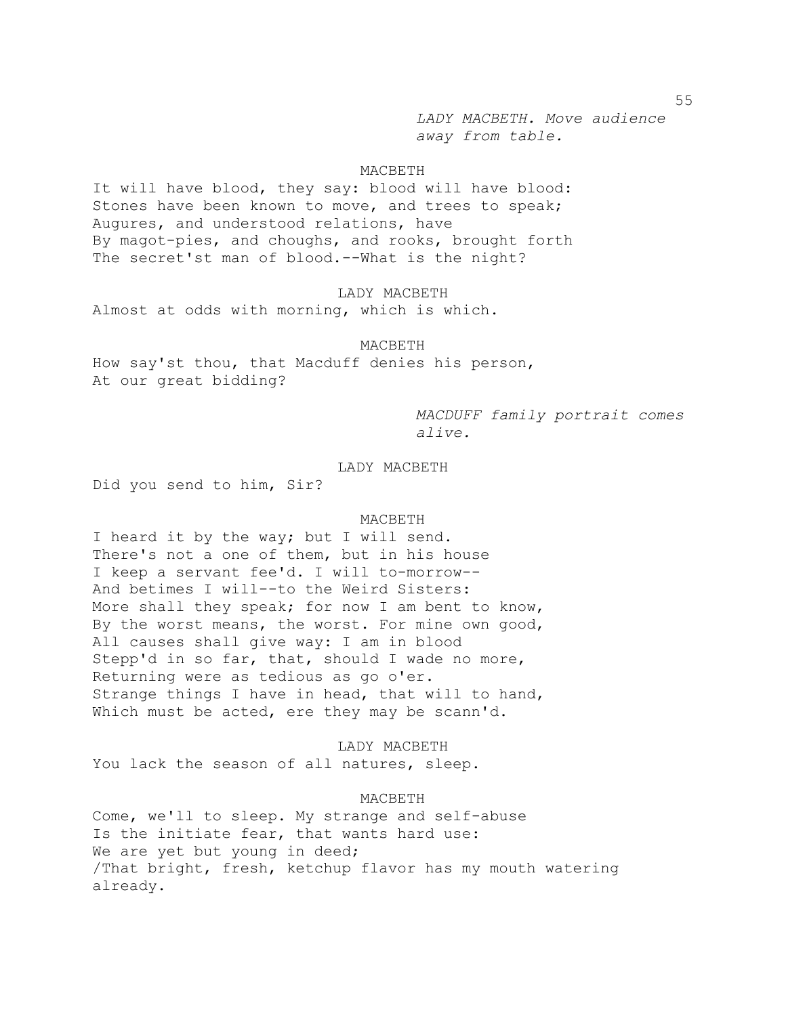*LADY MACBETH. Move audience away from table.*

# MACBETH

It will have blood, they say: blood will have blood: Stones have been known to move, and trees to speak; Augures, and understood relations, have By magot-pies, and choughs, and rooks, brought forth The secret'st man of blood.--What is the night?

### LADY MACBETH

Almost at odds with morning, which is which.

#### MACBETH

How say'st thou, that Macduff denies his person, At our great bidding?

> *MACDUFF family portrait comes alive.*

# LADY MACBETH

Did you send to him, Sir?

#### MACBETH

I heard it by the way; but I will send. There's not a one of them, but in his house I keep a servant fee'd. I will to-morrow-- And betimes I will--to the Weird Sisters: More shall they speak; for now I am bent to know, By the worst means, the worst. For mine own good, All causes shall give way: I am in blood Stepp'd in so far, that, should I wade no more, Returning were as tedious as go o'er. Strange things I have in head, that will to hand, Which must be acted, ere they may be scann'd.

LADY MACBETH

You lack the season of all natures, sleep.

MACBETH

Come, we'll to sleep. My strange and self-abuse Is the initiate fear, that wants hard use: We are yet but young in deed; /That bright, fresh, ketchup flavor has my mouth watering already.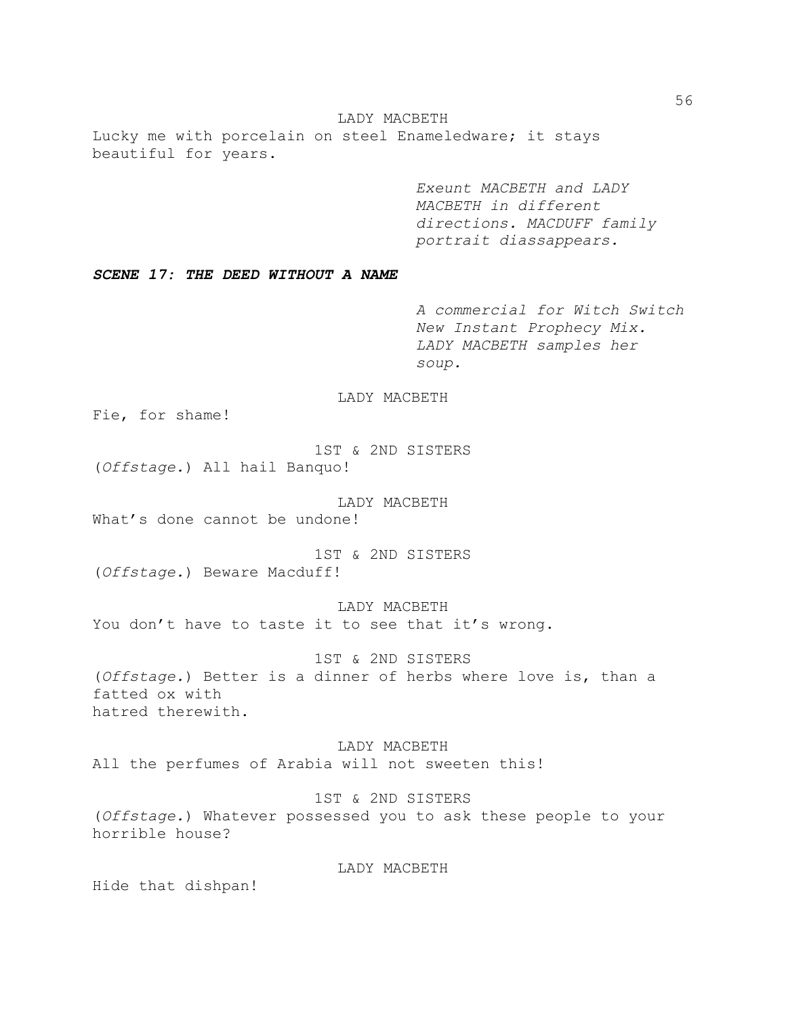LADY MACBETH Lucky me with porcelain on steel Enameledware; it stays beautiful for years.

> *Exeunt MACBETH and LADY MACBETH in different directions. MACDUFF family portrait diassappears.*

*SCENE 17: THE DEED WITHOUT A NAME*

*A commercial for Witch Switch New Instant Prophecy Mix. LADY MACBETH samples her soup.*

# LADY MACBETH

Fie, for shame!

1ST & 2ND SISTERS (*Offstage.*) All hail Banquo!

LADY MACBETH What's done cannot be undone!

1ST & 2ND SISTERS (*Offstage.*) Beware Macduff!

LADY MACBETH You don't have to taste it to see that it's wrong.

1ST & 2ND SISTERS (*Offstage.*) Better is a dinner of herbs where love is, than a fatted ox with hatred therewith.

LADY MACBETH All the perfumes of Arabia will not sweeten this!

1ST & 2ND SISTERS (*Offstage.*) Whatever possessed you to ask these people to your horrible house?

LADY MACBETH

Hide that dishpan!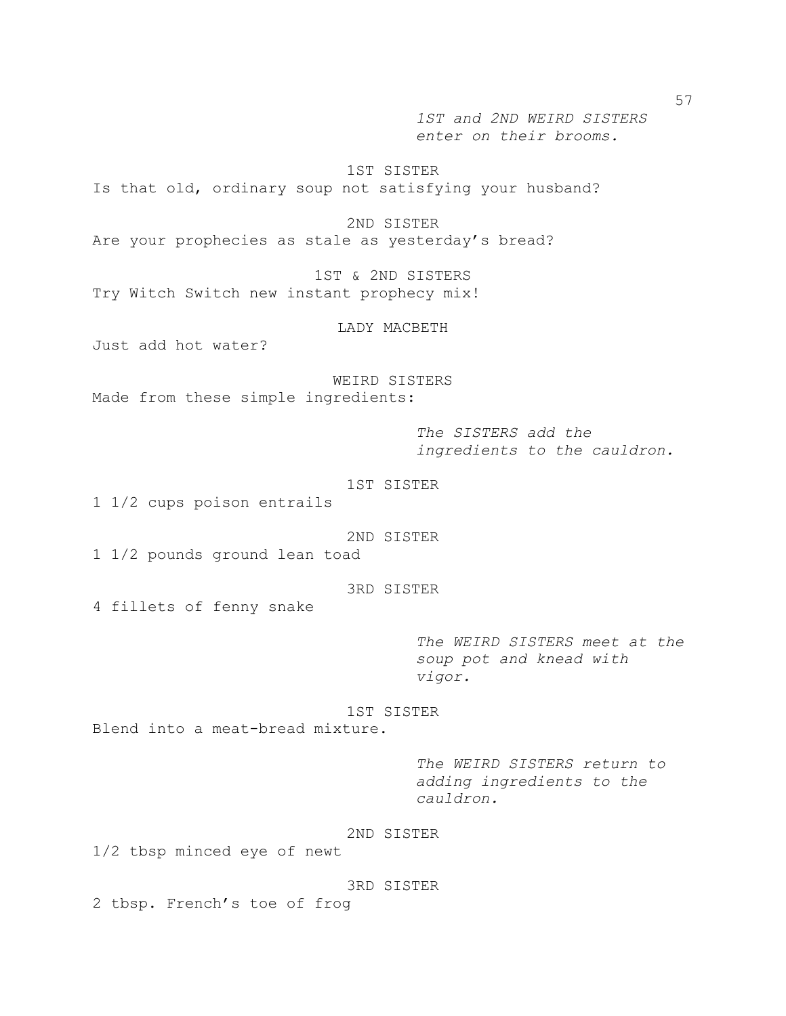*1ST and 2ND WEIRD SISTERS enter on their brooms.* 

1ST SISTER

Is that old, ordinary soup not satisfying your husband?

2ND SISTER

Are your prophecies as stale as yesterday's bread?

1ST & 2ND SISTERS Try Witch Switch new instant prophecy mix!

LADY MACBETH

Just add hot water?

WEIRD SISTERS Made from these simple ingredients:

> *The SISTERS add the ingredients to the cauldron.*

1ST SISTER

1 1/2 cups poison entrails

2ND SISTER

1 1/2 pounds ground lean toad

3RD SISTER

4 fillets of fenny snake

*The WEIRD SISTERS meet at the soup pot and knead with vigor.*

1ST SISTER Blend into a meat-bread mixture.

> *The WEIRD SISTERS return to adding ingredients to the cauldron.*

# 2ND SISTER

1/2 tbsp minced eye of newt

3RD SISTER

2 tbsp. French's toe of frog

57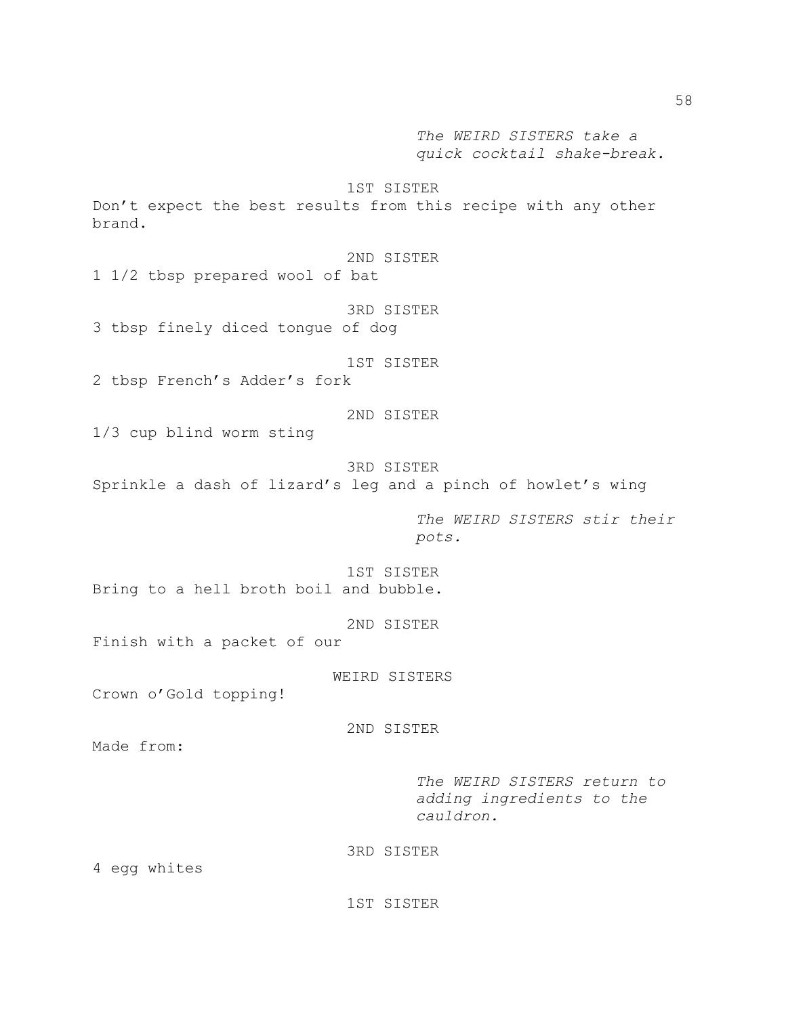*The WEIRD SISTERS take a quick cocktail shake-break.*

1ST SISTER Don't expect the best results from this recipe with any other brand. 2ND SISTER 1 1/2 tbsp prepared wool of bat 3RD SISTER 3 tbsp finely diced tongue of dog 1ST SISTER 2 tbsp French's Adder's fork 2ND SISTER 1/3 cup blind worm sting 3RD SISTER Sprinkle a dash of lizard's leg and a pinch of howlet's wing *The WEIRD SISTERS stir their pots.* 1ST SISTER Bring to a hell broth boil and bubble. 2ND SISTER Finish with a packet of our WEIRD SISTERS Crown o'Gold topping! 2ND SISTER Made from: *The WEIRD SISTERS return to adding ingredients to the cauldron.* 3RD SISTER

4 egg whites

1ST SISTER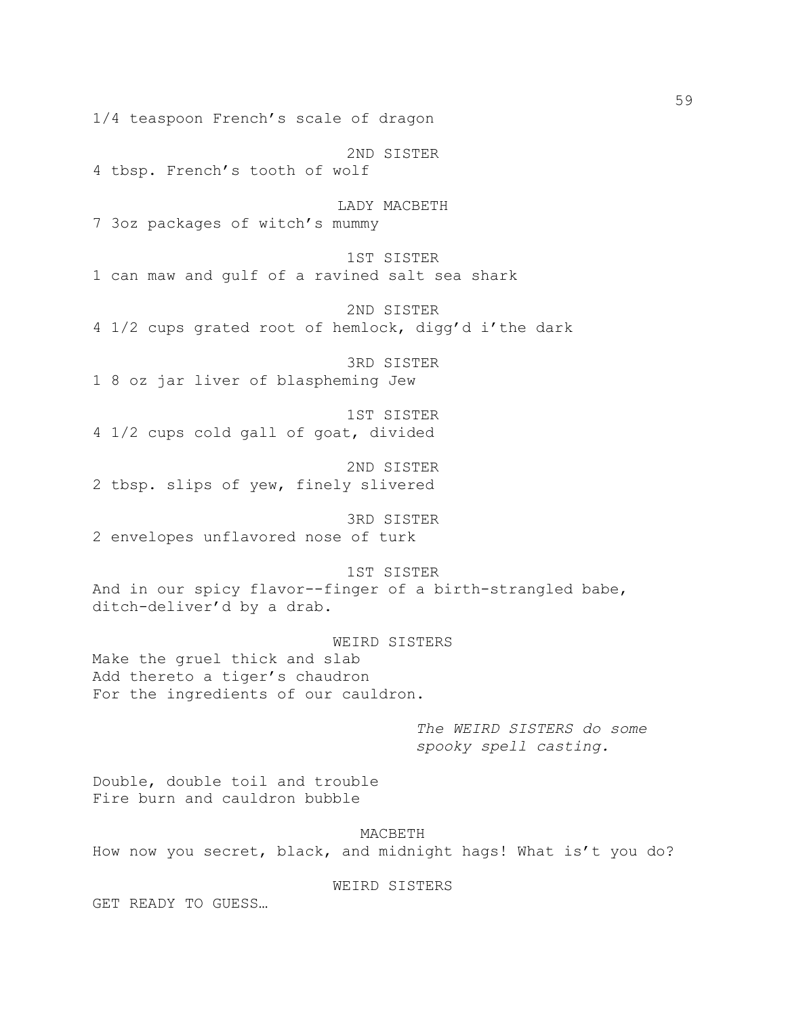1/4 teaspoon French's scale of dragon 2ND SISTER 4 tbsp. French's tooth of wolf LADY MACBETH 7 3oz packages of witch's mummy 1ST SISTER 1 can maw and gulf of a ravined salt sea shark 2ND SISTER 4 1/2 cups grated root of hemlock, digg'd i'the dark 3RD SISTER 1 8 oz jar liver of blaspheming Jew 1ST SISTER 4 1/2 cups cold gall of goat, divided 2ND SISTER 2 tbsp. slips of yew, finely slivered 3RD SISTER 2 envelopes unflavored nose of turk 1ST SISTER And in our spicy flavor--finger of a birth-strangled babe, ditch-deliver'd by a drab. WEIRD SISTERS Make the gruel thick and slab Add thereto a tiger's chaudron For the ingredients of our cauldron. *The WEIRD SISTERS do some spooky spell casting.* Double, double toil and trouble Fire burn and cauldron bubble MACBETH How now you secret, black, and midnight hags! What is't you do?

# WEIRD SISTERS

GET READY TO GUESS…

59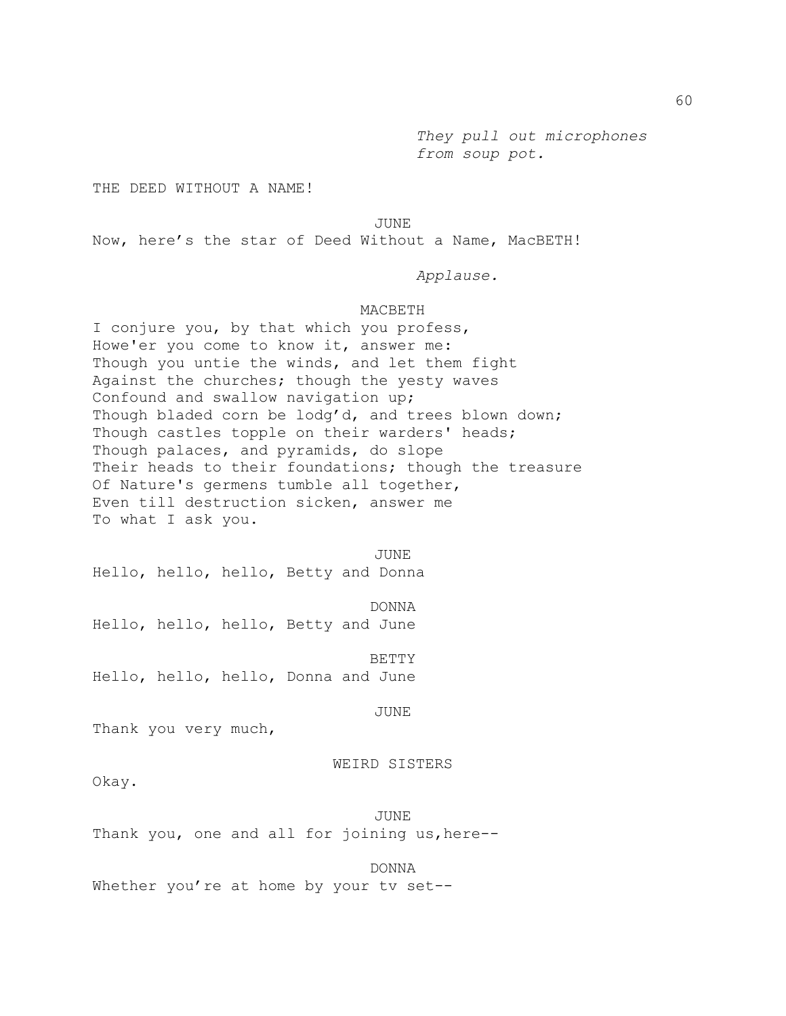*They pull out microphones from soup pot.*

THE DEED WITHOUT A NAME!

#### JUNE

Now, here's the star of Deed Without a Name, MacBETH!

*Applause.*

# MACBETH

I conjure you, by that which you profess, Howe'er you come to know it, answer me: Though you untie the winds, and let them fight Against the churches; though the yesty waves Confound and swallow navigation up; Though bladed corn be lodg'd, and trees blown down; Though castles topple on their warders' heads; Though palaces, and pyramids, do slope Their heads to their foundations; though the treasure Of Nature's germens tumble all together, Even till destruction sicken, answer me To what I ask you.

JUNE Hello, hello, hello, Betty and Donna

DONNA Hello, hello, hello, Betty and June

BETTY Hello, hello, hello, Donna and June

JUNE

Thank you very much,

#### WEIRD SISTERS

Okay.

JUNE Thank you, one and all for joining us, here--

DONNA

Whether you're at home by your tv set--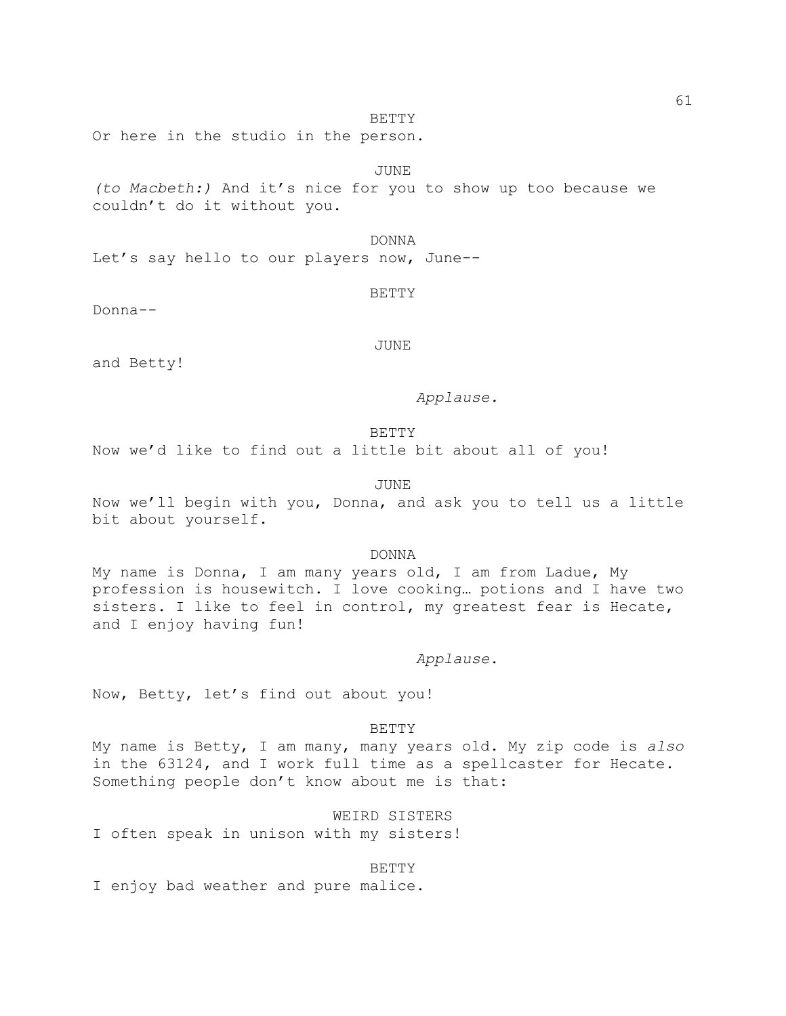#### BETTY

Or here in the studio in the person.

# JUNE

*(to Macbeth:)* And it's nice for you to show up too because we couldn't do it without you.

DONNA

Let's say hello to our players now, June--

#### BETTY

Donna--

JUNE

and Betty!

# *Applause.*

# BETTY

Now we'd like to find out a little bit about all of you!

#### JUNE

Now we'll begin with you, Donna, and ask you to tell us a little bit about yourself.

#### DONNA

My name is Donna, I am many years old, I am from Ladue, My profession is housewitch. I love cooking… potions and I have two sisters. I like to feel in control, my greatest fear is Hecate, and I enjoy having fun!

### *Applause*.

Now, Betty, let's find out about you!

### BETTY

My name is Betty, I am many, many years old. My zip code is *also* in the 63124, and I work full time as a spellcaster for Hecate. Something people don't know about me is that:

WEIRD SISTERS

I often speak in unison with my sisters!

### BETTY

I enjoy bad weather and pure malice.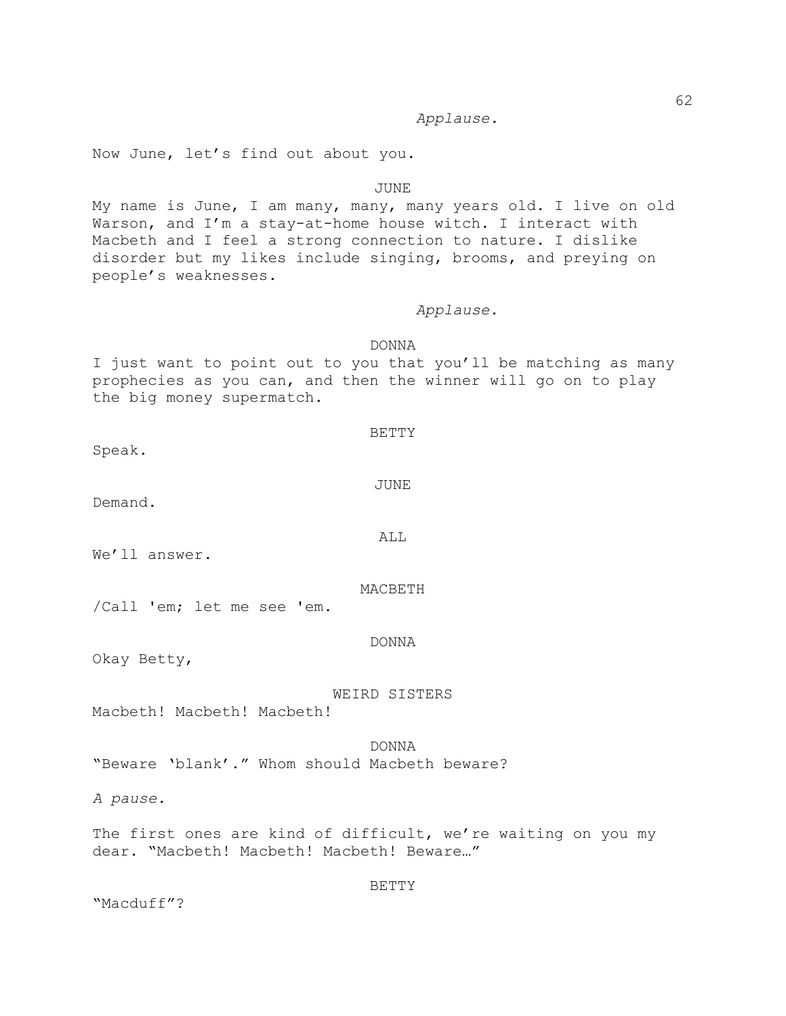*Applause.*

Now June, let's find out about you.

#### JUNE

My name is June, I am many, many, many years old. I live on old Warson, and I'm a stay-at-home house witch. I interact with Macbeth and I feel a strong connection to nature. I dislike disorder but my likes include singing, brooms, and preying on people's weaknesses.

# *Applause*.

# DONNA

I just want to point out to you that you'll be matching as many prophecies as you can, and then the winner will go on to play the big money supermatch.

Speak.

Demand.

We'll answer.

MACBETH

/Call 'em; let me see 'em.

### DONNA

Okay Betty,

#### WEIRD SISTERS

Macbeth! Macbeth! Macbeth!

# DONNA

"Beware 'blank'." Whom should Macbeth beware?

*A pause.*

The first ones are kind of difficult, we're waiting on you my dear. "Macbeth! Macbeth! Macbeth! Beware…"

BETTY

"Macduff"?

ALL

JUNE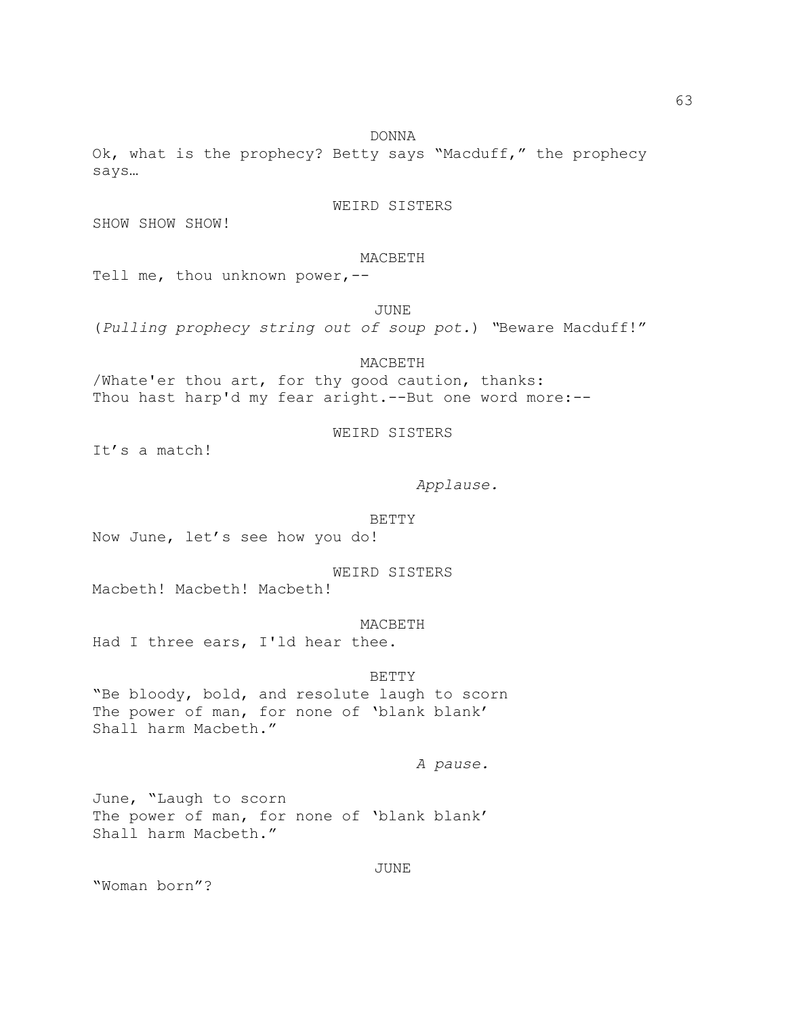DONNA

Ok, what is the prophecy? Betty says "Macduff," the prophecy says…

# WEIRD SISTERS

SHOW SHOW SHOW!

### MACBETH

Tell me, thou unknown power,--

JUNE

(*Pulling prophecy string out of soup pot.*) *"*Beware Macduff!"

# MACBETH

/Whate'er thou art, for thy good caution, thanks: Thou hast harp'd my fear aright.--But one word more:--

# WEIRD SISTERS

It's a match!

# *Applause.*

#### BETTY

Now June, let's see how you do!

WEIRD SISTERS

Macbeth! Macbeth! Macbeth!

#### MACBETH

Had I three ears, I'ld hear thee.

### BETTY

"Be bloody, bold, and resolute laugh to scorn The power of man, for none of 'blank blank' Shall harm Macbeth."

### *A pause.*

June, "Laugh to scorn The power of man, for none of 'blank blank' Shall harm Macbeth."

# JUNE

"Woman born"?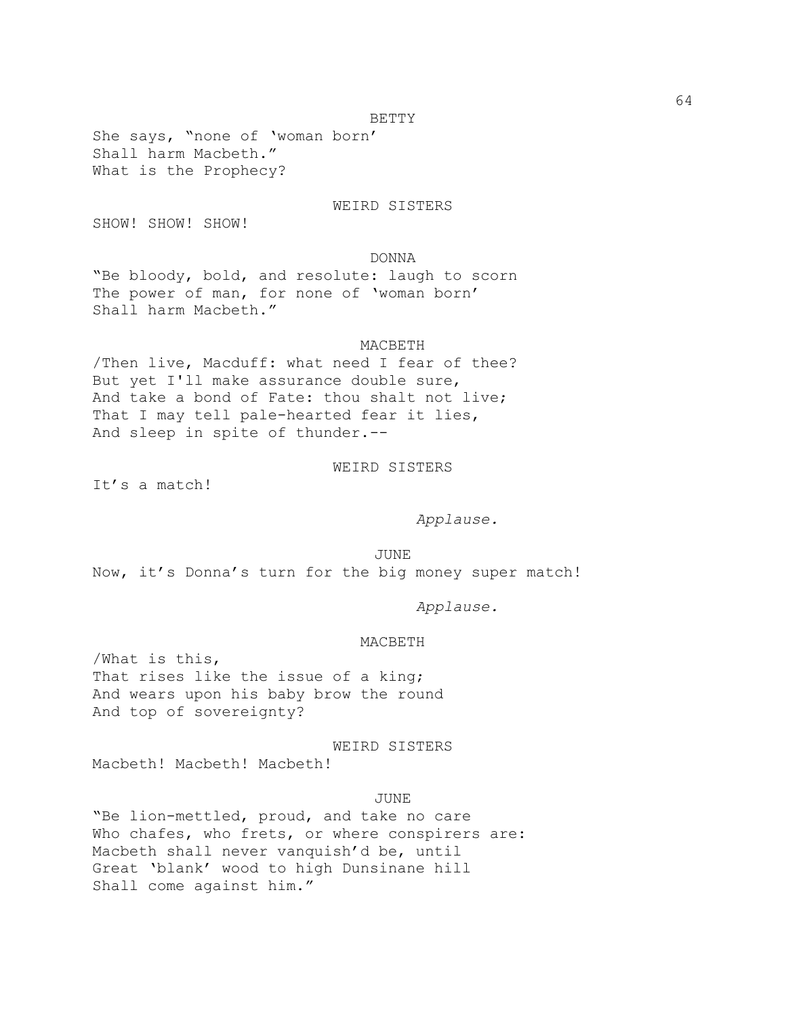BETTY

She says, "none of 'woman born' Shall harm Macbeth." What is the Prophecy?

### WEIRD SISTERS

SHOW! SHOW! SHOW!

DONNA

"Be bloody, bold, and resolute: laugh to scorn The power of man, for none of 'woman born' Shall harm Macbeth."

### MACBETH

/Then live, Macduff: what need I fear of thee? But yet I'll make assurance double sure, And take a bond of Fate: thou shalt not live; That I may tell pale-hearted fear it lies, And sleep in spite of thunder.--

WEIRD SISTERS

It's a match!

*Applause.*

JUNE Now, it's Donna's turn for the big money super match!

*Applause.*

#### MACBETH

/What is this, That rises like the issue of a king; And wears upon his baby brow the round And top of sovereignty?

WEIRD SISTERS

Macbeth! Macbeth! Macbeth!

JUNE

"Be lion-mettled, proud, and take no care Who chafes, who frets, or where conspirers are: Macbeth shall never vanquish'd be, until Great 'blank' wood to high Dunsinane hill Shall come against him."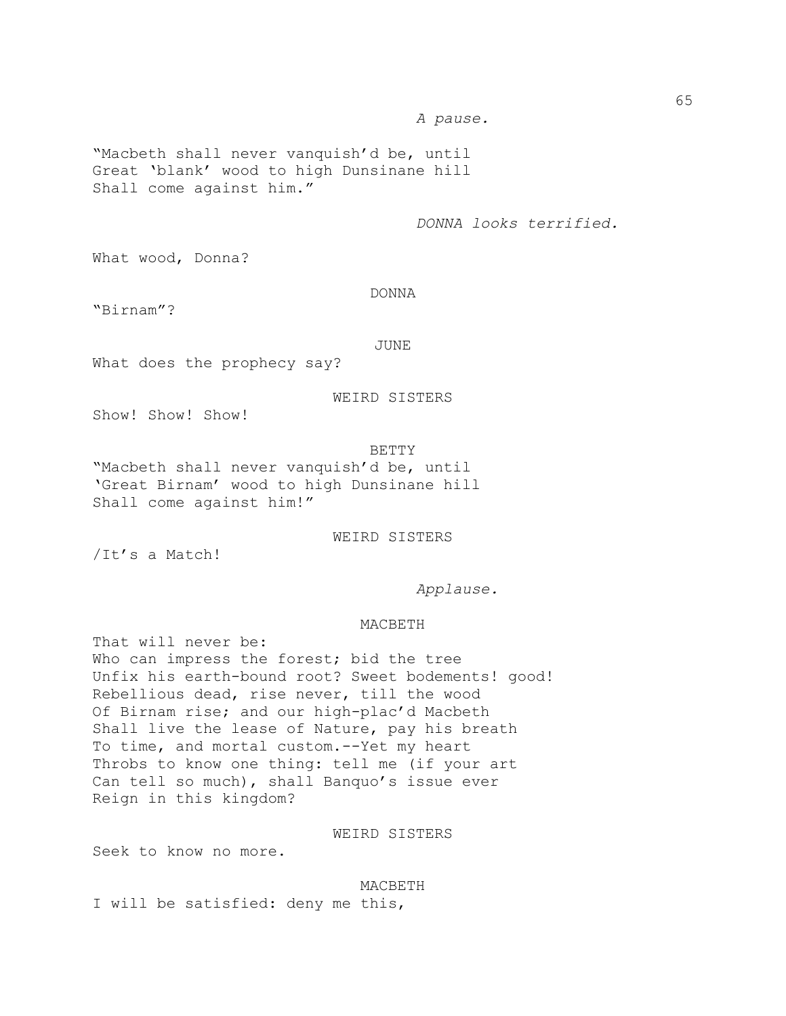*A pause.* 

"Macbeth shall never vanquish'd be, until Great 'blank' wood to high Dunsinane hill Shall come against him."

*DONNA looks terrified.*

What wood, Donna?

DONNA

"Birnam"?

JUNE

What does the prophecy say?

WEIRD SISTERS

Show! Show! Show!

BETTY "Macbeth shall never vanquish'd be, until 'Great Birnam' wood to high Dunsinane hill Shall come against him!"

WEIRD SISTERS

/It's a Match!

*Applause.*

#### MACBETH

That will never be: Who can impress the forest; bid the tree Unfix his earth-bound root? Sweet bodements! good! Rebellious dead, rise never, till the wood Of Birnam rise; and our high-plac'd Macbeth Shall live the lease of Nature, pay his breath To time, and mortal custom.--Yet my heart Throbs to know one thing: tell me (if your art Can tell so much), shall Banquo's issue ever Reign in this kingdom?

WEIRD SISTERS

Seek to know no more.

#### MACBETH

I will be satisfied: deny me this,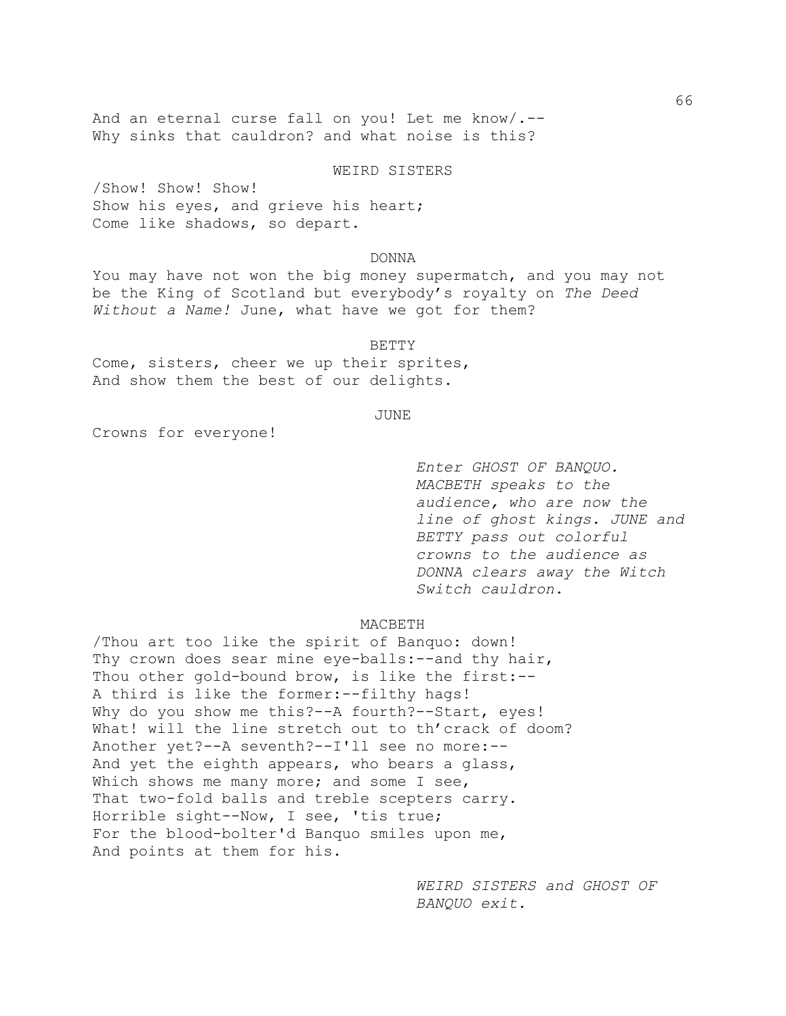And an eternal curse fall on you! Let me know/.-- Why sinks that cauldron? and what noise is this?

# WEIRD SISTERS

/Show! Show! Show! Show his eyes, and grieve his heart; Come like shadows, so depart.

# DONNA

You may have not won the big money supermatch, and you may not be the King of Scotland but everybody's royalty on *The Deed Without a Name!* June, what have we got for them?

### BETTY

Come, sisters, cheer we up their sprites, And show them the best of our delights.

### JUNE

Crowns for everyone!

*Enter GHOST OF BANQUO. MACBETH speaks to the audience, who are now the line of ghost kings. JUNE and BETTY pass out colorful crowns to the audience as DONNA clears away the Witch Switch cauldron.*

#### MACBETH

/Thou art too like the spirit of Banquo: down! Thy crown does sear mine eye-balls:--and thy hair, Thou other gold-bound brow, is like the first:-- A third is like the former:--filthy hags! Why do you show me this?--A fourth?--Start, eyes! What! will the line stretch out to th'crack of doom? Another yet?--A seventh?--I'll see no more:-- And yet the eighth appears, who bears a glass, Which shows me many more; and some I see, That two-fold balls and treble scepters carry. Horrible sight--Now, I see, 'tis true; For the blood-bolter'd Banquo smiles upon me, And points at them for his.

> *WEIRD SISTERS and GHOST OF BANQUO exit.*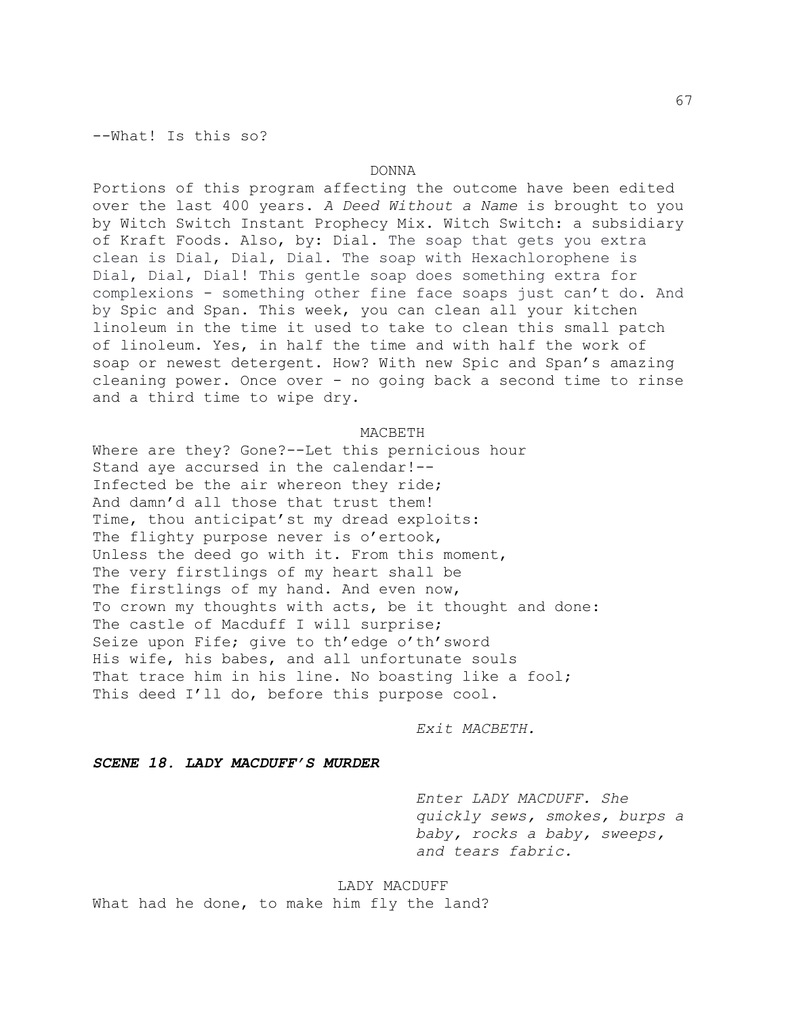--What! Is this so?

### DONNA

Portions of this program affecting the outcome have been edited over the last 400 years. *A Deed Without a Name* is brought to you by Witch Switch Instant Prophecy Mix. Witch Switch: a subsidiary of Kraft Foods. Also, by: Dial. The soap that gets you extra clean is Dial, Dial, Dial. The soap with Hexachlorophene is Dial, Dial, Dial! This gentle soap does something extra for complexions - something other fine face soaps just can't do. And by Spic and Span. This week, you can clean all your kitchen linoleum in the time it used to take to clean this small patch of linoleum. Yes, in half the time and with half the work of soap or newest detergent. How? With new Spic and Span's amazing cleaning power. Once over - no going back a second time to rinse and a third time to wipe dry.

#### MACBETH

Where are they? Gone?--Let this pernicious hour Stand aye accursed in the calendar!-- Infected be the air whereon they ride; And damn'd all those that trust them! Time, thou anticipat'st my dread exploits: The flighty purpose never is o'ertook, Unless the deed go with it. From this moment, The very firstlings of my heart shall be The firstlings of my hand. And even now, To crown my thoughts with acts, be it thought and done: The castle of Macduff I will surprise; Seize upon Fife; give to th'edge o'th'sword His wife, his babes, and all unfortunate souls That trace him in his line. No boasting like a fool; This deed I'll do, before this purpose cool.

*Exit MACBETH.*

# *SCENE 18. LADY MACDUFF'S MURDER*

*Enter LADY MACDUFF. She quickly sews, smokes, burps a baby, rocks a baby, sweeps, and tears fabric.*

LADY MACDUFF What had he done, to make him fly the land?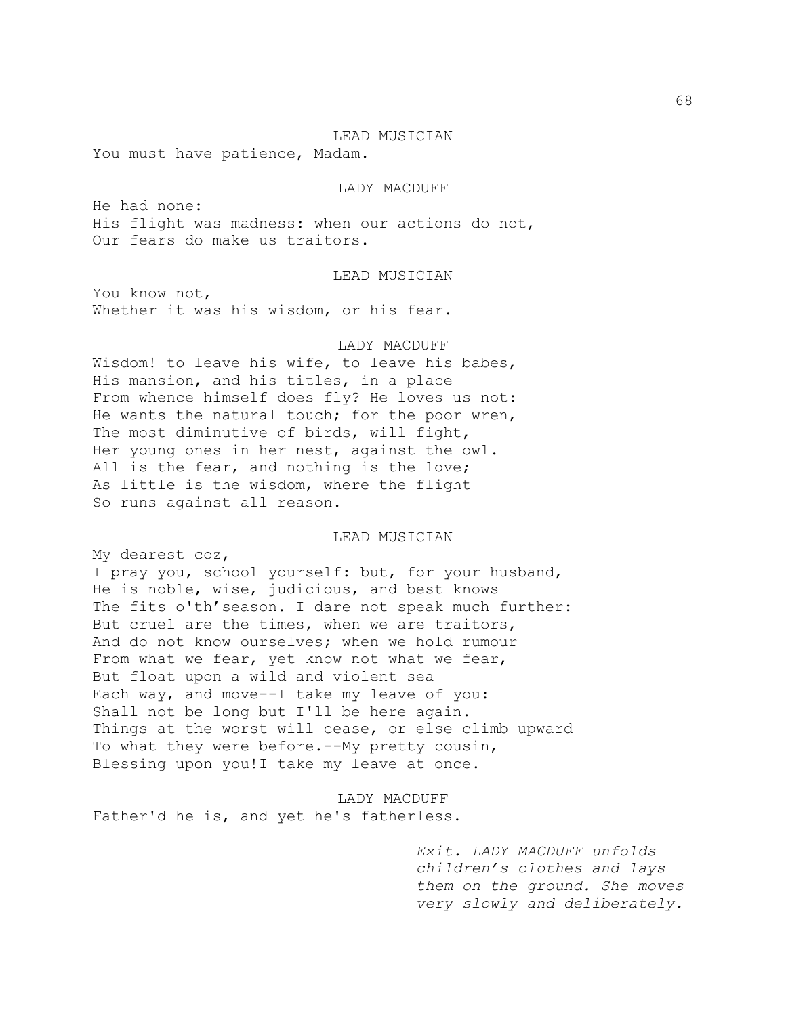#### LEAD MUSICIAN

You must have patience, Madam.

### LADY MACDUFF

He had none: His flight was madness: when our actions do not, Our fears do make us traitors.

### LEAD MUSICIAN

You know not, Whether it was his wisdom, or his fear.

#### LADY MACDUFF

Wisdom! to leave his wife, to leave his babes, His mansion, and his titles, in a place From whence himself does fly? He loves us not: He wants the natural touch; for the poor wren, The most diminutive of birds, will fight, Her young ones in her nest, against the owl. All is the fear, and nothing is the love; As little is the wisdom, where the flight So runs against all reason.

### LEAD MUSICIAN

My dearest coz,

I pray you, school yourself: but, for your husband, He is noble, wise, judicious, and best knows The fits o'th' season. I dare not speak much further: But cruel are the times, when we are traitors, And do not know ourselves; when we hold rumour From what we fear, yet know not what we fear, But float upon a wild and violent sea Each way, and move--I take my leave of you: Shall not be long but I'll be here again. Things at the worst will cease, or else climb upward To what they were before.--My pretty cousin, Blessing upon you!I take my leave at once.

LADY MACDUFF Father'd he is, and yet he's fatherless.

> *Exit. LADY MACDUFF unfolds children's clothes and lays them on the ground. She moves very slowly and deliberately.*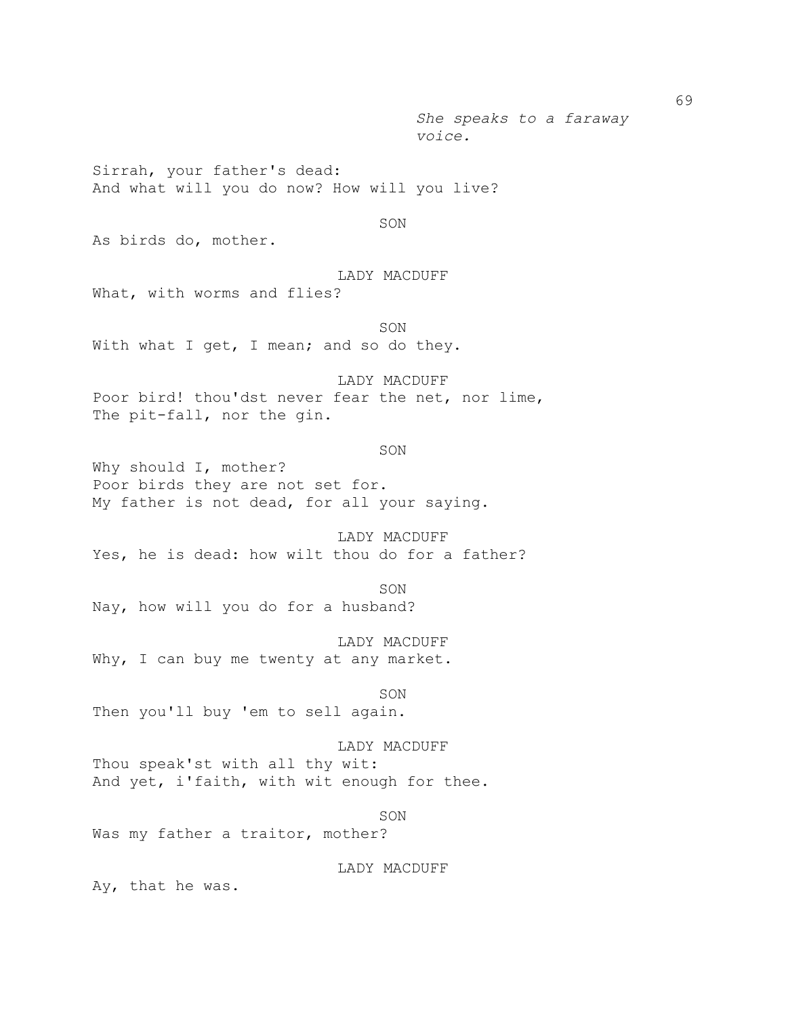*She speaks to a faraway voice.*

Sirrah, your father's dead: And what will you do now? How will you live?

SON

As birds do, mother.

# LADY MACDUFF

What, with worms and flies?

SON With what I get, I mean; and so do they.

LADY MACDUFF Poor bird! thou'dst never fear the net, nor lime, The pit-fall, nor the gin.

#### SON

Why should I, mother? Poor birds they are not set for. My father is not dead, for all your saying.

LADY MACDUFF Yes, he is dead: how wilt thou do for a father?

SON

Nay, how will you do for a husband?

LADY MACDUFF Why, I can buy me twenty at any market.

SON Then you'll buy 'em to sell again.

LADY MACDUFF Thou speak'st with all thy wit: And yet, i'faith, with wit enough for thee.

SON

Was my father a traitor, mother?

LADY MACDUFF

Ay, that he was.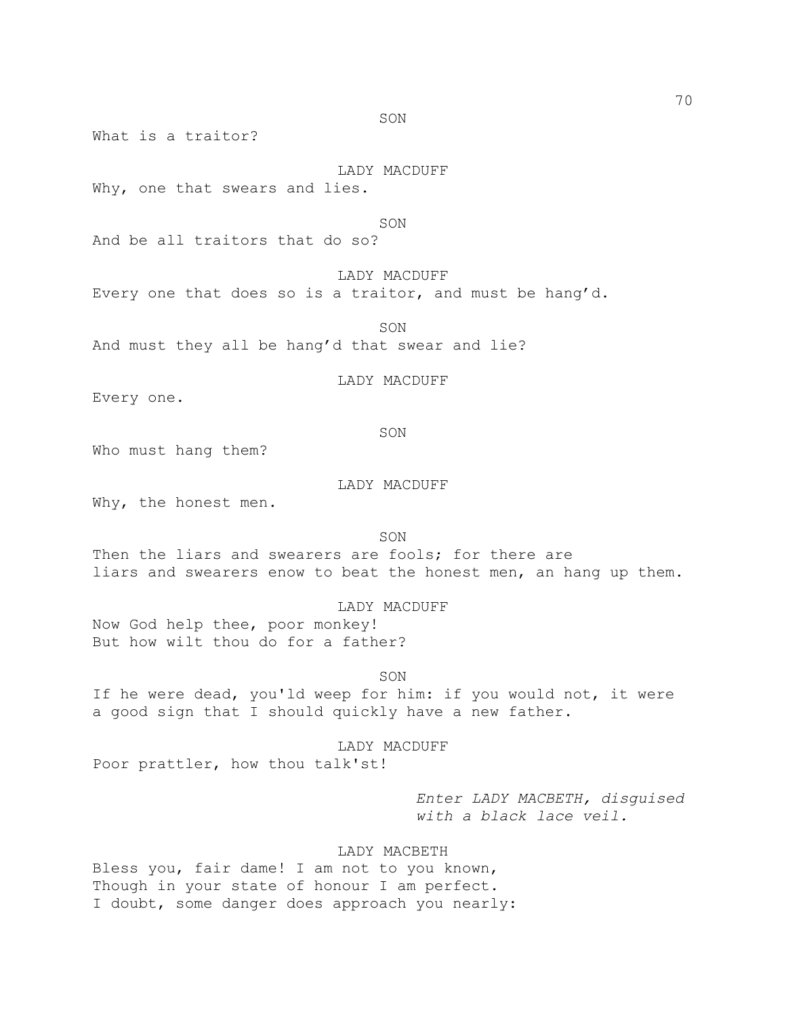SON

What is a traitor?

# LADY MACDUFF

Why, one that swears and lies.

#### SON

And be all traitors that do so?

# LADY MACDUFF

Every one that does so is a traitor, and must be hang'd.

SON

And must they all be hang'd that swear and lie?

# LADY MACDUFF

Every one.

### SON

Who must hang them?

# LADY MACDUFF

Why, the honest men.

SON

Then the liars and swearers are fools; for there are liars and swearers enow to beat the honest men, an hang up them.

### LADY MACDUFF

Now God help thee, poor monkey! But how wilt thou do for a father?

#### SON

If he were dead, you'ld weep for him: if you would not, it were a good sign that I should quickly have a new father.

# LADY MACDUFF

Poor prattler, how thou talk'st!

*Enter LADY MACBETH, disguised with a black lace veil.*

# LADY MACBETH

Bless you, fair dame! I am not to you known, Though in your state of honour I am perfect. I doubt, some danger does approach you nearly: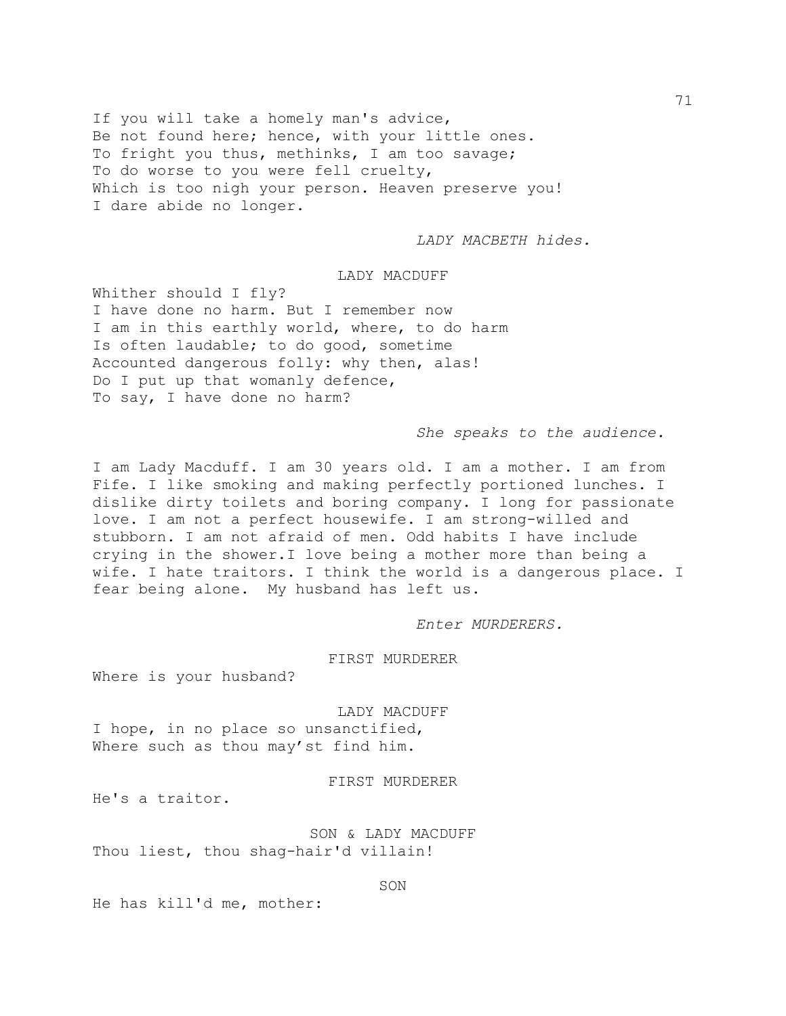If you will take a homely man's advice, Be not found here; hence, with your little ones. To fright you thus, methinks, I am too savage; To do worse to you were fell cruelty, Which is too nigh your person. Heaven preserve you! I dare abide no longer.

*LADY MACBETH hides.*

# LADY MACDUFF

Whither should I fly? I have done no harm. But I remember now I am in this earthly world, where, to do harm Is often laudable; to do good, sometime Accounted dangerous folly: why then, alas! Do I put up that womanly defence, To say, I have done no harm?

# *She speaks to the audience.*

I am Lady Macduff. I am 30 years old. I am a mother. I am from Fife. I like smoking and making perfectly portioned lunches. I dislike dirty toilets and boring company. I long for passionate love. I am not a perfect housewife. I am strong-willed and stubborn. I am not afraid of men. Odd habits I have include crying in the shower.I love being a mother more than being a wife. I hate traitors. I think the world is a dangerous place. I fear being alone. My husband has left us.

*Enter MURDERERS.*

# FIRST MURDERER

Where is your husband?

LADY MACDUFF I hope, in no place so unsanctified, Where such as thou may'st find him.

# FIRST MURDERER

He's a traitor.

SON & LADY MACDUFF Thou liest, thou shag-hair'd villain!

#### SON

He has kill'd me, mother: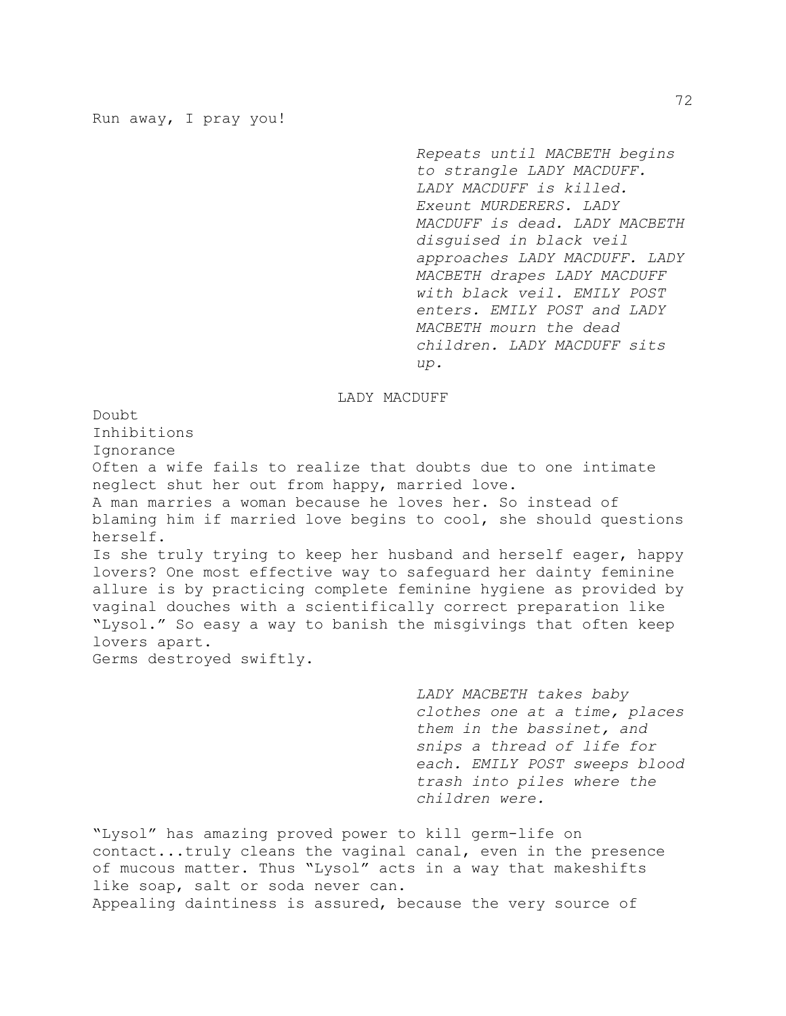*Repeats until MACBETH begins to strangle LADY MACDUFF. LADY MACDUFF is killed. Exeunt MURDERERS. LADY MACDUFF is dead. LADY MACBETH disguised in black veil approaches LADY MACDUFF. LADY MACBETH drapes LADY MACDUFF with black veil. EMILY POST enters. EMILY POST and LADY MACBETH mourn the dead children. LADY MACDUFF sits up.* 

### LADY MACDUFF

Doubt Inhibitions Ignorance Often a wife fails to realize that doubts due to one intimate neglect shut her out from happy, married love. A man marries a woman because he loves her. So instead of blaming him if married love begins to cool, she should questions herself. Is she truly trying to keep her husband and herself eager, happy lovers? One most effective way to safeguard her dainty feminine allure is by practicing complete feminine hygiene as provided by vaginal douches with a scientifically correct preparation like "Lysol." So easy a way to banish the misgivings that often keep lovers apart. Germs destroyed swiftly.

> *LADY MACBETH takes baby clothes one at a time, places them in the bassinet, and snips a thread of life for each. EMILY POST sweeps blood trash into piles where the children were.*

"Lysol" has amazing proved power to kill germ-life on contact...truly cleans the vaginal canal, even in the presence of mucous matter. Thus "Lysol" acts in a way that makeshifts like soap, salt or soda never can. Appealing daintiness is assured, because the very source of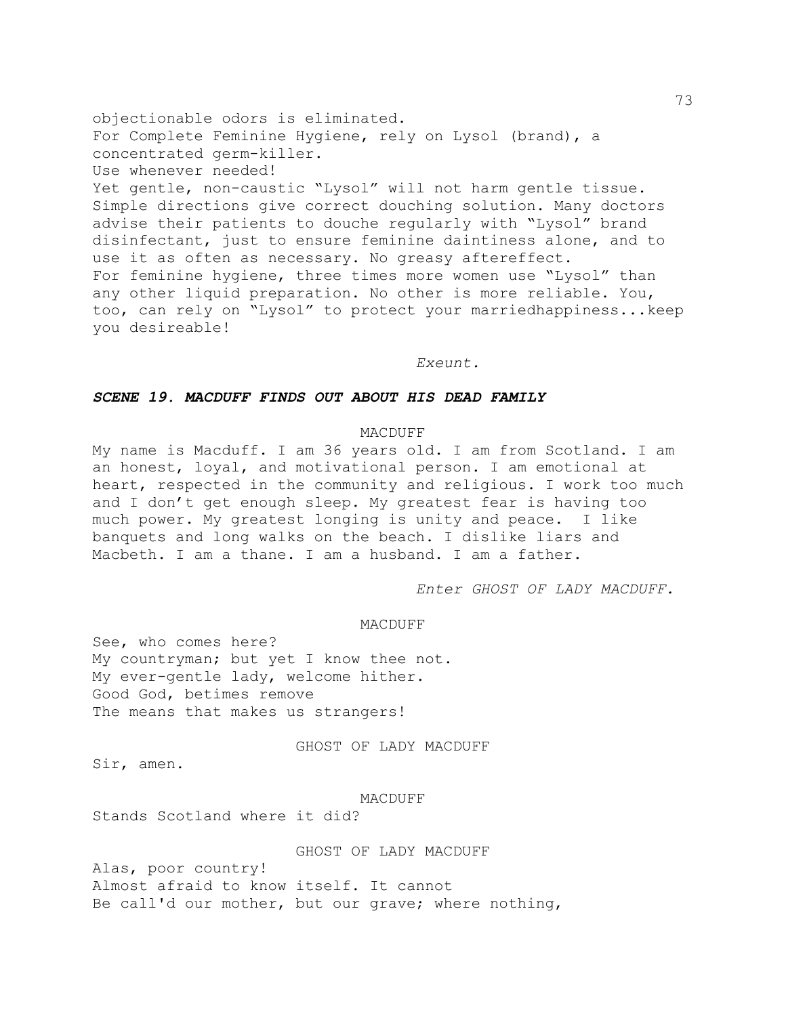objectionable odors is eliminated. For Complete Feminine Hygiene, rely on Lysol (brand), a concentrated germ-killer. Use whenever needed! Yet gentle, non-caustic "Lysol" will not harm gentle tissue. Simple directions give correct douching solution. Many doctors advise their patients to douche regularly with "Lysol" brand disinfectant, just to ensure feminine daintiness alone, and to use it as often as necessary. No greasy aftereffect. For feminine hygiene, three times more women use "Lysol" than any other liquid preparation. No other is more reliable. You, too, can rely on "Lysol" to protect your marriedhappiness...keep you desireable!

*Exeunt.* 

# *SCENE 19. MACDUFF FINDS OUT ABOUT HIS DEAD FAMILY*

# MACDUFF

My name is Macduff. I am 36 years old. I am from Scotland. I am an honest, loyal, and motivational person. I am emotional at heart, respected in the community and religious. I work too much and I don't get enough sleep. My greatest fear is having too much power. My greatest longing is unity and peace. I like banquets and long walks on the beach. I dislike liars and Macbeth. I am a thane. I am a husband. I am a father.

*Enter GHOST OF LADY MACDUFF.*

## MACDUFF

See, who comes here? My countryman; but yet I know thee not. My ever-gentle lady, welcome hither. Good God, betimes remove The means that makes us strangers!

### GHOST OF LADY MACDUFF

Sir, amen.

#### MACDUFF

Stands Scotland where it did?

# GHOST OF LADY MACDUFF

Alas, poor country! Almost afraid to know itself. It cannot Be call'd our mother, but our grave; where nothing,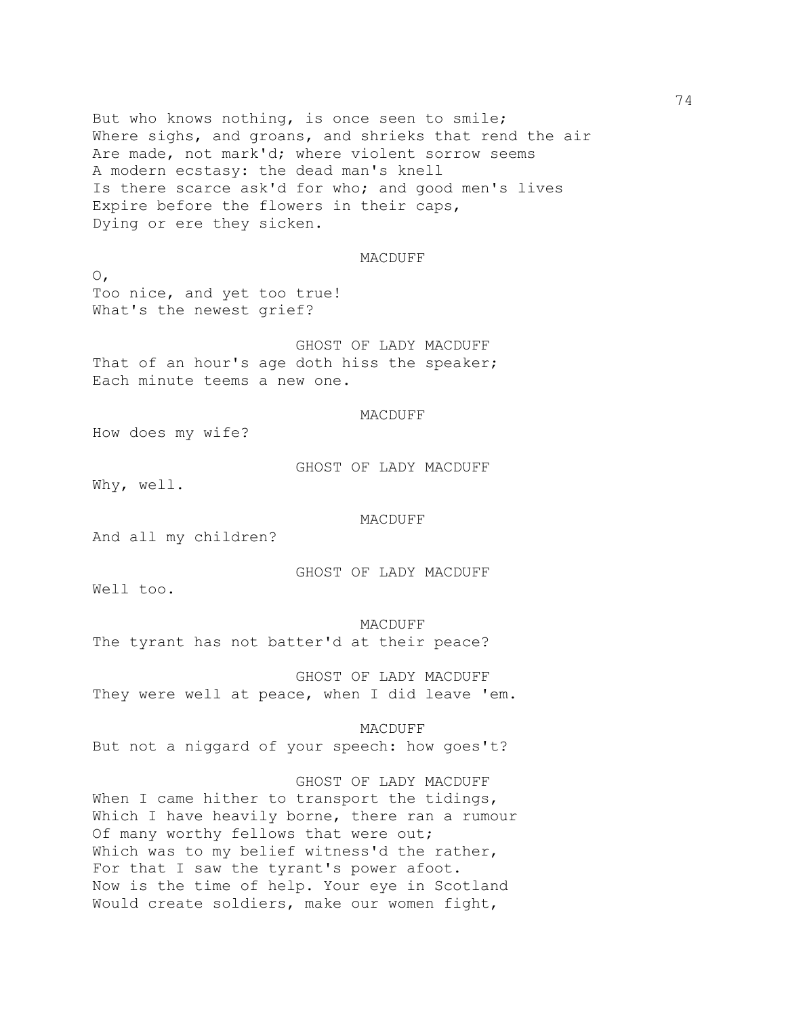But who knows nothing, is once seen to smile; Where sighs, and groans, and shrieks that rend the air Are made, not mark'd; where violent sorrow seems A modern ecstasy: the dead man's knell Is there scarce ask'd for who; and good men's lives Expire before the flowers in their caps, Dying or ere they sicken.

### MACDUFF

 $\circ$ , Too nice, and yet too true! What's the newest grief?

GHOST OF LADY MACDUFF That of an hour's age doth hiss the speaker; Each minute teems a new one.

# MACDUFF

How does my wife?

GHOST OF LADY MACDUFF

Why, well.

### MACDUFF

And all my children?

GHOST OF LADY MACDUFF

Well too.

#### MACDUFF

The tyrant has not batter'd at their peace?

GHOST OF LADY MACDUFF They were well at peace, when I did leave 'em.

MACDUFF

But not a niggard of your speech: how goes't?

GHOST OF LADY MACDUFF When I came hither to transport the tidings, Which I have heavily borne, there ran a rumour Of many worthy fellows that were out; Which was to my belief witness'd the rather, For that I saw the tyrant's power afoot. Now is the time of help. Your eye in Scotland Would create soldiers, make our women fight,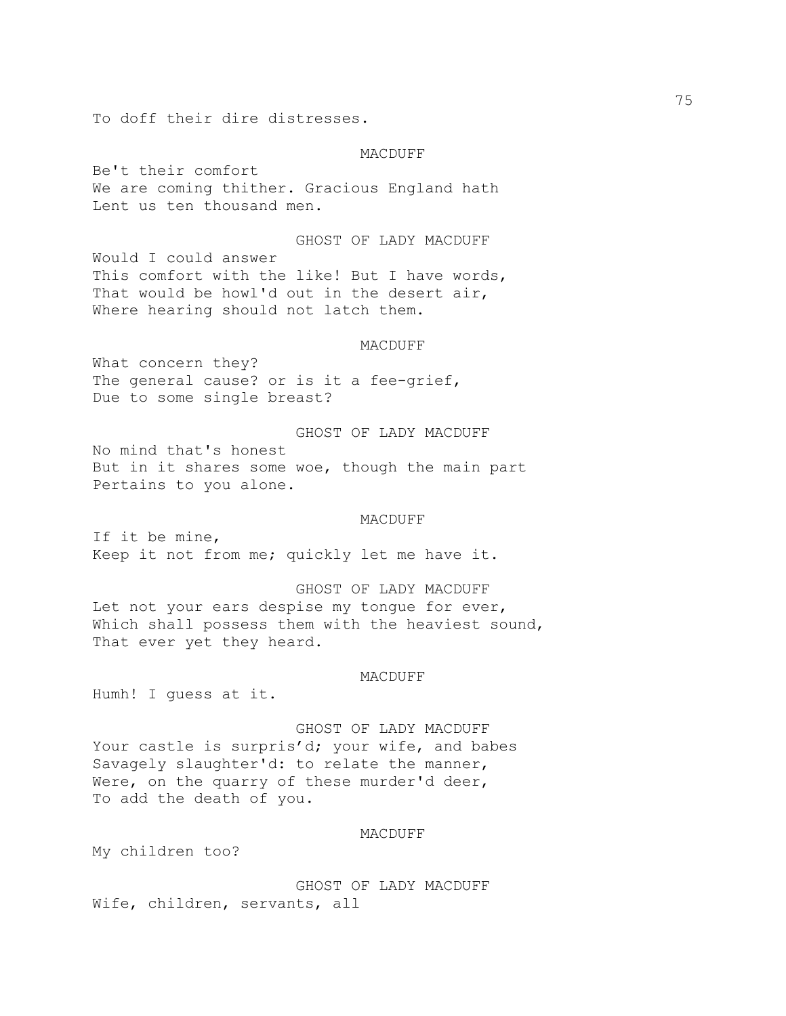To doff their dire distresses.

### MACDUFF

Be't their comfort We are coming thither. Gracious England hath Lent us ten thousand men.

GHOST OF LADY MACDUFF Would I could answer This comfort with the like! But I have words, That would be howl'd out in the desert air, Where hearing should not latch them.

## MACDUFF

What concern they? The general cause? or is it a fee-grief, Due to some single breast?

GHOST OF LADY MACDUFF No mind that's honest But in it shares some woe, though the main part Pertains to you alone.

### MACDUFF

If it be mine, Keep it not from me; quickly let me have it.

GHOST OF LADY MACDUFF Let not your ears despise my tongue for ever, Which shall possess them with the heaviest sound, That ever yet they heard.

## MACDUFF

Humh! I guess at it.

GHOST OF LADY MACDUFF Your castle is surpris'd; your wife, and babes Savagely slaughter'd: to relate the manner, Were, on the quarry of these murder'd deer, To add the death of you.

# MACDUFF

My children too?

GHOST OF LADY MACDUFF Wife, children, servants, all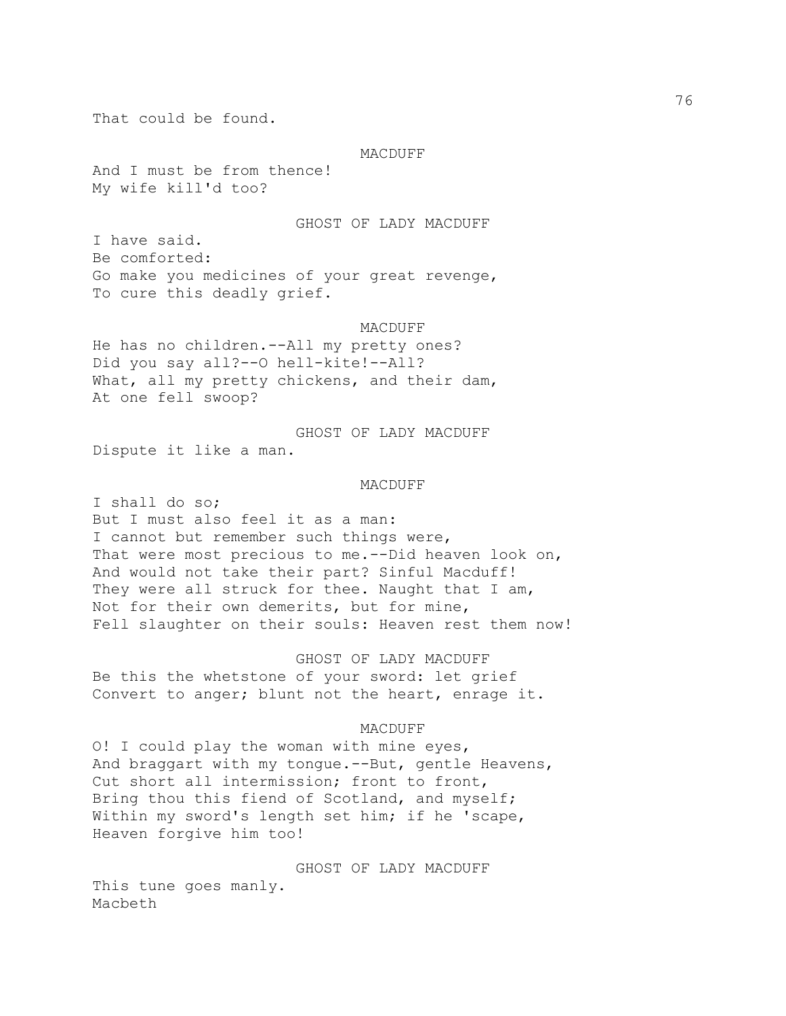That could be found.

#### MACDUFF

And I must be from thence! My wife kill'd too?

### GHOST OF LADY MACDUFF

I have said. Be comforted: Go make you medicines of your great revenge, To cure this deadly grief.

#### MACDUFF

He has no children.--All my pretty ones? Did you say all?--O hell-kite!--All? What, all my pretty chickens, and their dam, At one fell swoop?

GHOST OF LADY MACDUFF Dispute it like a man.

## MACDUFF

I shall do so; But I must also feel it as a man: I cannot but remember such things were, That were most precious to me. -- Did heaven look on, And would not take their part? Sinful Macduff! They were all struck for thee. Naught that I am, Not for their own demerits, but for mine, Fell slaughter on their souls: Heaven rest them now!

GHOST OF LADY MACDUFF Be this the whetstone of your sword: let grief Convert to anger; blunt not the heart, enrage it.

## MACDUFF

O! I could play the woman with mine eyes, And braggart with my tongue.--But, gentle Heavens, Cut short all intermission; front to front, Bring thou this fiend of Scotland, and myself; Within my sword's length set him; if he 'scape, Heaven forgive him too!

GHOST OF LADY MACDUFF

This tune goes manly. Macbeth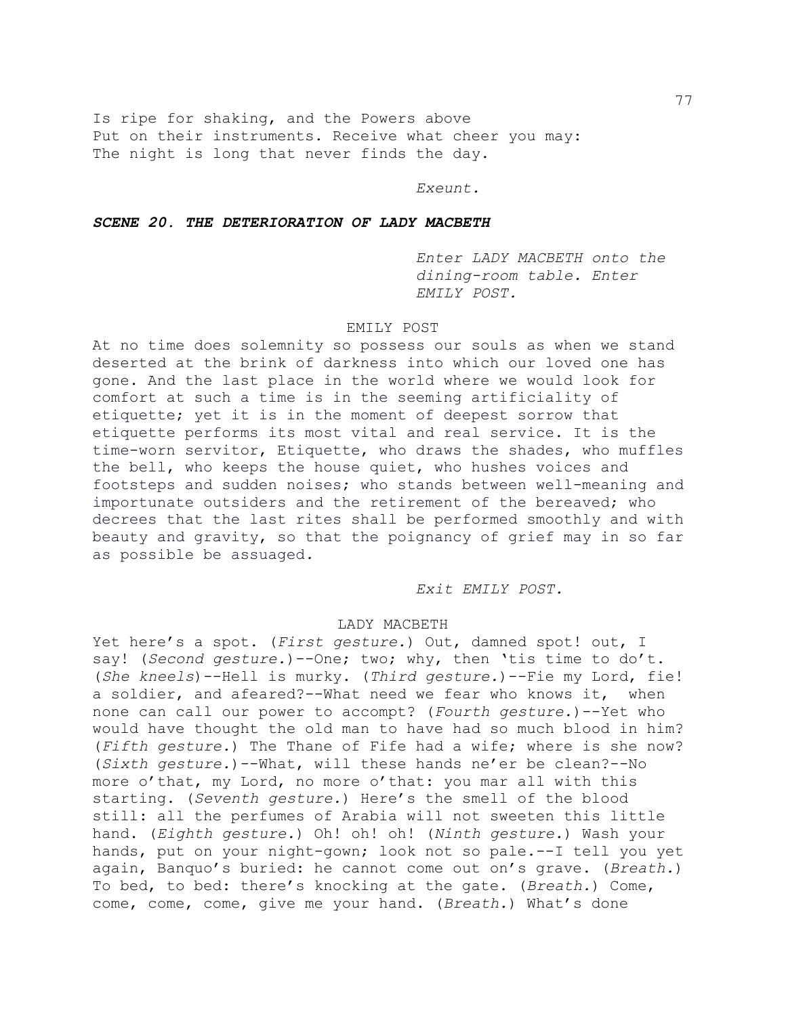Is ripe for shaking, and the Powers above Put on their instruments. Receive what cheer you may: The night is long that never finds the day.

## *Exeunt.*

# *SCENE 20. THE DETERIORATION OF LADY MACBETH*

*Enter LADY MACBETH onto the dining-room table. Enter EMILY POST.*

## EMILY POST

At no time does solemnity so possess our souls as when we stand deserted at the brink of darkness into which our loved one has gone. And the last place in the world where we would look for comfort at such a time is in the seeming artificiality of etiquette; yet it is in the moment of deepest sorrow that etiquette performs its most vital and real service. It is the time-worn servitor, Etiquette, who draws the shades, who muffles the bell, who keeps the house quiet, who hushes voices and footsteps and sudden noises; who stands between well-meaning and importunate outsiders and the retirement of the bereaved; who decrees that the last rites shall be performed smoothly and with beauty and gravity, so that the poignancy of grief may in so far as possible be assuaged*.*

*Exit EMILY POST.*

## LADY MACBETH

Yet here's a spot. (*First gesture.*) Out, damned spot! out, I say! (*Second gesture.*)--One; two; why, then 'tis time to do't. (*She kneels*)--Hell is murky. (*Third gesture.*)--Fie my Lord, fie! a soldier, and afeared?--What need we fear who knows it, when none can call our power to accompt? (*Fourth gesture.*)--Yet who would have thought the old man to have had so much blood in him? (*Fifth gesture.*) The Thane of Fife had a wife; where is she now? (*Sixth gesture.*)--What, will these hands ne'er be clean?--No more o'that, my Lord, no more o'that: you mar all with this starting. (*Seventh gesture.*) Here's the smell of the blood still: all the perfumes of Arabia will not sweeten this little hand. (*Eighth gesture.*) Oh! oh! oh! (*Ninth gesture.*) Wash your hands, put on your night-gown; look not so pale.--I tell you yet again, Banquo's buried: he cannot come out on's grave. (*Breath.*) To bed, to bed: there's knocking at the gate. (*Breath.*) Come, come, come, come, give me your hand. (*Breath.*) What's done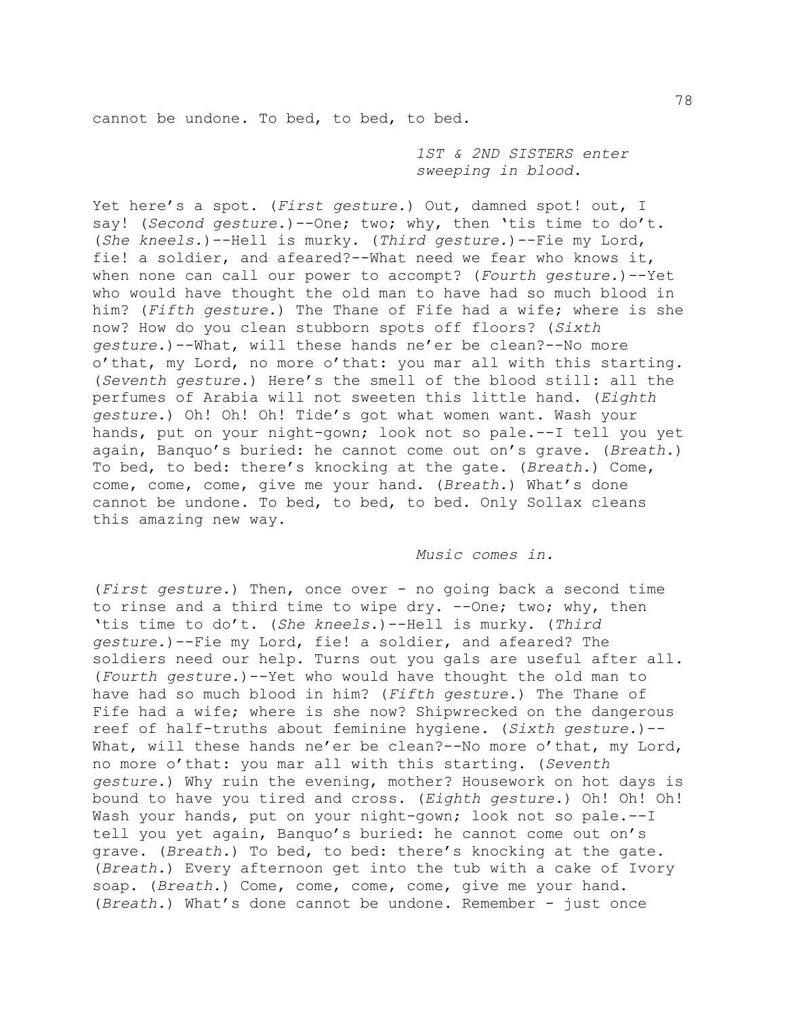cannot be undone. To bed, to bed, to bed.

*1ST & 2ND SISTERS enter sweeping in blood.* 

Yet here's a spot. (*First gesture.*) Out, damned spot! out, I say! (*Second gesture.*) -- One; two; why, then 'tis time to do't. (*She kneels.*)--Hell is murky. (*Third gesture.*)--Fie my Lord, fie! a soldier, and afeared?--What need we fear who knows it, when none can call our power to accompt? (*Fourth gesture.*)--Yet who would have thought the old man to have had so much blood in him? (*Fifth gesture.*) The Thane of Fife had a wife; where is she now? How do you clean stubborn spots off floors? (*Sixth gesture.*)--What, will these hands ne'er be clean?--No more o'that, my Lord, no more o'that: you mar all with this starting. (*Seventh gesture.*) Here's the smell of the blood still: all the perfumes of Arabia will not sweeten this little hand. (*Eighth gesture.*) Oh! Oh! Oh! Tide's got what women want. Wash your hands, put on your night-gown; look not so pale.--I tell you yet again, Banquo's buried: he cannot come out on's grave. (*Breath.*) To bed, to bed: there's knocking at the gate. (*Breath.*) Come, come, come, come, give me your hand. (*Breath.*) What's done cannot be undone. To bed, to bed, to bed. Only Sollax cleans this amazing new way.

## *Music comes in.*

(*First gesture.*) Then, once over - no going back a second time to rinse and a third time to wipe dry. --One; two; why, then 'tis time to do't. (*She kneels.*)--Hell is murky. (*Third gesture.*)--Fie my Lord, fie! a soldier, and afeared? The soldiers need our help. Turns out you gals are useful after all. (*Fourth gesture.*)--Yet who would have thought the old man to have had so much blood in him? (*Fifth gesture.*) The Thane of Fife had a wife; where is she now? Shipwrecked on the dangerous reef of half-truths about feminine hygiene. (*Sixth gesture.*)-- What, will these hands ne'er be clean?--No more o'that, my Lord, no more o'that: you mar all with this starting. (*Seventh gesture.*) Why ruin the evening, mother? Housework on hot days is bound to have you tired and cross. (*Eighth gesture.*) Oh! Oh! Oh! Wash your hands, put on your night-gown; look not so pale.--I tell you yet again, Banquo's buried: he cannot come out on's grave. (*Breath.*) To bed, to bed: there's knocking at the gate. (*Breath.*) Every afternoon get into the tub with a cake of Ivory soap. (*Breath.*) Come, come, come, come, give me your hand. (*Breath.*) What's done cannot be undone. Remember - just once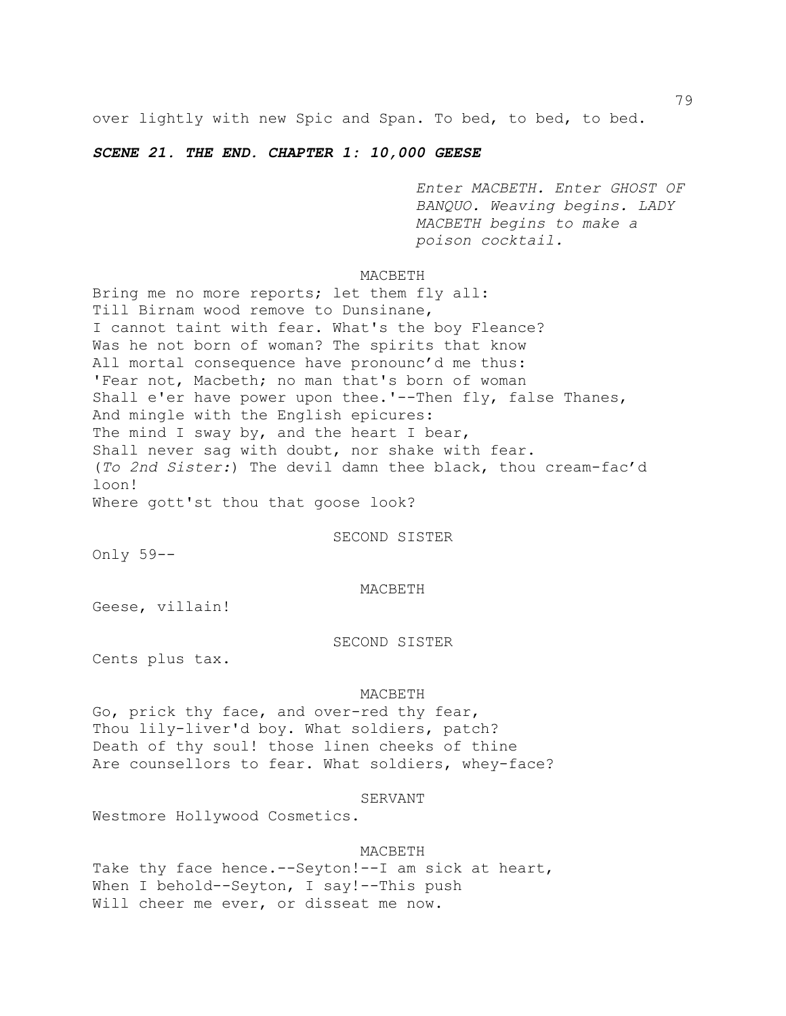over lightly with new Spic and Span. To bed, to bed, to bed.

# *SCENE 21. THE END. CHAPTER 1: 10,000 GEESE*

*Enter MACBETH. Enter GHOST OF BANQUO. Weaving begins. LADY MACBETH begins to make a poison cocktail.*

## MACBETH

Bring me no more reports; let them fly all: Till Birnam wood remove to Dunsinane, I cannot taint with fear. What's the boy Fleance? Was he not born of woman? The spirits that know All mortal consequence have pronounc'd me thus: 'Fear not, Macbeth; no man that's born of woman Shall e'er have power upon thee.'--Then fly, false Thanes, And mingle with the English epicures: The mind I sway by, and the heart I bear, Shall never sag with doubt, nor shake with fear. (*To 2nd Sister:*) The devil damn thee black, thou cream-fac'd loon!

Where gott'st thou that goose look?

SECOND SISTER

Only 59--

#### MACBETH

Geese, villain!

## SECOND SISTER

Cents plus tax.

#### MACBETH

Go, prick thy face, and over-red thy fear, Thou lily-liver'd boy. What soldiers, patch? Death of thy soul! those linen cheeks of thine Are counsellors to fear. What soldiers, whey-face?

SERVANT

Westmore Hollywood Cosmetics.

# MACBETH

Take thy face hence.--Seyton!--I am sick at heart, When I behold--Seyton, I say!--This push Will cheer me ever, or disseat me now.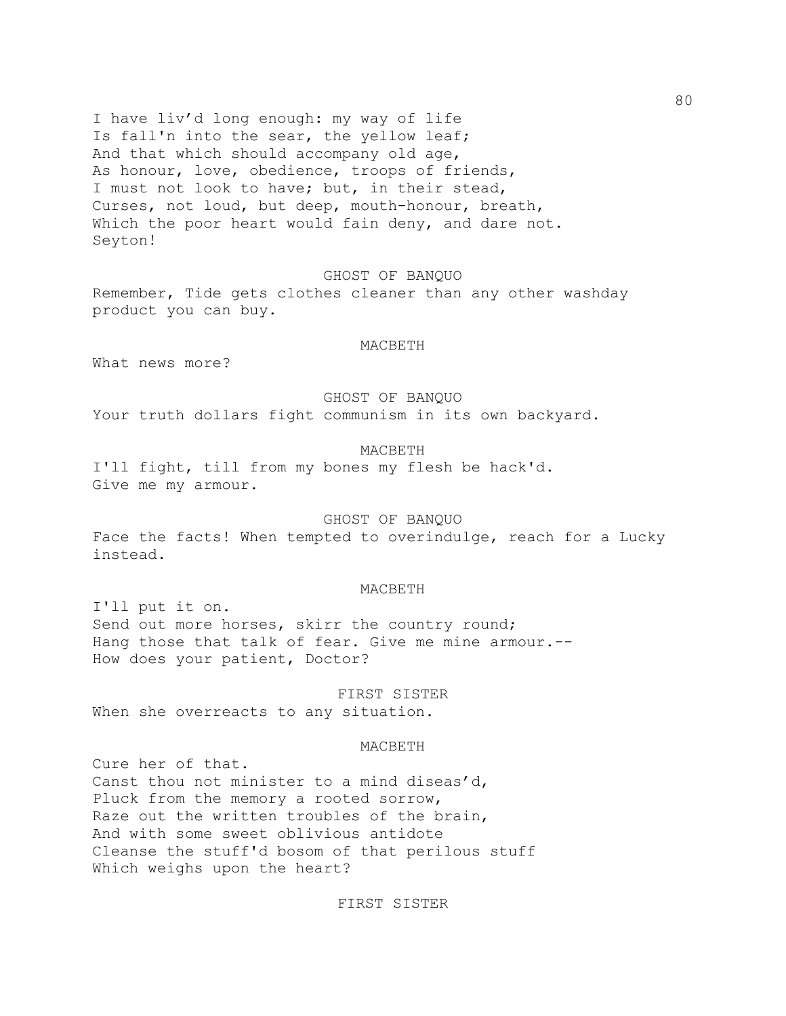I have liv'd long enough: my way of life Is fall'n into the sear, the yellow leaf; And that which should accompany old age, As honour, love, obedience, troops of friends, I must not look to have; but, in their stead, Curses, not loud, but deep, mouth-honour, breath, Which the poor heart would fain deny, and dare not. Seyton!

# GHOST OF BANQUO

Remember, Tide gets clothes cleaner than any other washday product you can buy.

# MACBETH

What news more?

## GHOST OF BANQUO

Your truth dollars fight communism in its own backyard.

# MACBETH

I'll fight, till from my bones my flesh be hack'd. Give me my armour.

## GHOST OF BANQUO

Face the facts! When tempted to overindulge, reach for a Lucky instead.

## MACBETH

I'll put it on. Send out more horses, skirr the country round; Hang those that talk of fear. Give me mine armour.-- How does your patient, Doctor?

FIRST SISTER When she overreacts to any situation.

### MACBETH

Cure her of that. Canst thou not minister to a mind diseas'd, Pluck from the memory a rooted sorrow, Raze out the written troubles of the brain, And with some sweet oblivious antidote Cleanse the stuff'd bosom of that perilous stuff Which weighs upon the heart?

# FIRST SISTER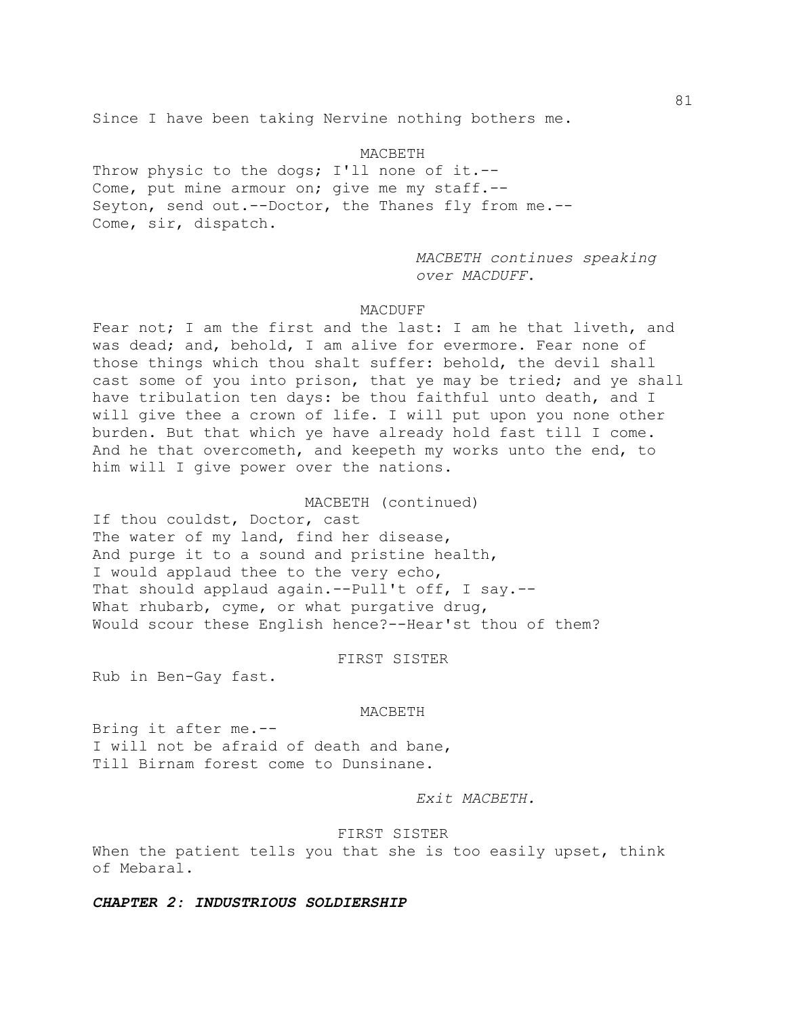Since I have been taking Nervine nothing bothers me.

## MACBETH

Throw physic to the dogs; I'll none of it.--Come, put mine armour on; give me my staff.-- Seyton, send out.--Doctor, the Thanes fly from me.-- Come, sir, dispatch.

> *MACBETH continues speaking over MACDUFF*.

# MACDUFF

Fear not; I am the first and the last: I am he that liveth, and was dead; and, behold, I am alive for evermore. Fear none of those things which thou shalt suffer: behold, the devil shall cast some of you into prison, that ye may be tried; and ye shall have tribulation ten days: be thou faithful unto death, and I will give thee a crown of life. I will put upon you none other burden. But that which ye have already hold fast till I come. And he that overcometh, and keepeth my works unto the end, to him will I give power over the nations.

## MACBETH (continued)

If thou couldst, Doctor, cast The water of my land, find her disease, And purge it to a sound and pristine health, I would applaud thee to the very echo, That should applaud again.--Pull't off, I say.--What rhubarb, cyme, or what purgative drug, Would scour these English hence?--Hear'st thou of them?

## FIRST SISTER

Rub in Ben-Gay fast.

### MACBETH

Bring it after me.-- I will not be afraid of death and bane, Till Birnam forest come to Dunsinane.

# *Exit MACBETH.*

## FIRST SISTER

When the patient tells you that she is too easily upset, think of Mebaral.

# *CHAPTER 2: INDUSTRIOUS SOLDIERSHIP*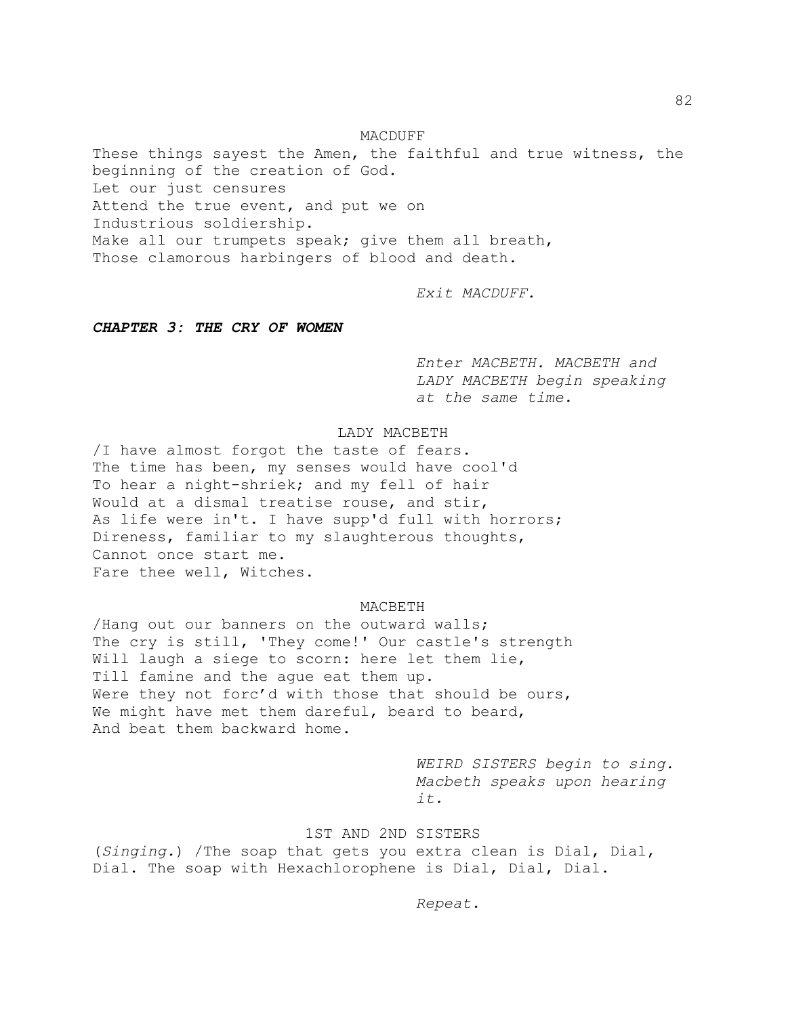MACDUFF These things sayest the Amen, the faithful and true witness, the beginning of the creation of God. Let our just censures Attend the true event, and put we on Industrious soldiership. Make all our trumpets speak; give them all breath, Those clamorous harbingers of blood and death.

*Exit MACDUFF.*

# *CHAPTER 3: THE CRY OF WOMEN*

*Enter MACBETH. MACBETH and LADY MACBETH begin speaking at the same time.*

# LADY MACBETH

/I have almost forgot the taste of fears. The time has been, my senses would have cool'd To hear a night-shriek; and my fell of hair Would at a dismal treatise rouse, and stir, As life were in't. I have supp'd full with horrors; Direness, familiar to my slaughterous thoughts, Cannot once start me. Fare thee well, Witches.

# MACBETH

/Hang out our banners on the outward walls; The cry is still, 'They come!' Our castle's strength Will laugh a siege to scorn: here let them lie, Till famine and the ague eat them up. Were they not forc'd with those that should be ours, We might have met them dareful, beard to beard, And beat them backward home.

> *WEIRD SISTERS begin to sing. Macbeth speaks upon hearing it.*

# 1ST AND 2ND SISTERS

(*Singing.*) /The soap that gets you extra clean is Dial, Dial, Dial. The soap with Hexachlorophene is Dial, Dial, Dial.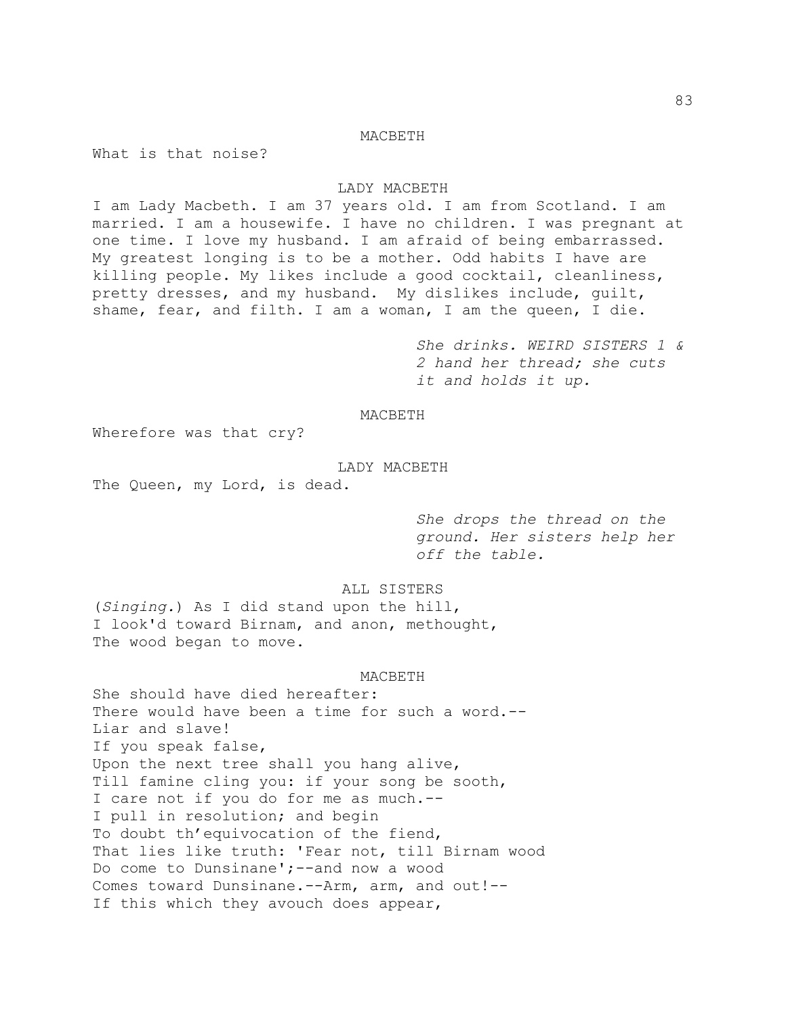# MACBETH

What is that noise?

## LADY MACBETH

I am Lady Macbeth. I am 37 years old. I am from Scotland. I am married. I am a housewife. I have no children. I was pregnant at one time. I love my husband. I am afraid of being embarrassed. My greatest longing is to be a mother. Odd habits I have are killing people. My likes include a good cocktail, cleanliness, pretty dresses, and my husband. My dislikes include, guilt, shame, fear, and filth. I am a woman, I am the queen, I die.

> *She drinks. WEIRD SISTERS 1 & 2 hand her thread; she cuts it and holds it up.*

# MACBETH

Wherefore was that cry?

# LADY MACBETH

The Queen, my Lord, is dead.

*She drops the thread on the ground. Her sisters help her off the table.*

# ALL SISTERS

(*Singing.*) As I did stand upon the hill, I look'd toward Birnam, and anon, methought, The wood began to move.

### MACBETH

She should have died hereafter: There would have been a time for such a word.-- Liar and slave! If you speak false, Upon the next tree shall you hang alive, Till famine cling you: if your song be sooth, I care not if you do for me as much.-- I pull in resolution; and begin To doubt th'equivocation of the fiend, That lies like truth: 'Fear not, till Birnam wood Do come to Dunsinane';--and now a wood Comes toward Dunsinane.--Arm, arm, and out!-- If this which they avouch does appear,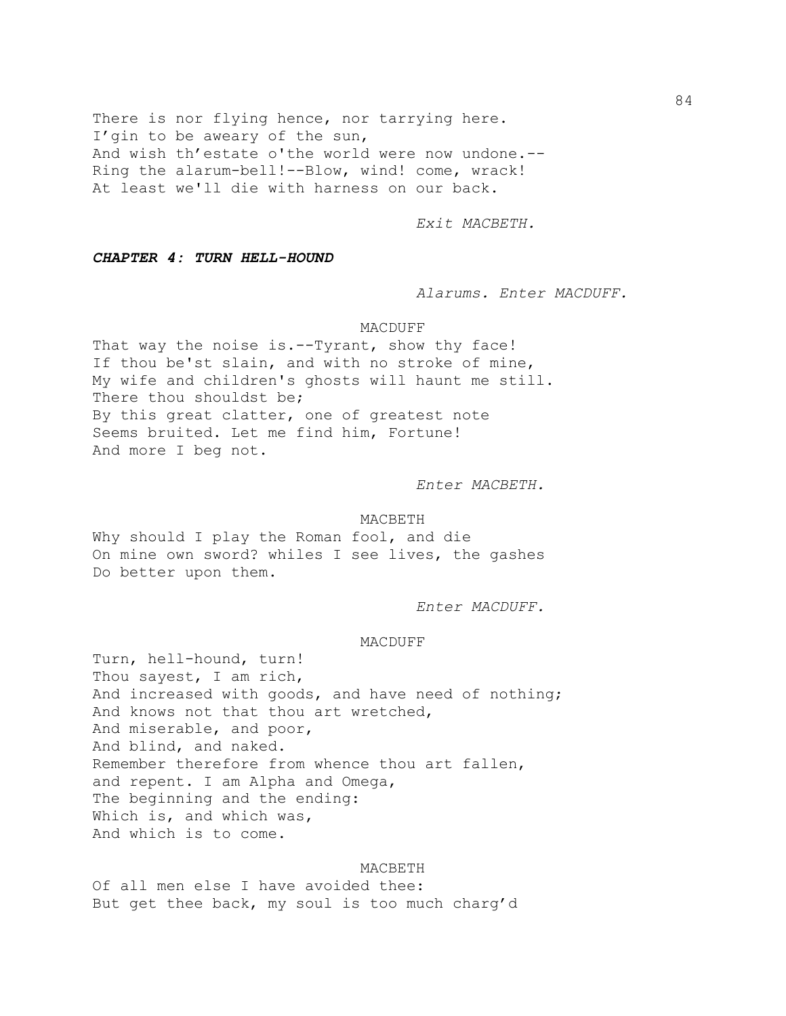There is nor flying hence, nor tarrying here. I'gin to be aweary of the sun, And wish th'estate o'the world were now undone.-- Ring the alarum-bell!--Blow, wind! come, wrack! At least we'll die with harness on our back.

*Exit MACBETH.*

*CHAPTER 4: TURN HELL-HOUND*

*Alarums. Enter MACDUFF.*

### MACDUFF

That way the noise is.--Tyrant, show thy face! If thou be'st slain, and with no stroke of mine, My wife and children's ghosts will haunt me still. There thou shouldst be; By this great clatter, one of greatest note Seems bruited. Let me find him, Fortune! And more I beg not.

*Enter MACBETH.*

### MACBETH

Why should I play the Roman fool, and die On mine own sword? whiles I see lives, the gashes Do better upon them.

*Enter MACDUFF.*

# MACDUFF

Turn, hell-hound, turn! Thou sayest, I am rich, And increased with goods, and have need of nothing; And knows not that thou art wretched, And miserable, and poor, And blind, and naked. Remember therefore from whence thou art fallen, and repent. I am Alpha and Omega, The beginning and the ending: Which is, and which was, And which is to come.

## MACBETH

Of all men else I have avoided thee: But get thee back, my soul is too much charg'd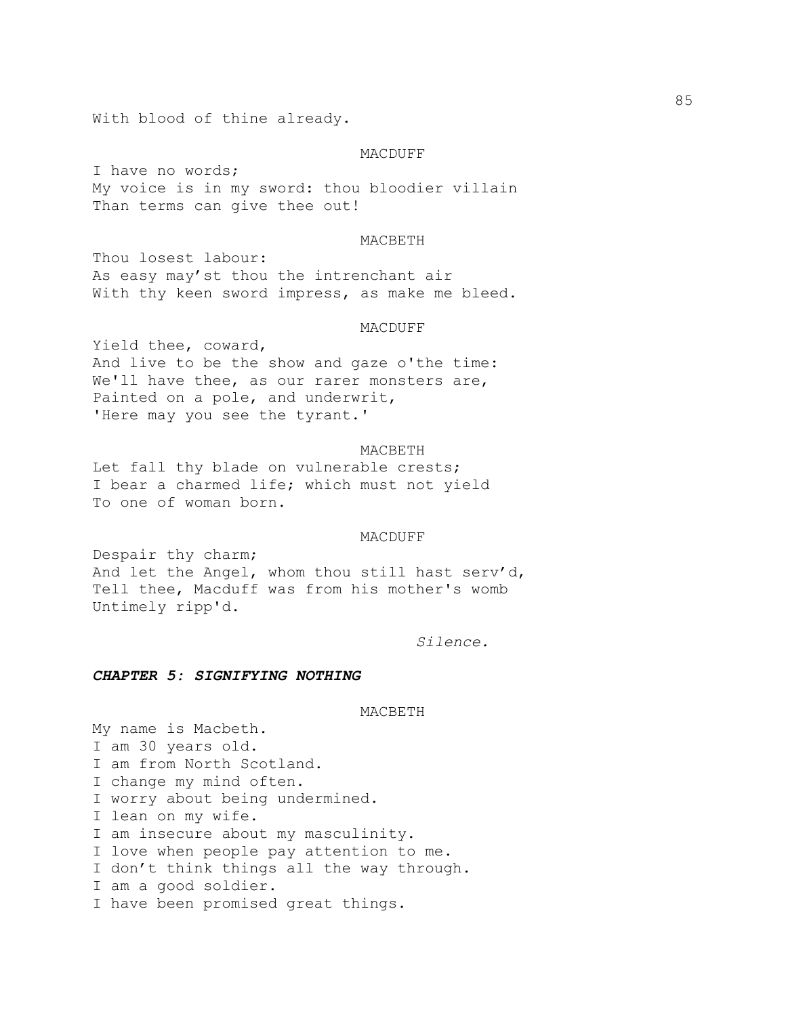With blood of thine already.

### MACDUFF

I have no words; My voice is in my sword: thou bloodier villain Than terms can give thee out!

# MACBETH

Thou losest labour: As easy may'st thou the intrenchant air With thy keen sword impress, as make me bleed.

### MACDUFF

Yield thee, coward, And live to be the show and gaze o'the time: We'll have thee, as our rarer monsters are, Painted on a pole, and underwrit, 'Here may you see the tyrant.'

## MACBETH

Let fall thy blade on vulnerable crests; I bear a charmed life; which must not yield To one of woman born.

### MACDUFF

Despair thy charm; And let the Angel, whom thou still hast serv'd, Tell thee, Macduff was from his mother's womb Untimely ripp'd.

*Silence.*

# *CHAPTER 5: SIGNIFYING NOTHING*

## MACBETH

My name is Macbeth. I am 30 years old. I am from North Scotland. I change my mind often. I worry about being undermined. I lean on my wife. I am insecure about my masculinity. I love when people pay attention to me. I don't think things all the way through. I am a good soldier. I have been promised great things.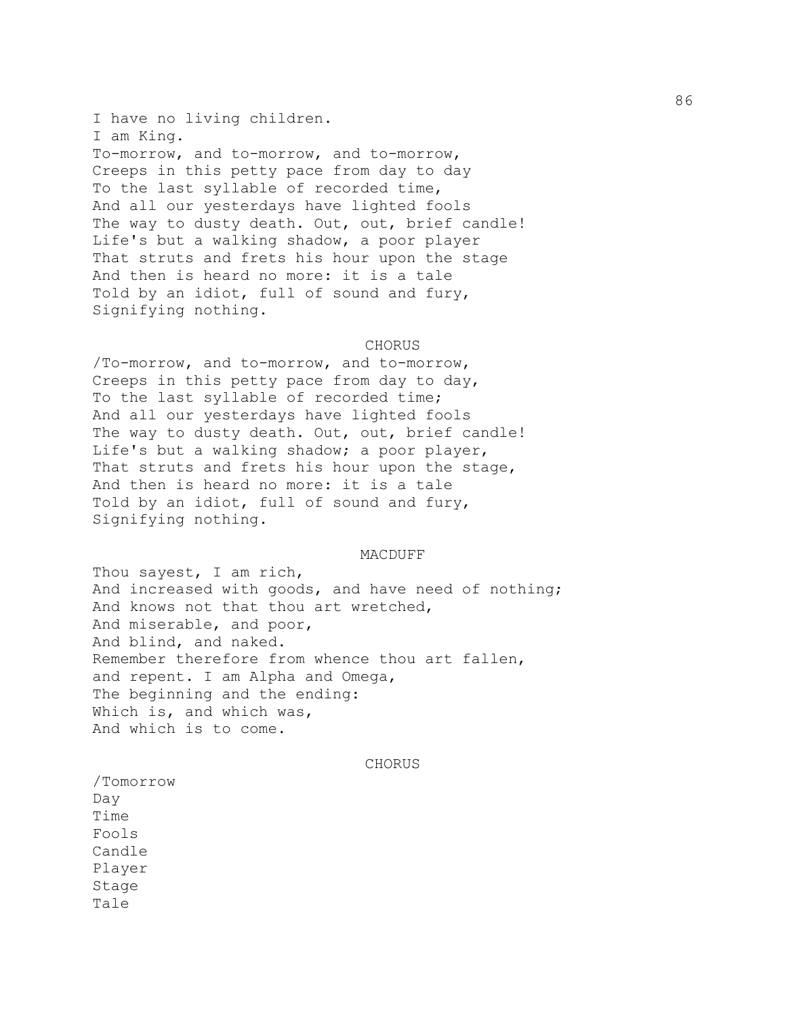I have no living children. I am King. To-morrow, and to-morrow, and to-morrow, Creeps in this petty pace from day to day To the last syllable of recorded time, And all our yesterdays have lighted fools The way to dusty death. Out, out, brief candle! Life's but a walking shadow, a poor player That struts and frets his hour upon the stage And then is heard no more: it is a tale Told by an idiot, full of sound and fury, Signifying nothing.

# CHORUS

/To-morrow, and to-morrow, and to-morrow, Creeps in this petty pace from day to day, To the last syllable of recorded time; And all our yesterdays have lighted fools The way to dusty death. Out, out, brief candle! Life's but a walking shadow; a poor player, That struts and frets his hour upon the stage, And then is heard no more: it is a tale Told by an idiot, full of sound and fury, Signifying nothing.

## MACDUFF

Thou sayest, I am rich, And increased with goods, and have need of nothing; And knows not that thou art wretched, And miserable, and poor, And blind, and naked. Remember therefore from whence thou art fallen, and repent. I am Alpha and Omega, The beginning and the ending: Which is, and which was, And which is to come.

## CHORUS

/Tomorrow Day Time Fools Candle Player Stage Tale